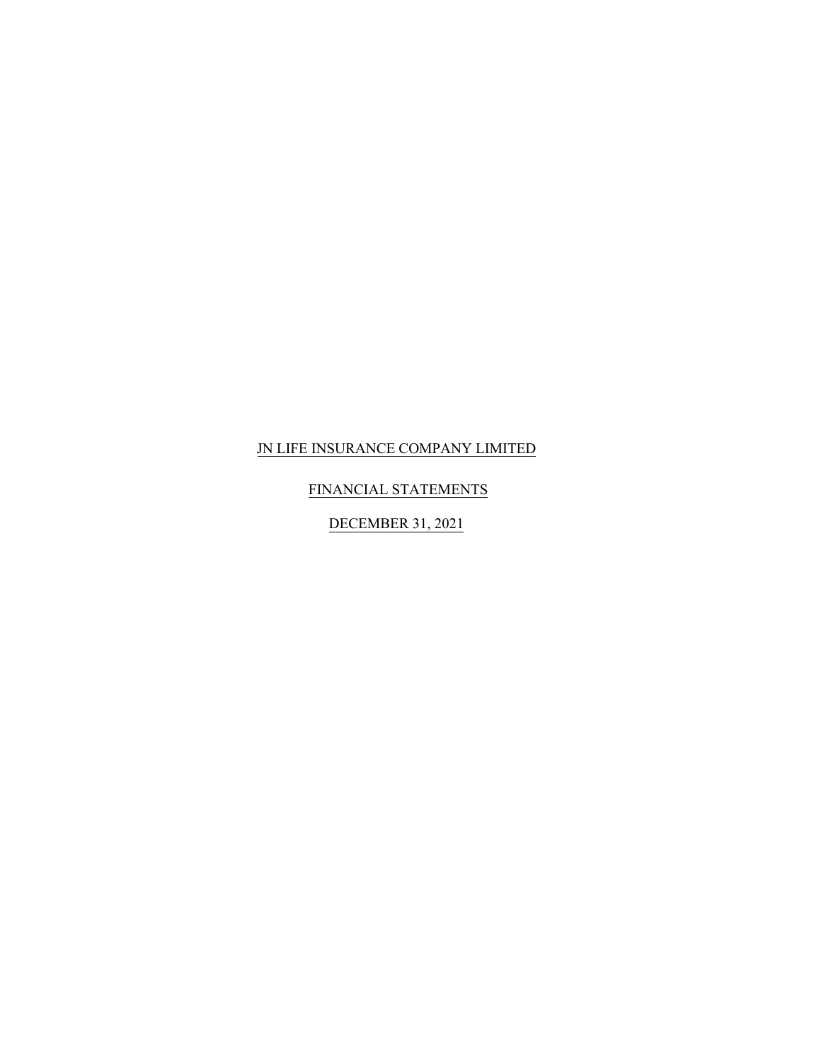FINANCIAL STATEMENTS

DECEMBER 31, 2021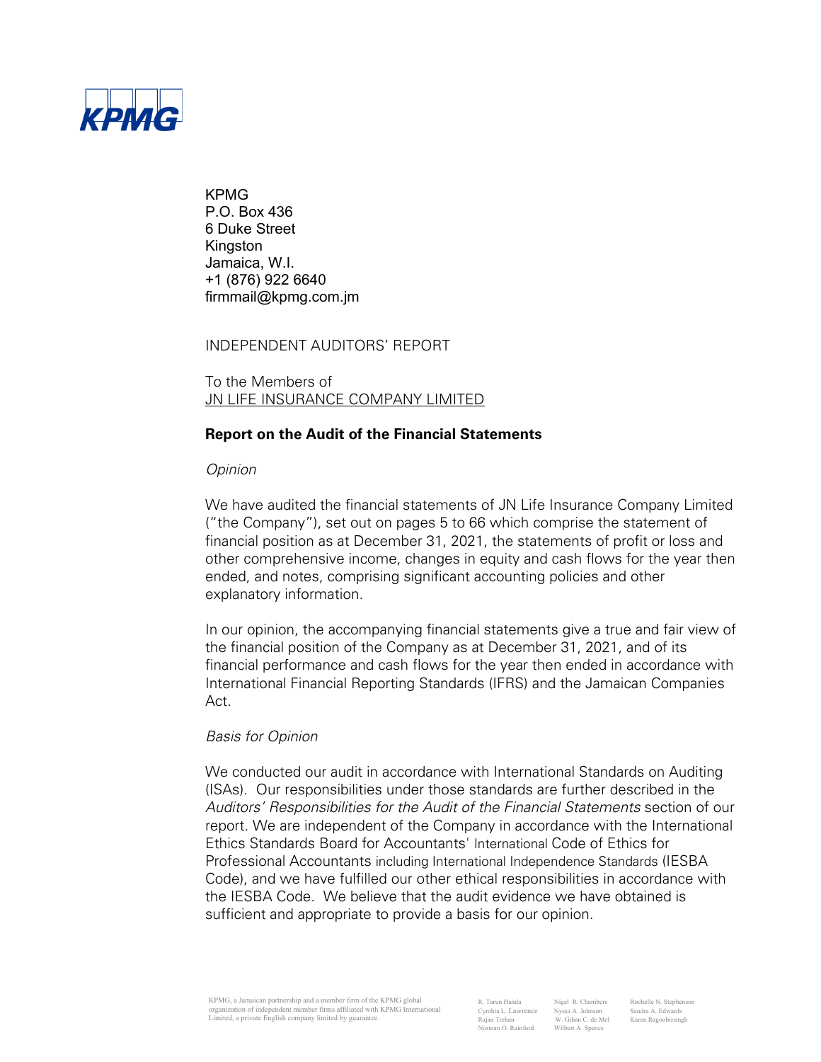

KPMG P.O. Box 436 6 Duke Street Kingston Jamaica, W.I. +1 (876) 922 6640 firmmail@kpmg.com.jm

INDEPENDENT AUDITORS' REPORT

To the Members of JN LIFE INSURANCE COMPANY LIMITED

# **Report on the Audit of the Financial Statements**

# **Opinion**

We have audited the financial statements of JN Life Insurance Company Limited ("the Company"), set out on pages 5 to 66 which comprise the statement of financial position as at December 31, 2021, the statements of profit or loss and other comprehensive income, changes in equity and cash flows for the year then ended, and notes, comprising significant accounting policies and other explanatory information.

In our opinion, the accompanying financial statements give a true and fair view of the financial position of the Company as at December 31, 2021, and of its financial performance and cash flows for the year then ended in accordance with International Financial Reporting Standards (IFRS) and the Jamaican Companies Act.

# Basis for Opinion

We conducted our audit in accordance with International Standards on Auditing (ISAs). Our responsibilities under those standards are further described in the Auditors' Responsibilities for the Audit of the Financial Statements section of our report. We are independent of the Company in accordance with the International Ethics Standards Board for Accountants' International Code of Ethics for Professional Accountants including International Independence Standards (IESBA Code), and we have fulfilled our other ethical responsibilities in accordance with the IESBA Code. We believe that the audit evidence we have obtained is sufficient and appropriate to provide a basis for our opinion.

Norman O. Rainford Wilbert A. Spence

R. Tarun Handa Nigel R. Chambers Rochelle N. Stephenson Cynthia L. Lawrence Nyssa A. Johnson Sandra A. Edwards Rajan Trehan W. Gihan C. de Mel Karen Ragoobirsingh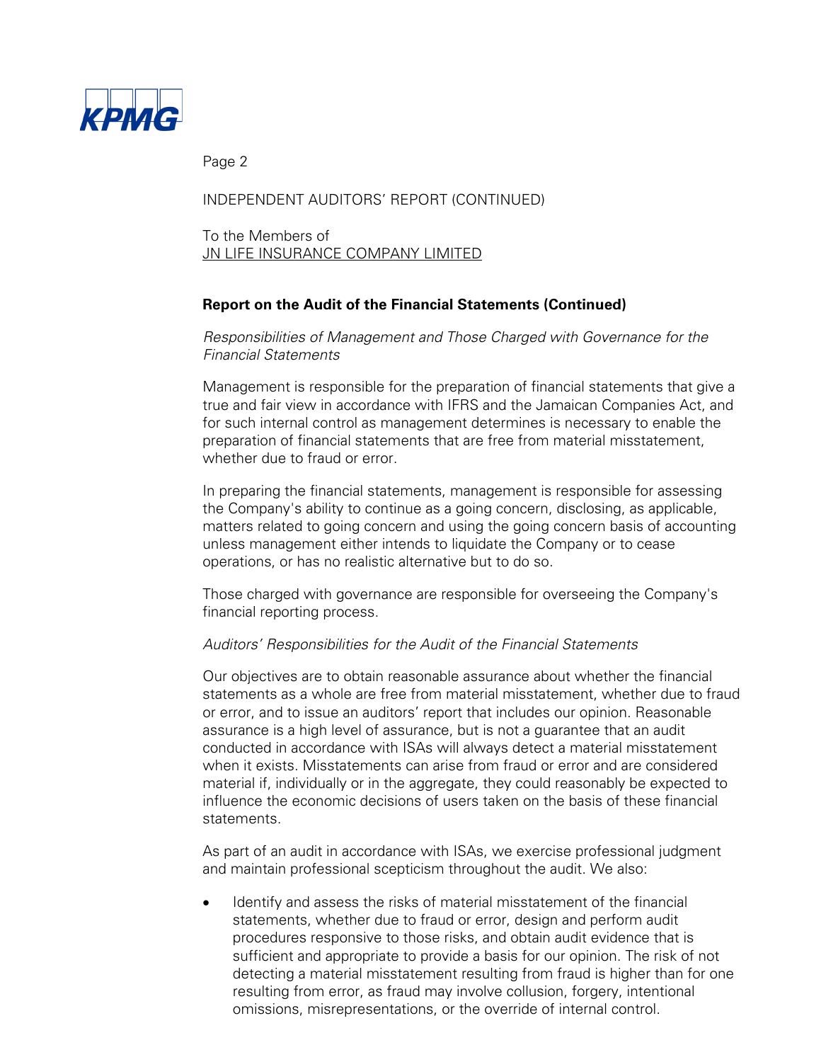

Page 2

# INDEPENDENT AUDITORS' REPORT (CONTINUED)

To the Members of JN LIFE INSURANCE COMPANY LIMITED

# **Report on the Audit of the Financial Statements (Continued)**

Responsibilities of Management and Those Charged with Governance for the Financial Statements

Management is responsible for the preparation of financial statements that give a true and fair view in accordance with IFRS and the Jamaican Companies Act, and for such internal control as management determines is necessary to enable the preparation of financial statements that are free from material misstatement, whether due to fraud or error.

In preparing the financial statements, management is responsible for assessing the Company's ability to continue as a going concern, disclosing, as applicable, matters related to going concern and using the going concern basis of accounting unless management either intends to liquidate the Company or to cease operations, or has no realistic alternative but to do so.

Those charged with governance are responsible for overseeing the Company's financial reporting process.

# Auditors' Responsibilities for the Audit of the Financial Statements

Our objectives are to obtain reasonable assurance about whether the financial statements as a whole are free from material misstatement, whether due to fraud or error, and to issue an auditors' report that includes our opinion. Reasonable assurance is a high level of assurance, but is not a guarantee that an audit conducted in accordance with ISAs will always detect a material misstatement when it exists. Misstatements can arise from fraud or error and are considered material if, individually or in the aggregate, they could reasonably be expected to influence the economic decisions of users taken on the basis of these financial statements.

As part of an audit in accordance with ISAs, we exercise professional judgment and maintain professional scepticism throughout the audit. We also:

Identify and assess the risks of material misstatement of the financial statements, whether due to fraud or error, design and perform audit procedures responsive to those risks, and obtain audit evidence that is sufficient and appropriate to provide a basis for our opinion. The risk of not detecting a material misstatement resulting from fraud is higher than for one resulting from error, as fraud may involve collusion, forgery, intentional omissions, misrepresentations, or the override of internal control.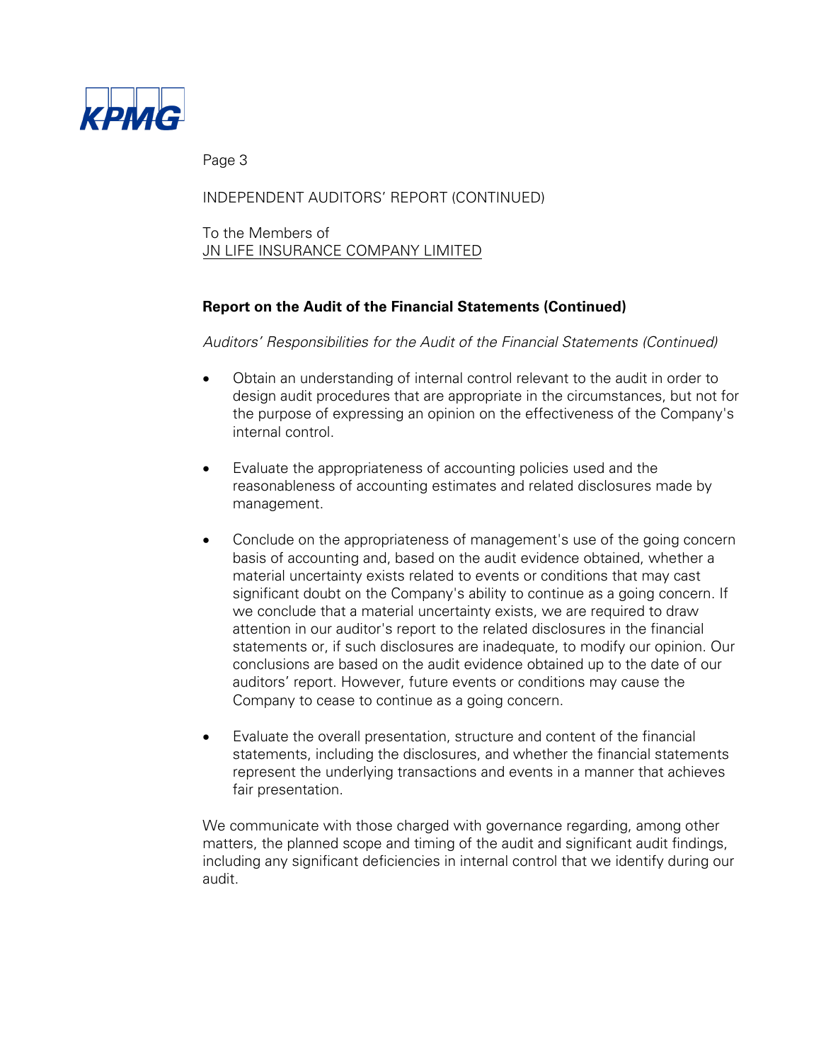

Page 3

# INDEPENDENT AUDITORS' REPORT (CONTINUED)

To the Members of JN LIFE INSURANCE COMPANY LIMITED

# **Report on the Audit of the Financial Statements (Continued)**

Auditors' Responsibilities for the Audit of the Financial Statements (Continued)

- Obtain an understanding of internal control relevant to the audit in order to design audit procedures that are appropriate in the circumstances, but not for the purpose of expressing an opinion on the effectiveness of the Company's internal control.
- Evaluate the appropriateness of accounting policies used and the reasonableness of accounting estimates and related disclosures made by management.
- Conclude on the appropriateness of management's use of the going concern basis of accounting and, based on the audit evidence obtained, whether a material uncertainty exists related to events or conditions that may cast significant doubt on the Company's ability to continue as a going concern. If we conclude that a material uncertainty exists, we are required to draw attention in our auditor's report to the related disclosures in the financial statements or, if such disclosures are inadequate, to modify our opinion. Our conclusions are based on the audit evidence obtained up to the date of our auditors' report. However, future events or conditions may cause the Company to cease to continue as a going concern.
- Evaluate the overall presentation, structure and content of the financial statements, including the disclosures, and whether the financial statements represent the underlying transactions and events in a manner that achieves fair presentation.

We communicate with those charged with governance regarding, among other matters, the planned scope and timing of the audit and significant audit findings, including any significant deficiencies in internal control that we identify during our audit.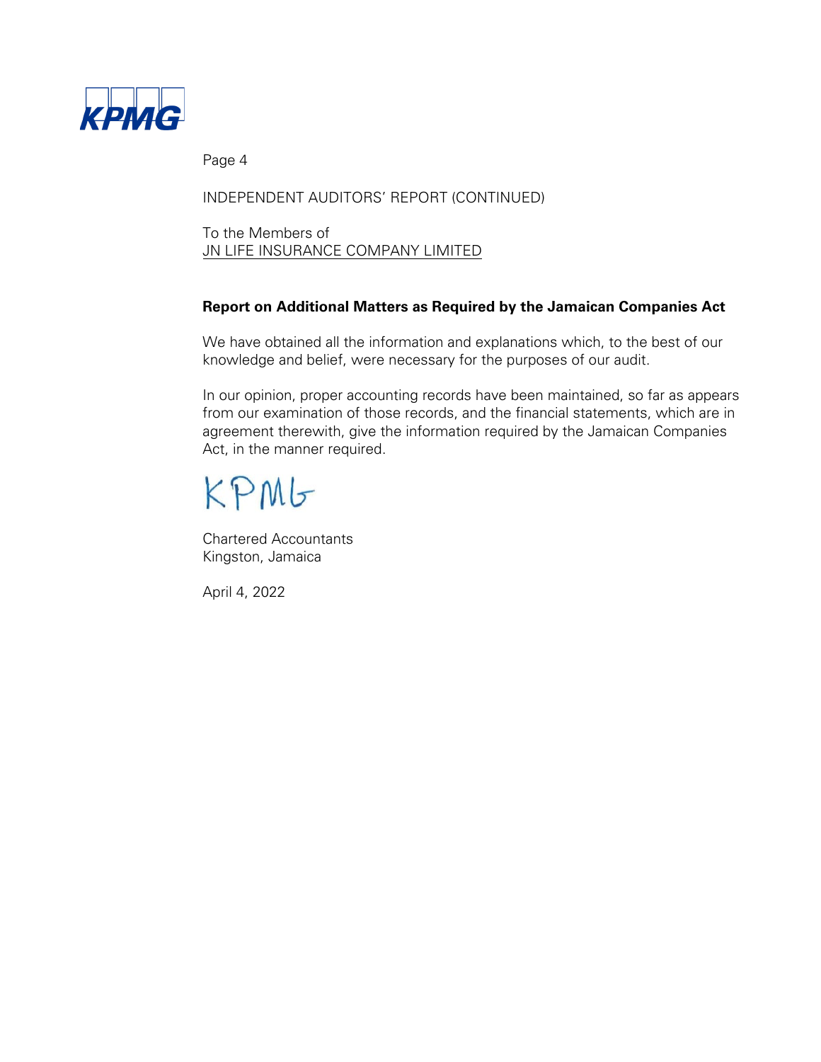

Page 4

# INDEPENDENT AUDITORS' REPORT (CONTINUED)

To the Members of **JN LIFE INSURANCE COMPANY LIMITED** 

# **Report on Additional Matters as Required by the Jamaican Companies Act**

We have obtained all the information and explanations which, to the best of our knowledge and belief, were necessary for the purposes of our audit.

In our opinion, proper accounting records have been maintained, so far as appears from our examination of those records, and the financial statements, which are in agreement therewith, give the information required by the Jamaican Companies Act, in the manner required.

KPMG

Chartered Accountants Kingston, Jamaica

April 4, 2022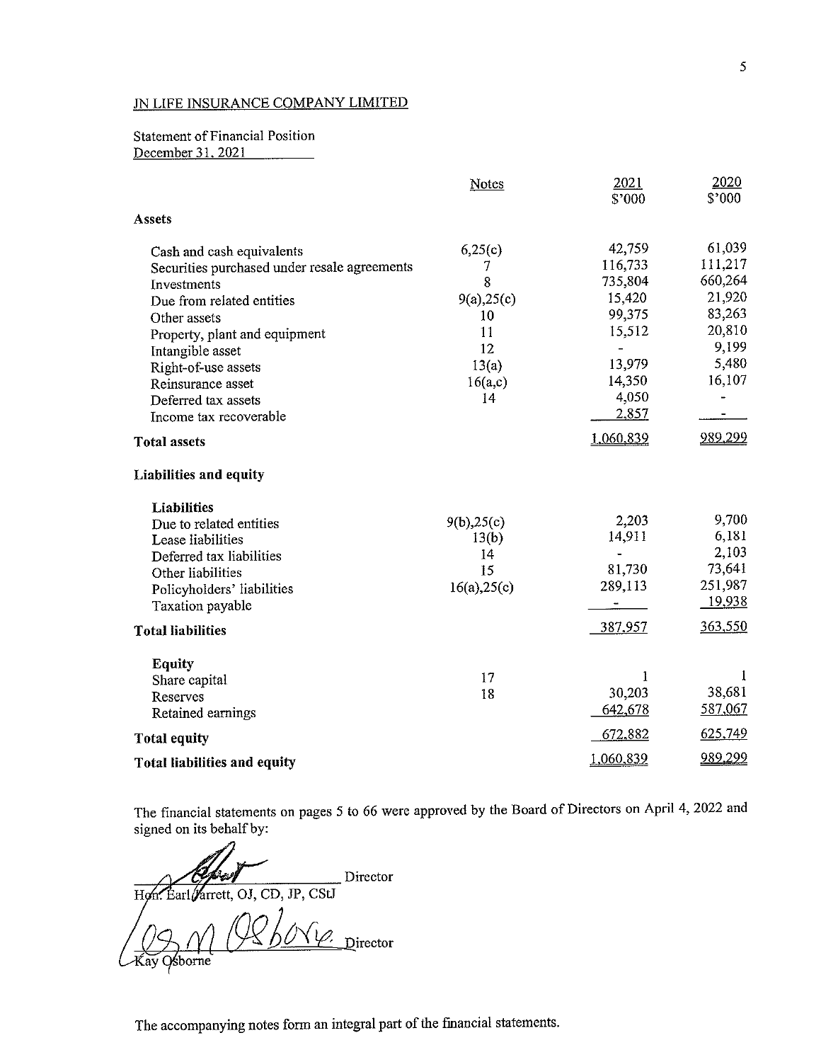**Statement of Financial Position** December 31, 2021

|                                              | Notes        | 2021<br>\$'000   | 2020<br>\$'000 |
|----------------------------------------------|--------------|------------------|----------------|
| Assets                                       |              |                  |                |
| Cash and cash equivalents                    | 6,25(c)      | 42,759           | 61,039         |
| Securities purchased under resale agreements | 7            | 116,733          | 111,217        |
| Investments                                  | 8            | 735,804          | 660,264        |
| Due from related entities                    | 9(a), 25(c)  | 15,420           | 21,920         |
| Other assets                                 | 10           | 99,375           | 83,263         |
| Property, plant and equipment                | 11           | 15,512           | 20,810         |
| Intangible asset                             | 12           | $\blacksquare$   | 9,199          |
| Right-of-use assets                          | 13(a)        | 13,979           | 5,480          |
| Reinsurance asset                            | 16(a,c)      | 14,350           | 16,107         |
| Deferred tax assets                          | 14           | 4,050            |                |
| Income tax recoverable                       |              | 2,857            |                |
| <b>Total assets</b>                          |              | 1,060,839        | 989,299        |
| <b>Liabilities and equity</b>                |              |                  |                |
| Liabilities                                  |              |                  |                |
| Due to related entities                      | 9(b), 25(c)  | 2,203            | 9,700          |
| Lease liabilities                            | 13(b)        | 14,911           | 6,181          |
| Deferred tax liabilities                     | 14           | $\blacksquare$   | 2,103          |
| Other liabilities                            | 15           | 81,730           | 73,641         |
| Policyholders' liabilities                   | 16(a), 25(c) | 289,113          | 251,987        |
| Taxation payable                             |              |                  | 19,938         |
| <b>Total liabilities</b>                     |              | 387,957          | 363.550        |
| <b>Equity</b>                                |              |                  |                |
| Share capital                                | 17           | 1                | 1              |
| Reserves                                     | 18           | 30,203           | 38,681         |
| Retained earnings                            |              | 642,678          | 587,067        |
| <b>Total equity</b>                          |              | 672.882          | 625,749        |
| <b>Total liabilities and equity</b>          |              | <u>1,060,839</u> | 989,299        |

The financial statements on pages 5 to 66 were approved by the Board of Directors on April 4, 2022 and signed on its behalf by:

 $\_$ Director

Hon. Earl Jarrett, OJ, CD, JP, CStJ

 $\overline{\mathscr{L}}$ . Director Osborne

The accompanying notes form an integral part of the financial statements.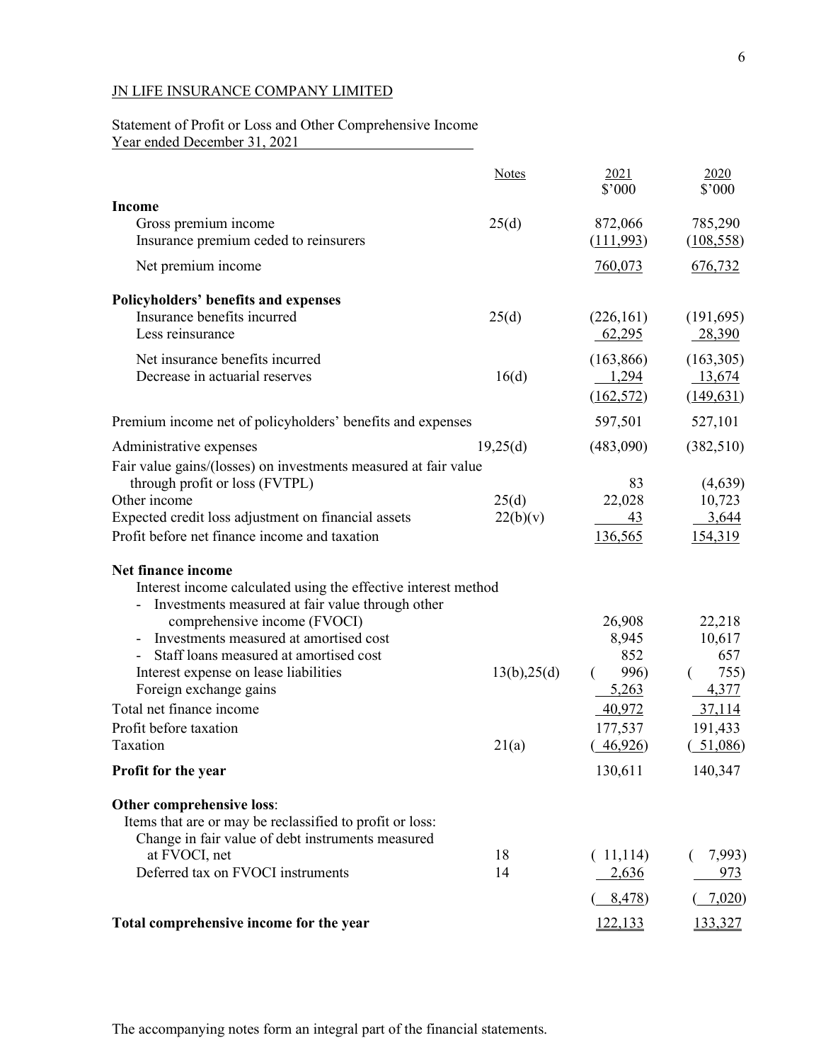# Statement of Profit or Loss and Other Comprehensive Income Year ended December 31, 2021

|                                                                 | <b>Notes</b> | 2021<br>\$'000 | 2020<br>\$'000 |
|-----------------------------------------------------------------|--------------|----------------|----------------|
| <b>Income</b>                                                   |              |                |                |
| Gross premium income                                            | 25(d)        | 872,066        | 785,290        |
| Insurance premium ceded to reinsurers                           |              | (111,993)      | (108, 558)     |
| Net premium income                                              |              | 760,073        | 676,732        |
| Policyholders' benefits and expenses                            |              |                |                |
| Insurance benefits incurred                                     | 25(d)        | (226,161)      | (191, 695)     |
| Less reinsurance                                                |              | 62,295         | 28,390         |
| Net insurance benefits incurred                                 |              | (163, 866)     | (163,305)      |
| Decrease in actuarial reserves                                  | 16(d)        | 1,294          | 13,674         |
|                                                                 |              | (162, 572)     | (149, 631)     |
| Premium income net of policyholders' benefits and expenses      |              | 597,501        | 527,101        |
| Administrative expenses                                         | 19,25(d)     | (483,090)      | (382, 510)     |
| Fair value gains/(losses) on investments measured at fair value |              |                |                |
| through profit or loss (FVTPL)                                  |              | 83             | (4,639)        |
| Other income                                                    | 25(d)        | 22,028         | 10,723         |
| Expected credit loss adjustment on financial assets             | 22(b)(v)     | 43             | 3,644          |
| Profit before net finance income and taxation                   |              | 136,565        | 154,319        |
| Net finance income                                              |              |                |                |
| Interest income calculated using the effective interest method  |              |                |                |
| Investments measured at fair value through other                |              |                |                |
| comprehensive income (FVOCI)                                    |              | 26,908         | 22,218         |
| Investments measured at amortised cost                          |              | 8,945          | 10,617         |
| Staff loans measured at amortised cost                          |              | 852            | 657            |
| Interest expense on lease liabilities                           | 13(b), 25(d) | 996)           | 755)           |
| Foreign exchange gains                                          |              | 5,263          | 4,377          |
| Total net finance income                                        |              | 40,972         | 37,114         |
| Profit before taxation                                          |              | 177,537        | 191,433        |
| Taxation                                                        | 21(a)        | 46,926         | (51,086)       |
| Profit for the year                                             |              | 130,611        | 140,347        |
| Other comprehensive loss:                                       |              |                |                |
| Items that are or may be reclassified to profit or loss:        |              |                |                |
| Change in fair value of debt instruments measured               |              |                |                |
| at FVOCI, net                                                   | 18           | (11,114)       | 7,993)         |
| Deferred tax on FVOCI instruments                               | 14           | <u>2,636</u>   | 973            |
|                                                                 |              | 8,478          | $(-7,020)$     |
| Total comprehensive income for the year                         |              | 122,133        | 133,327        |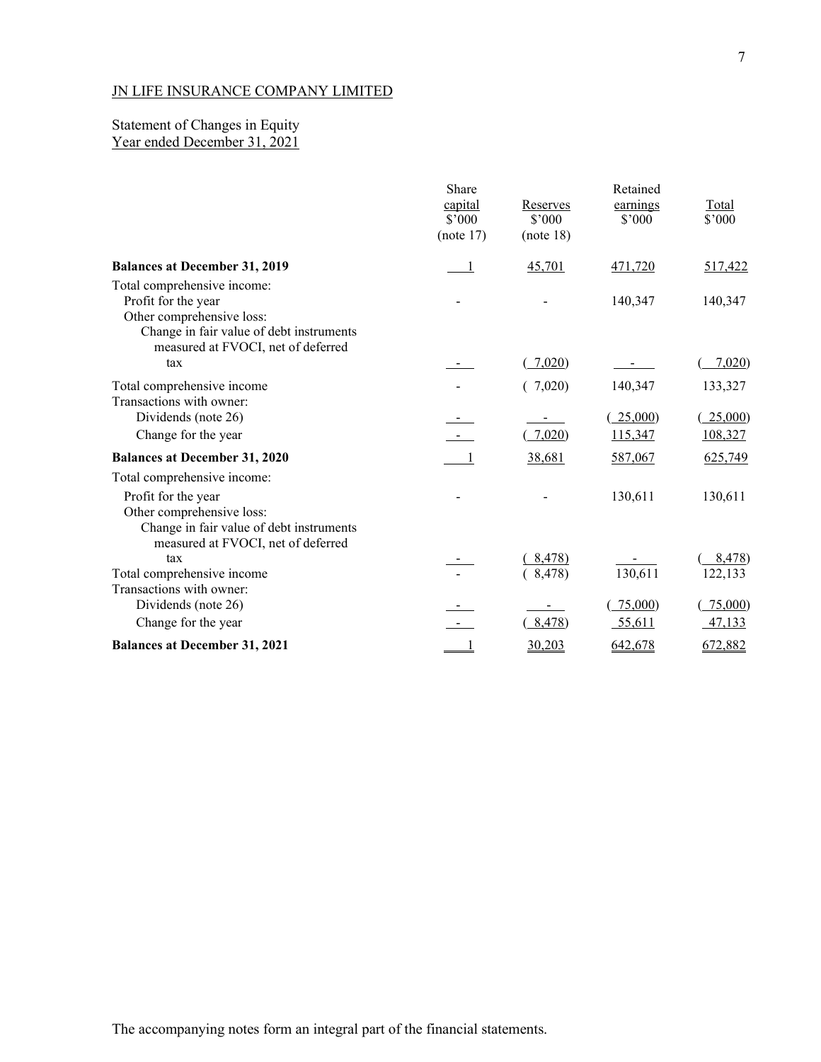# Statement of Changes in Equity Year ended December 31, 2021

|                                                                                                                                                                   | Share<br>capital<br>\$'000<br>(note 17) | Reserves<br>\$'000<br>(note 18) | Retained<br>earnings<br>\$'000 | Total<br>\$'000   |
|-------------------------------------------------------------------------------------------------------------------------------------------------------------------|-----------------------------------------|---------------------------------|--------------------------------|-------------------|
| <b>Balances at December 31, 2019</b>                                                                                                                              |                                         | 45,701                          | 471,720                        | 517,422           |
| Total comprehensive income:<br>Profit for the year<br>Other comprehensive loss:<br>Change in fair value of debt instruments<br>measured at FVOCI, net of deferred |                                         |                                 | 140,347                        | 140,347           |
| tax                                                                                                                                                               |                                         | (7,020)                         |                                | 7,020             |
| Total comprehensive income<br>Transactions with owner:                                                                                                            |                                         | (7,020)                         | 140,347                        | 133,327           |
| Dividends (note 26)                                                                                                                                               |                                         |                                 | 25,000                         | 25,000)           |
| Change for the year                                                                                                                                               |                                         | (7,020)                         | 115,347                        | 108,327           |
| <b>Balances at December 31, 2020</b>                                                                                                                              |                                         | 38,681                          | 587,067                        | 625,749           |
| Total comprehensive income:                                                                                                                                       |                                         |                                 |                                |                   |
| Profit for the year<br>Other comprehensive loss:<br>Change in fair value of debt instruments                                                                      |                                         |                                 | 130,611                        | 130,611           |
| measured at FVOCI, net of deferred                                                                                                                                |                                         |                                 |                                |                   |
| tax<br>Total comprehensive income<br>Transactions with owner:                                                                                                     |                                         | $(*8,478)$<br>(8, 478)          | 130,611                        | 8,478)<br>122,133 |
| Dividends (note 26)<br>Change for the year                                                                                                                        | $\sim$ $-$                              | 8,478)                          | 75,000<br>55,611               | 75,000)<br>47,133 |
| <b>Balances at December 31, 2021</b>                                                                                                                              |                                         | 30,203                          | 642,678                        | 672,882           |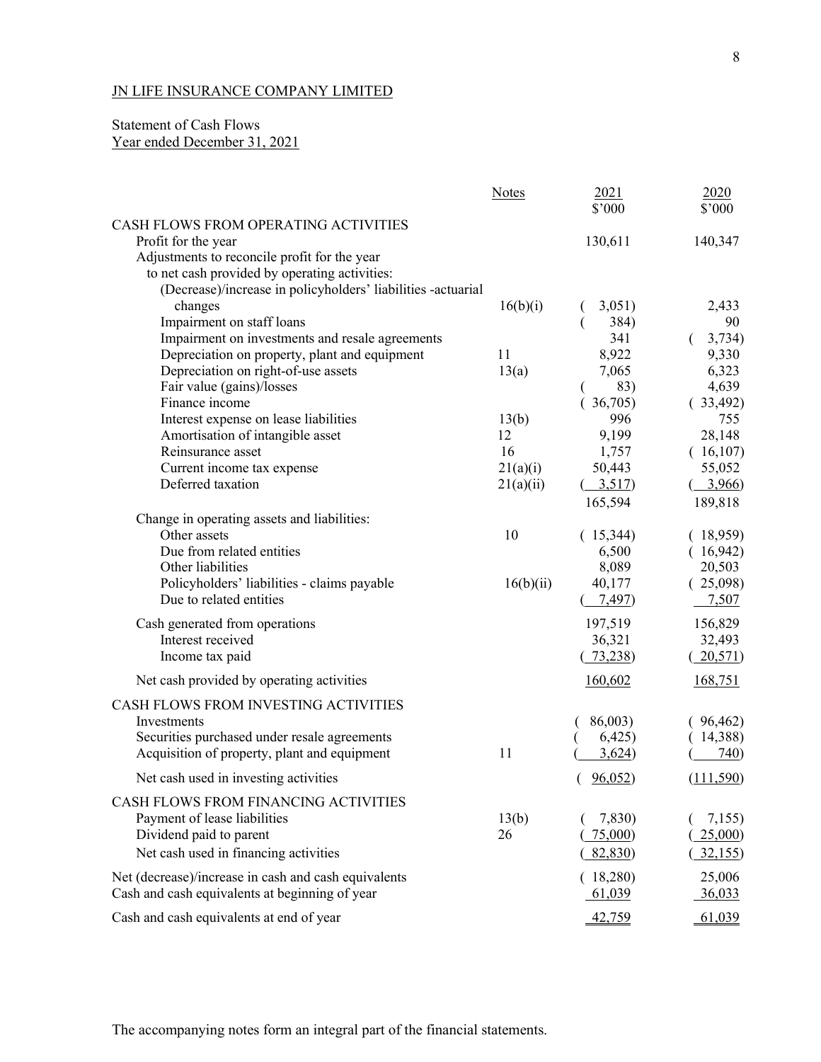# Statement of Cash Flows Year ended December 31, 2021

|                                                                                                  | <b>Notes</b> | 2021<br>\$'000                   | 2020<br>\$'000       |
|--------------------------------------------------------------------------------------------------|--------------|----------------------------------|----------------------|
| CASH FLOWS FROM OPERATING ACTIVITIES                                                             |              |                                  |                      |
| Profit for the year                                                                              |              | 130,611                          | 140,347              |
| Adjustments to reconcile profit for the year                                                     |              |                                  |                      |
| to net cash provided by operating activities:                                                    |              |                                  |                      |
| (Decrease)/increase in policyholders' liabilities -actuarial                                     |              |                                  |                      |
| changes                                                                                          | 16(b)(i)     | 3,051)                           | 2,433                |
| Impairment on staff loans                                                                        |              | 384)                             | 90                   |
| Impairment on investments and resale agreements<br>Depreciation on property, plant and equipment | 11           | 341<br>8,922                     | 3,734)<br>(<br>9,330 |
| Depreciation on right-of-use assets                                                              | 13(a)        | 7,065                            | 6,323                |
| Fair value (gains)/losses                                                                        |              | 83)                              | 4,639                |
| Finance income                                                                                   |              | 36,705)                          | (33,492)             |
| Interest expense on lease liabilities                                                            | 13(b)        | 996                              | 755                  |
| Amortisation of intangible asset                                                                 | 12           | 9,199                            | 28,148               |
| Reinsurance asset                                                                                | 16           | 1,757                            | (16,107)             |
| Current income tax expense                                                                       | 21(a)(i)     | 50,443                           | 55,052               |
| Deferred taxation                                                                                | 21(a)(ii)    | $\left( \frac{3,517}{2} \right)$ | $(-3,966)$           |
|                                                                                                  |              | 165,594                          | 189,818              |
| Change in operating assets and liabilities:                                                      |              |                                  |                      |
| Other assets                                                                                     | 10           | (15,344)                         | (18,959)             |
| Due from related entities                                                                        |              | 6,500                            | (16,942)             |
| Other liabilities                                                                                |              | 8,089                            | 20,503               |
| Policyholders' liabilities - claims payable                                                      | 16(b)(ii)    | 40,177                           | (25,098)             |
| Due to related entities                                                                          |              | 7,497                            | 7,507                |
| Cash generated from operations                                                                   |              | 197,519                          | 156,829              |
| Interest received                                                                                |              | 36,321                           | 32,493               |
| Income tax paid                                                                                  |              | (73, 238)                        | (20, 571)            |
| Net cash provided by operating activities                                                        |              | 160,602                          | 168,751              |
| CASH FLOWS FROM INVESTING ACTIVITIES                                                             |              |                                  |                      |
| Investments                                                                                      |              | 86,003)                          | (96, 462)            |
| Securities purchased under resale agreements                                                     |              | 6,425)                           | 14,388)              |
| Acquisition of property, plant and equipment                                                     | 11           | 3,624)                           | 740)                 |
| Net cash used in investing activities                                                            |              | 96,052                           | (111, 590)           |
| CASH FLOWS FROM FINANCING ACTIVITIES                                                             |              |                                  |                      |
| Payment of lease liabilities                                                                     | 13(b)        | 7,830)                           | 7,155                |
| Dividend paid to parent                                                                          | 26           | 75,000                           | 25,000               |
| Net cash used in financing activities                                                            |              | 82,830)                          | <u>32,155</u> )      |
|                                                                                                  |              |                                  |                      |
| Net (decrease)/increase in cash and cash equivalents                                             |              | (18,280)                         | 25,006               |
| Cash and cash equivalents at beginning of year                                                   |              | 61,039                           | 36,033               |
| Cash and cash equivalents at end of year                                                         |              | 42,759                           | 61,039               |

8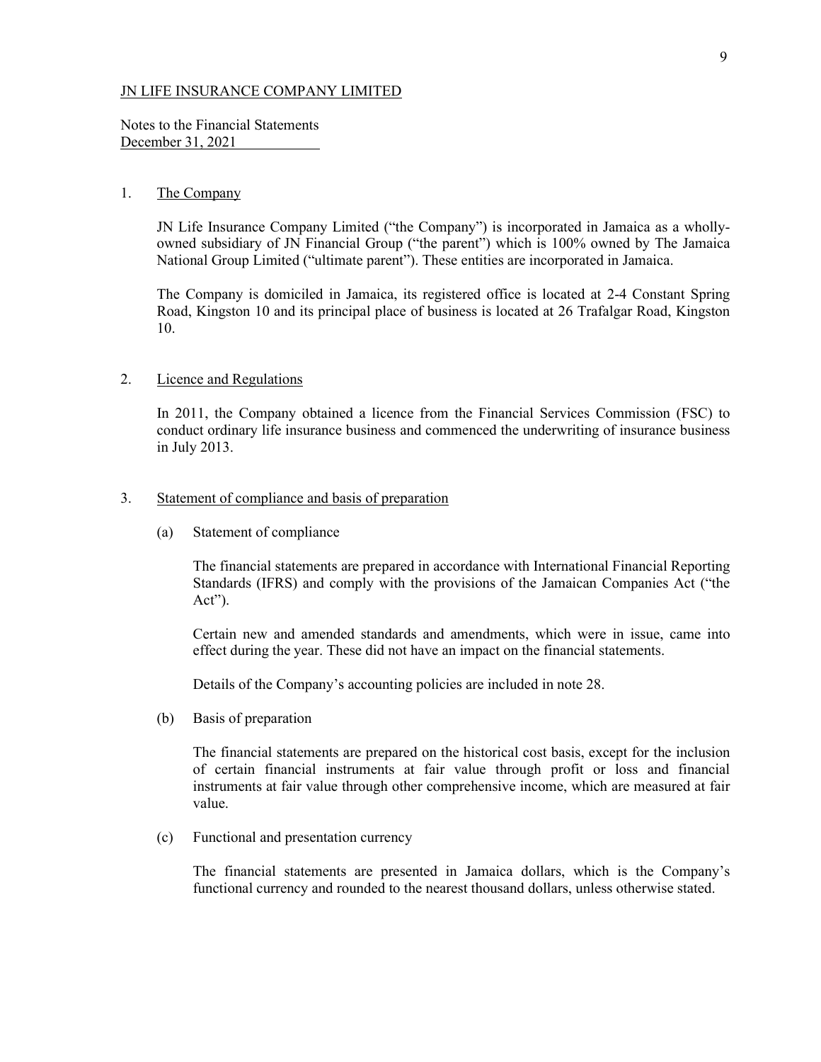Notes to the Financial Statements December 31, 2021

# 1. The Company

JN Life Insurance Company Limited ("the Company") is incorporated in Jamaica as a whollyowned subsidiary of JN Financial Group ("the parent") which is 100% owned by The Jamaica National Group Limited ("ultimate parent"). These entities are incorporated in Jamaica.

The Company is domiciled in Jamaica, its registered office is located at 2-4 Constant Spring Road, Kingston 10 and its principal place of business is located at 26 Trafalgar Road, Kingston 10.

#### 2. Licence and Regulations

In 2011, the Company obtained a licence from the Financial Services Commission (FSC) to conduct ordinary life insurance business and commenced the underwriting of insurance business in July 2013.

#### 3. Statement of compliance and basis of preparation

(a) Statement of compliance

The financial statements are prepared in accordance with International Financial Reporting Standards (IFRS) and comply with the provisions of the Jamaican Companies Act ("the Act").

Certain new and amended standards and amendments, which were in issue, came into effect during the year. These did not have an impact on the financial statements.

Details of the Company's accounting policies are included in note 28.

(b) Basis of preparation

The financial statements are prepared on the historical cost basis, except for the inclusion of certain financial instruments at fair value through profit or loss and financial instruments at fair value through other comprehensive income, which are measured at fair value.

(c) Functional and presentation currency

The financial statements are presented in Jamaica dollars, which is the Company's functional currency and rounded to the nearest thousand dollars, unless otherwise stated.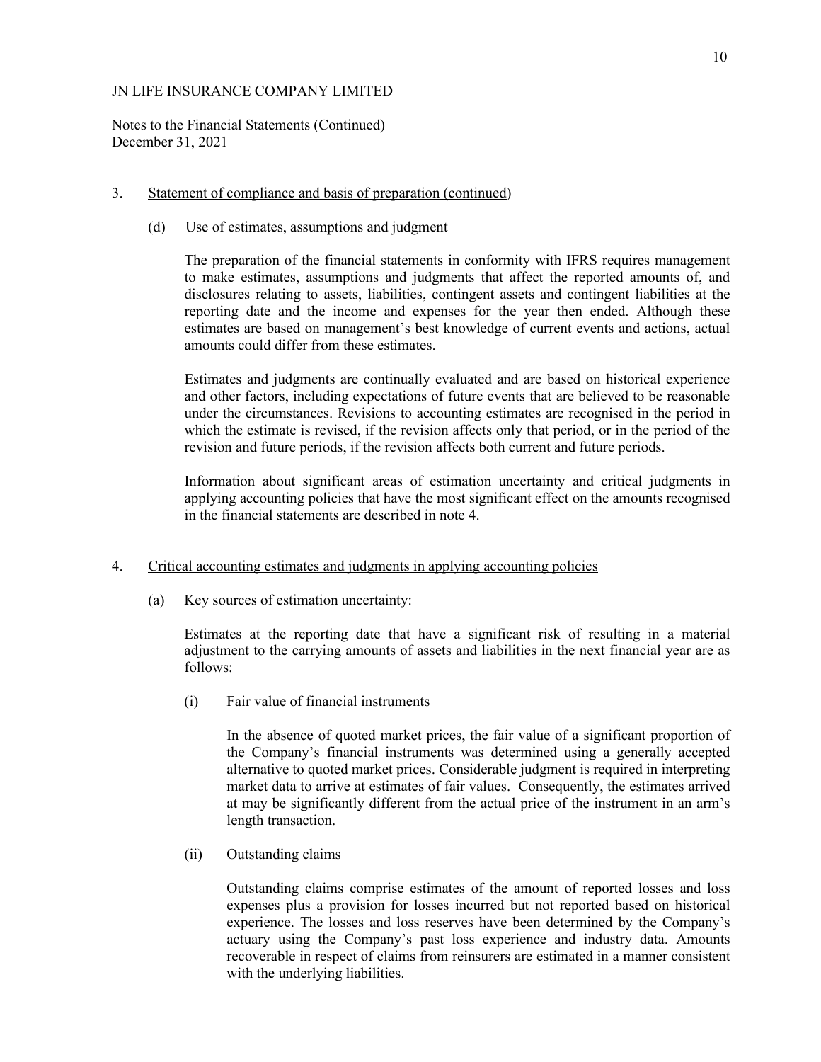Notes to the Financial Statements (Continued) December 31, 2021

# 3. Statement of compliance and basis of preparation (continued)

(d) Use of estimates, assumptions and judgment

The preparation of the financial statements in conformity with IFRS requires management to make estimates, assumptions and judgments that affect the reported amounts of, and disclosures relating to assets, liabilities, contingent assets and contingent liabilities at the reporting date and the income and expenses for the year then ended. Although these estimates are based on management's best knowledge of current events and actions, actual amounts could differ from these estimates.

Estimates and judgments are continually evaluated and are based on historical experience and other factors, including expectations of future events that are believed to be reasonable under the circumstances. Revisions to accounting estimates are recognised in the period in which the estimate is revised, if the revision affects only that period, or in the period of the revision and future periods, if the revision affects both current and future periods.

Information about significant areas of estimation uncertainty and critical judgments in applying accounting policies that have the most significant effect on the amounts recognised in the financial statements are described in note 4.

### 4. Critical accounting estimates and judgments in applying accounting policies

(a) Key sources of estimation uncertainty:

Estimates at the reporting date that have a significant risk of resulting in a material adjustment to the carrying amounts of assets and liabilities in the next financial year are as follows:

(i) Fair value of financial instruments

In the absence of quoted market prices, the fair value of a significant proportion of the Company's financial instruments was determined using a generally accepted alternative to quoted market prices. Considerable judgment is required in interpreting market data to arrive at estimates of fair values. Consequently, the estimates arrived at may be significantly different from the actual price of the instrument in an arm's length transaction.

(ii) Outstanding claims

Outstanding claims comprise estimates of the amount of reported losses and loss expenses plus a provision for losses incurred but not reported based on historical experience. The losses and loss reserves have been determined by the Company's actuary using the Company's past loss experience and industry data. Amounts recoverable in respect of claims from reinsurers are estimated in a manner consistent with the underlying liabilities.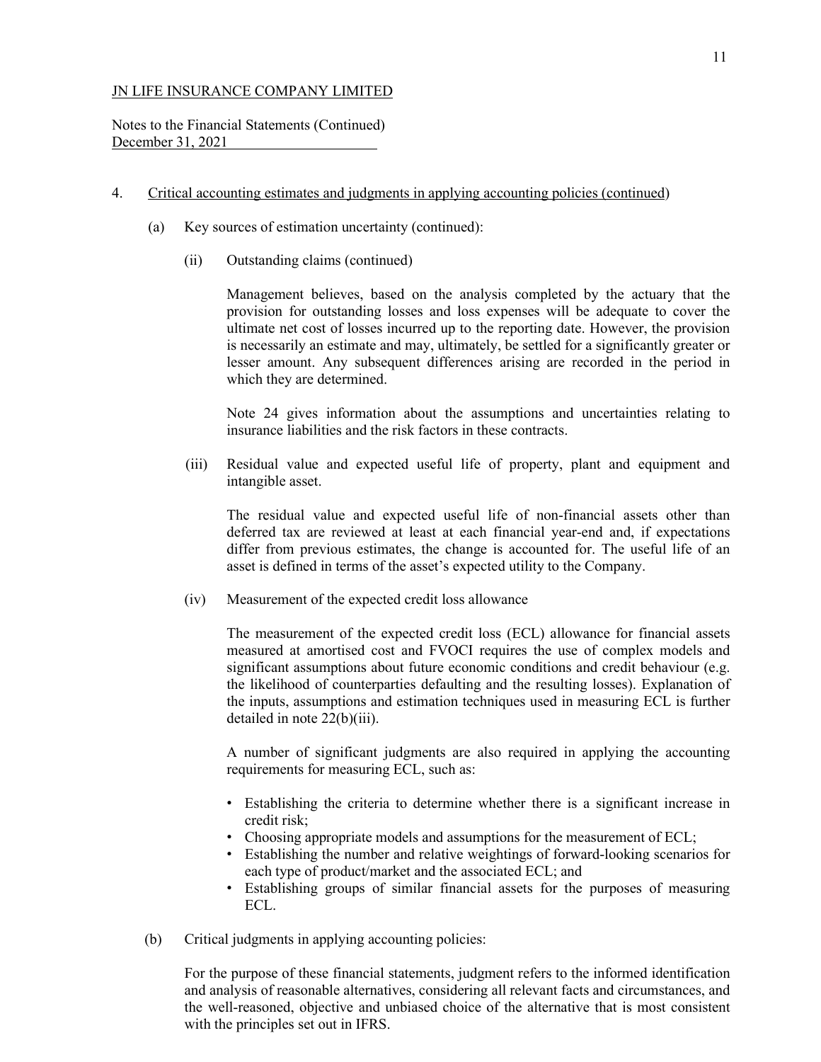Notes to the Financial Statements (Continued) December 31, 2021

- 4. Critical accounting estimates and judgments in applying accounting policies (continued)
	- (a) Key sources of estimation uncertainty (continued):
		- (ii) Outstanding claims (continued)

Management believes, based on the analysis completed by the actuary that the provision for outstanding losses and loss expenses will be adequate to cover the ultimate net cost of losses incurred up to the reporting date. However, the provision is necessarily an estimate and may, ultimately, be settled for a significantly greater or lesser amount. Any subsequent differences arising are recorded in the period in which they are determined.

Note 24 gives information about the assumptions and uncertainties relating to insurance liabilities and the risk factors in these contracts.

(iii) Residual value and expected useful life of property, plant and equipment and intangible asset.

The residual value and expected useful life of non-financial assets other than deferred tax are reviewed at least at each financial year-end and, if expectations differ from previous estimates, the change is accounted for. The useful life of an asset is defined in terms of the asset's expected utility to the Company.

(iv) Measurement of the expected credit loss allowance

The measurement of the expected credit loss (ECL) allowance for financial assets measured at amortised cost and FVOCI requires the use of complex models and significant assumptions about future economic conditions and credit behaviour (e.g. the likelihood of counterparties defaulting and the resulting losses). Explanation of the inputs, assumptions and estimation techniques used in measuring ECL is further detailed in note  $22(b)(iii)$ .

A number of significant judgments are also required in applying the accounting requirements for measuring ECL, such as:

- Establishing the criteria to determine whether there is a significant increase in credit risk;
- Choosing appropriate models and assumptions for the measurement of ECL;
- Establishing the number and relative weightings of forward-looking scenarios for each type of product/market and the associated ECL; and
- Establishing groups of similar financial assets for the purposes of measuring ECL.
- (b) Critical judgments in applying accounting policies:

For the purpose of these financial statements, judgment refers to the informed identification and analysis of reasonable alternatives, considering all relevant facts and circumstances, and the well-reasoned, objective and unbiased choice of the alternative that is most consistent with the principles set out in IFRS.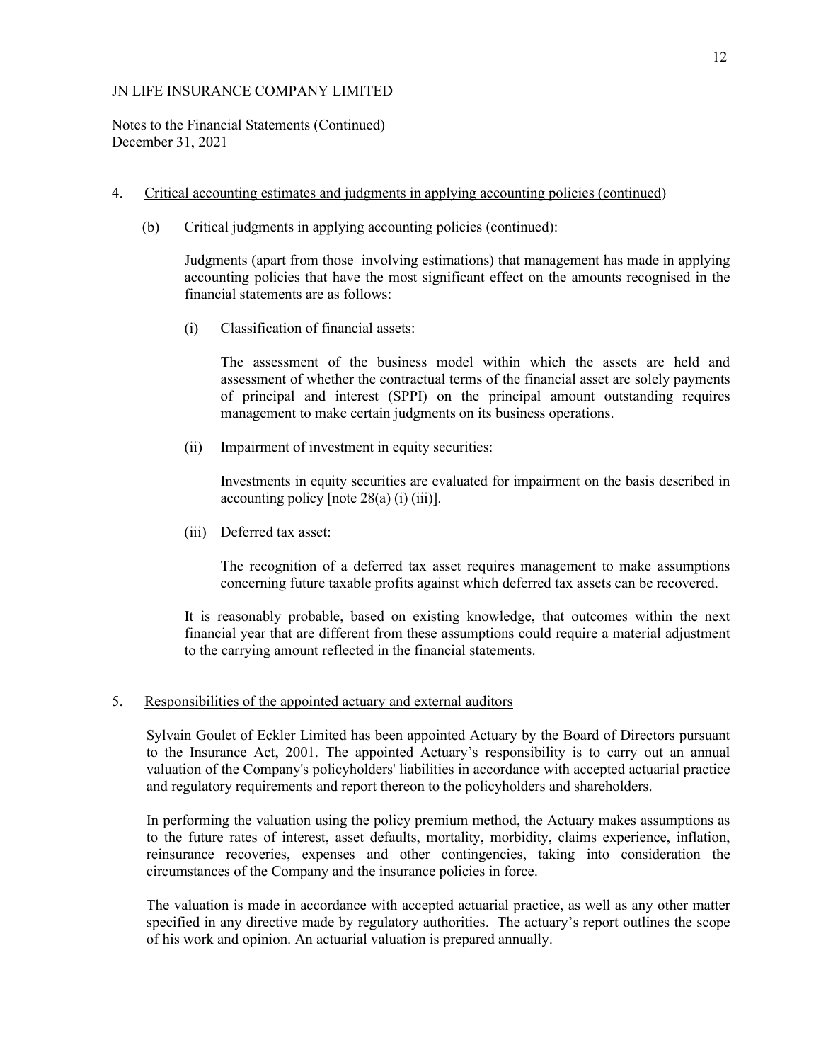Notes to the Financial Statements (Continued) December 31, 2021

# 4. Critical accounting estimates and judgments in applying accounting policies (continued)

(b) Critical judgments in applying accounting policies (continued):

Judgments (apart from those involving estimations) that management has made in applying accounting policies that have the most significant effect on the amounts recognised in the financial statements are as follows:

(i) Classification of financial assets:

The assessment of the business model within which the assets are held and assessment of whether the contractual terms of the financial asset are solely payments of principal and interest (SPPI) on the principal amount outstanding requires management to make certain judgments on its business operations.

(ii) Impairment of investment in equity securities:

Investments in equity securities are evaluated for impairment on the basis described in accounting policy  $[note 28(a) (i) (iii)].$ 

(iii) Deferred tax asset:

The recognition of a deferred tax asset requires management to make assumptions concerning future taxable profits against which deferred tax assets can be recovered.

It is reasonably probable, based on existing knowledge, that outcomes within the next financial year that are different from these assumptions could require a material adjustment to the carrying amount reflected in the financial statements.

### 5. Responsibilities of the appointed actuary and external auditors

Sylvain Goulet of Eckler Limited has been appointed Actuary by the Board of Directors pursuant to the Insurance Act, 2001. The appointed Actuary's responsibility is to carry out an annual valuation of the Company's policyholders' liabilities in accordance with accepted actuarial practice and regulatory requirements and report thereon to the policyholders and shareholders.

In performing the valuation using the policy premium method, the Actuary makes assumptions as to the future rates of interest, asset defaults, mortality, morbidity, claims experience, inflation, reinsurance recoveries, expenses and other contingencies, taking into consideration the circumstances of the Company and the insurance policies in force.

The valuation is made in accordance with accepted actuarial practice, as well as any other matter specified in any directive made by regulatory authorities. The actuary's report outlines the scope of his work and opinion. An actuarial valuation is prepared annually.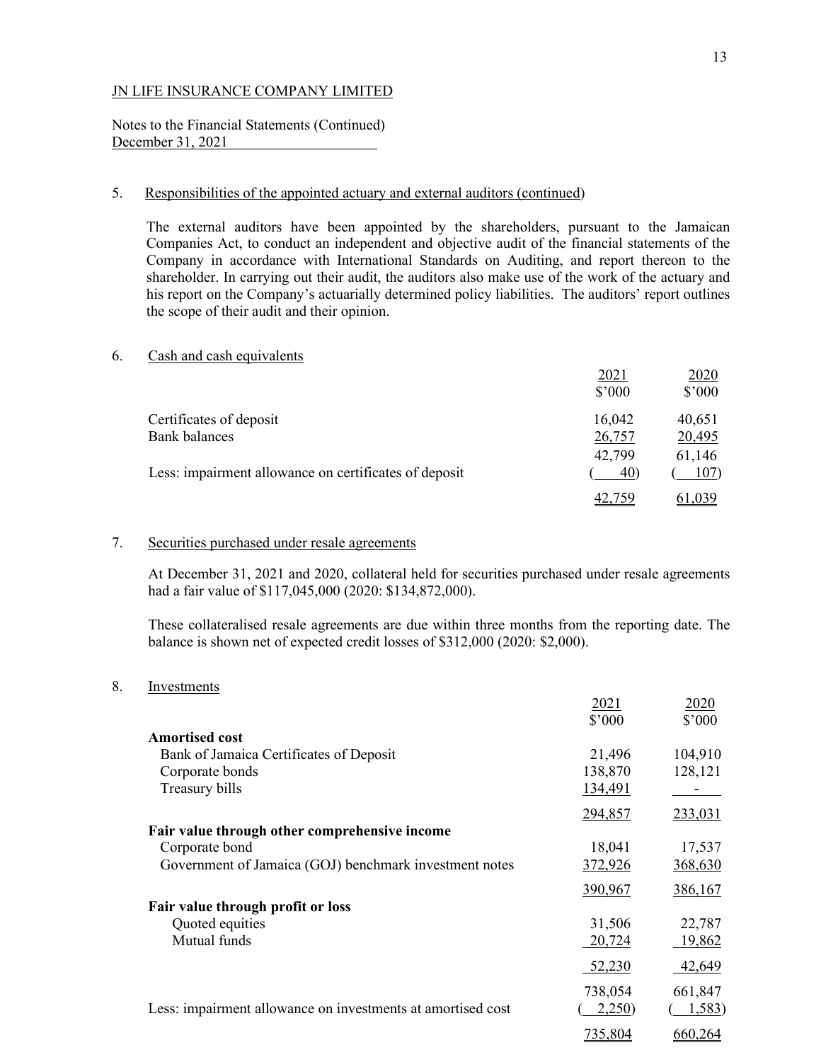Notes to the Financial Statements (Continued) December 31, 2021

# 5. Responsibilities of the appointed actuary and external auditors (continued)

The external auditors have been appointed by the shareholders, pursuant to the Jamaican Companies Act, to conduct an independent and objective audit of the financial statements of the Company in accordance with International Standards on Auditing, and report thereon to the shareholder. In carrying out their audit, the auditors also make use of the work of the actuary and his report on the Company's actuarially determined policy liabilities. The auditors' report outlines the scope of their audit and their opinion.

### 6. Cash and cash equivalents

|                                                       | 2021<br>\$'000 | 2020<br>\$'000 |
|-------------------------------------------------------|----------------|----------------|
| Certificates of deposit                               | 16,042         | 40,651         |
| <b>Bank balances</b>                                  | 26,757         | 20,495         |
|                                                       | 42,799         | 61,146         |
| Less: impairment allowance on certificates of deposit | 40)            | 107)           |
|                                                       |                | .039           |

#### 7. Securities purchased under resale agreements

At December 31, 2021 and 2020, collateral held for securities purchased under resale agreements had a fair value of \$117,045,000 (2020: \$134,872,000).

These collateralised resale agreements are due within three months from the reporting date. The balance is shown net of expected credit losses of \$312,000 (2020: \$2,000).

# 8. Investments

|                                                             | 2021           | 2020           |
|-------------------------------------------------------------|----------------|----------------|
|                                                             | \$'000         | \$'000         |
| <b>Amortised cost</b>                                       |                |                |
| Bank of Jamaica Certificates of Deposit                     | 21,496         | 104,910        |
| Corporate bonds                                             | 138,870        | 128,121        |
| Treasury bills                                              | 134,491        |                |
|                                                             | 294,857        | 233,031        |
| Fair value through other comprehensive income               |                |                |
| Corporate bond                                              | 18,041         | 17,537         |
| Government of Jamaica (GOJ) benchmark investment notes      | 372,926        | 368,630        |
|                                                             | 390,967        | <u>386,167</u> |
| Fair value through profit or loss                           |                |                |
| Quoted equities                                             | 31,506         | 22,787         |
| Mutual funds                                                | 20,724         | 19,862         |
|                                                             | 52,230         | 42,649         |
|                                                             | 738,054        | 661,847        |
| Less: impairment allowance on investments at amortised cost | <u>2,250</u> ) | 1,583)         |
|                                                             | 735,804        | 660,264        |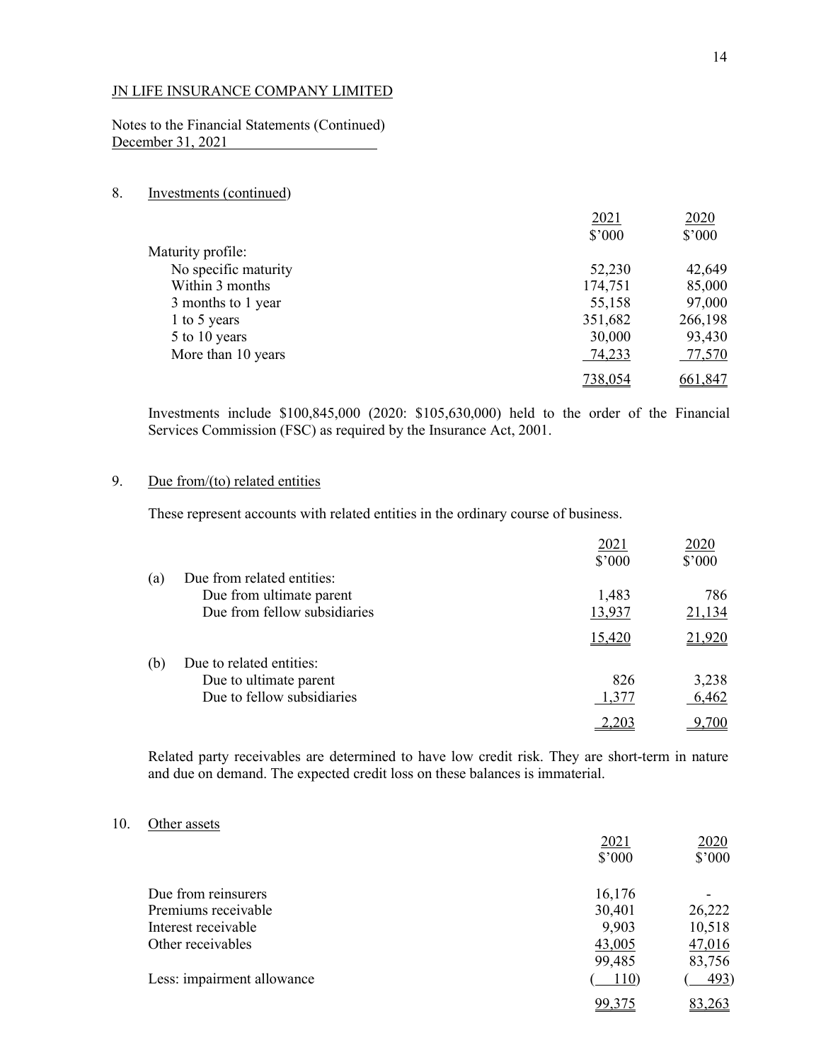Notes to the Financial Statements (Continued) December 31, 2021

# 8. Investments (continued)

|                      | 2021    | 2020    |
|----------------------|---------|---------|
|                      | \$'000  | \$'000  |
| Maturity profile:    |         |         |
| No specific maturity | 52,230  | 42,649  |
| Within 3 months      | 174,751 | 85,000  |
| 3 months to 1 year   | 55,158  | 97,000  |
| 1 to 5 years         | 351,682 | 266,198 |
| 5 to 10 years        | 30,000  | 93,430  |
| More than 10 years   | 74,233  | 77,570  |
|                      | 738,054 | 661,847 |

Investments include \$100,845,000 (2020: \$105,630,000) held to the order of the Financial Services Commission (FSC) as required by the Insurance Act, 2001.

# 9. Due from/(to) related entities

These represent accounts with related entities in the ordinary course of business.

|     |                              | 2021   | 2020   |
|-----|------------------------------|--------|--------|
|     |                              | \$'000 | \$'000 |
| (a) | Due from related entities:   |        |        |
|     | Due from ultimate parent     | 1,483  | 786    |
|     | Due from fellow subsidiaries | 13,937 | 21,134 |
|     |                              | 15,420 | 21,920 |
| (b) | Due to related entities:     |        |        |
|     | Due to ultimate parent       | 826    | 3,238  |
|     | Due to fellow subsidiaries   | 1,377  | 6,462  |
|     |                              |        |        |

Related party receivables are determined to have low credit risk. They are short-term in nature and due on demand. The expected credit loss on these balances is immaterial.

# 10. Other assets

|                            | 2021   | 2020          |
|----------------------------|--------|---------------|
|                            | \$'000 | \$'000        |
| Due from reinsurers        | 16,176 |               |
| Premiums receivable        | 30,401 | 26,222        |
| Interest receivable        | 9,903  | 10,518        |
| Other receivables          | 43,005 | 47,016        |
|                            | 99,485 | 83,756        |
| Less: impairment allowance | 110)   | 493)          |
|                            |        | <u>83,263</u> |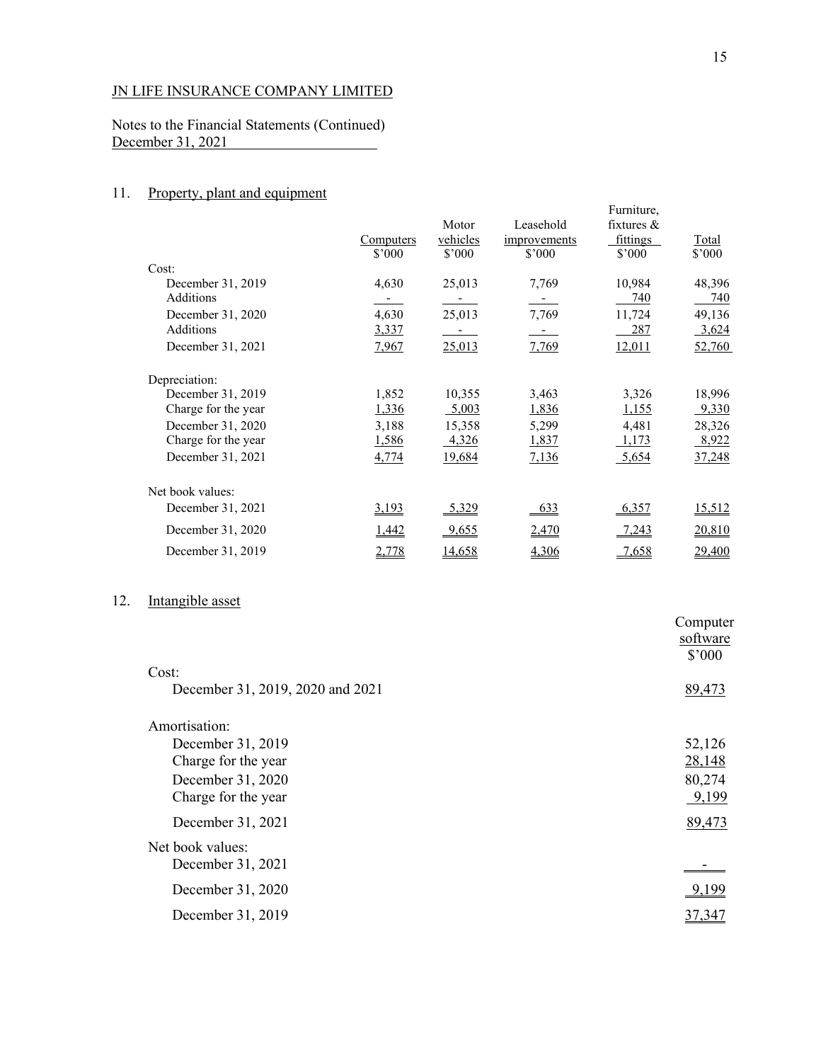Notes to the Financial Statements (Continued) December 31, 2021

# 11. Property, plant and equipment

|                     |              | Motor          | Leasehold    | Furniture,<br>fixtures $\&$ |               |
|---------------------|--------------|----------------|--------------|-----------------------------|---------------|
|                     | Computers    | vehicles       | improvements | fittings                    | Total         |
|                     | \$'000       | \$'000         | \$'000       | \$'000                      | \$'000        |
| Cost:               |              |                |              |                             |               |
| December 31, 2019   | 4,630        | 25,013         | 7,769        | 10,984                      | 48,396        |
| Additions           | $-$          | <b>College</b> | $\sim$       | 740                         | 740           |
| December 31, 2020   | 4,630        | 25,013         | 7,769        | 11,724                      | 49,136        |
| Additions           | <u>3,337</u> |                |              | 287                         | <u>3,624</u>  |
| December 31, 2021   | <u>7,967</u> | 25,013         | 7,769        | 12,011                      | <u>52,760</u> |
| Depreciation:       |              |                |              |                             |               |
| December 31, 2019   | 1,852        | 10,355         | 3,463        | 3,326                       | 18,996        |
| Charge for the year | 1,336        | 5,003          | 1,836        | <u>1,155</u>                | 9,330         |
| December 31, 2020   | 3,188        | 15,358         | 5,299        | 4,481                       | 28,326        |
| Charge for the year | 1,586        | 4,326          | 1,837        | 1,173                       | 8,922         |
| December 31, 2021   | 4,774        | 19,684         | 7,136        | 5,654                       | 37,248        |
| Net book values:    |              |                |              |                             |               |
| December 31, 2021   | 3,193        | 5,329          | 633          | 6,357                       | 15,512        |
| December 31, 2020   | 1,442        | 9,655          | 2,470        | 7,243                       | 20,810        |
| December 31, 2019   | 2,778        | 14,658         | 4,306        | 7,658                       | 29,400        |

# 12. Intangible asset

|                                  | Computer<br>software<br>\$'000 |
|----------------------------------|--------------------------------|
| Cost:                            |                                |
| December 31, 2019, 2020 and 2021 | 89,473                         |
| Amortisation:                    |                                |
| December 31, 2019                | 52,126                         |
| Charge for the year              | 28,148                         |
| December 31, 2020                | 80,274                         |
| Charge for the year              | 9,199                          |
| December 31, 2021                | 89,473                         |
| Net book values:                 |                                |
| December 31, 2021                |                                |
| December 31, 2020                | 9,199                          |
| December 31, 2019                | .347                           |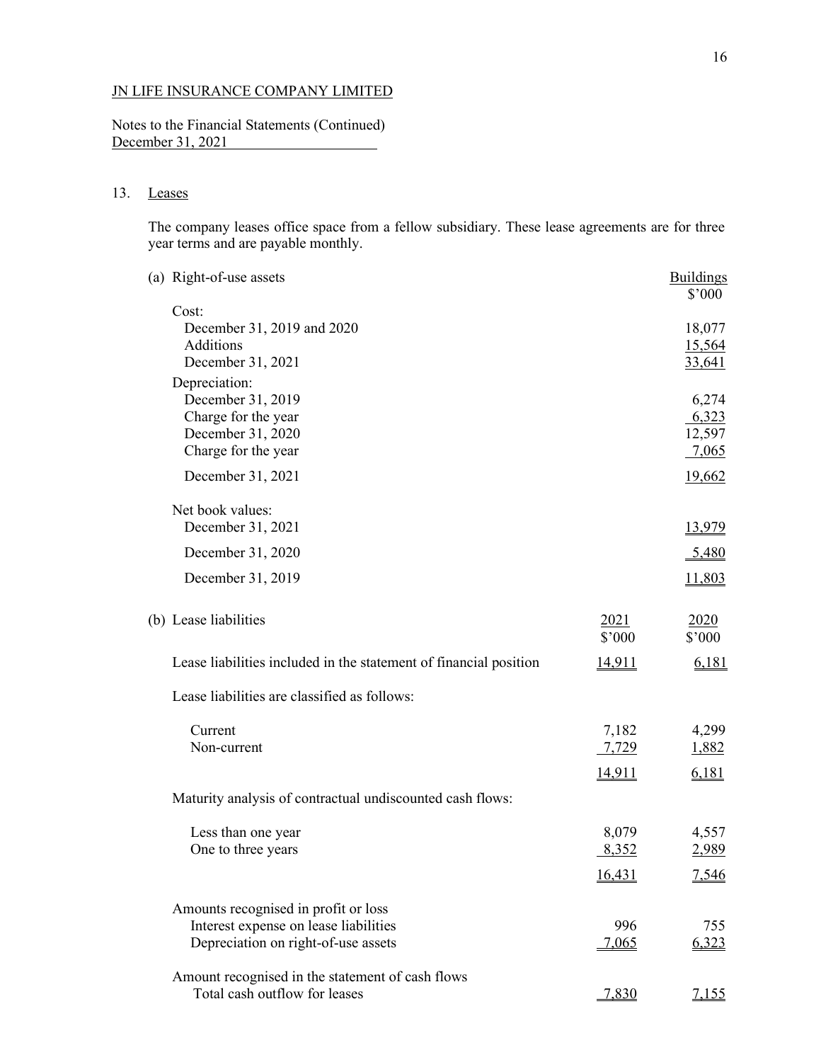Notes to the Financial Statements (Continued) December 31, 2021

# 13. Leases

The company leases office space from a fellow subsidiary. These lease agreements are for three year terms and are payable monthly.

| (a) Right-of-use assets                                           |        | Buildings    |
|-------------------------------------------------------------------|--------|--------------|
| Cost:                                                             |        | \$'000       |
| December 31, 2019 and 2020                                        |        | 18,077       |
| Additions                                                         |        | 15,564       |
| December 31, 2021                                                 |        | 33,641       |
| Depreciation:                                                     |        |              |
| December 31, 2019                                                 |        | 6,274        |
| Charge for the year                                               |        | 6,323        |
| December 31, 2020                                                 |        | 12,597       |
| Charge for the year                                               |        | 7,065        |
| December 31, 2021                                                 |        | 19,662       |
| Net book values:                                                  |        |              |
| December 31, 2021                                                 |        | 13,979       |
| December 31, 2020                                                 |        | 5,480        |
| December 31, 2019                                                 |        | 11,803       |
| (b) Lease liabilities                                             | 2021   | 2020         |
|                                                                   | \$'000 | \$'000       |
| Lease liabilities included in the statement of financial position | 14,911 | 6,181        |
| Lease liabilities are classified as follows:                      |        |              |
| Current                                                           | 7,182  | 4,299        |
| Non-current                                                       | 7,729  | 1,882        |
|                                                                   | 14,911 | 6,181        |
| Maturity analysis of contractual undiscounted cash flows:         |        |              |
| Less than one year                                                | 8,079  | 4,557        |
| One to three years                                                | 8,352  | 2,989        |
|                                                                   | 16,431 | 7,546        |
| Amounts recognised in profit or loss                              |        |              |
| Interest expense on lease liabilities                             | 996    | 755          |
| Depreciation on right-of-use assets                               | 7,065  | 6,323        |
| Amount recognised in the statement of cash flows                  |        |              |
| Total cash outflow for leases                                     | 7,830  | <u>7,155</u> |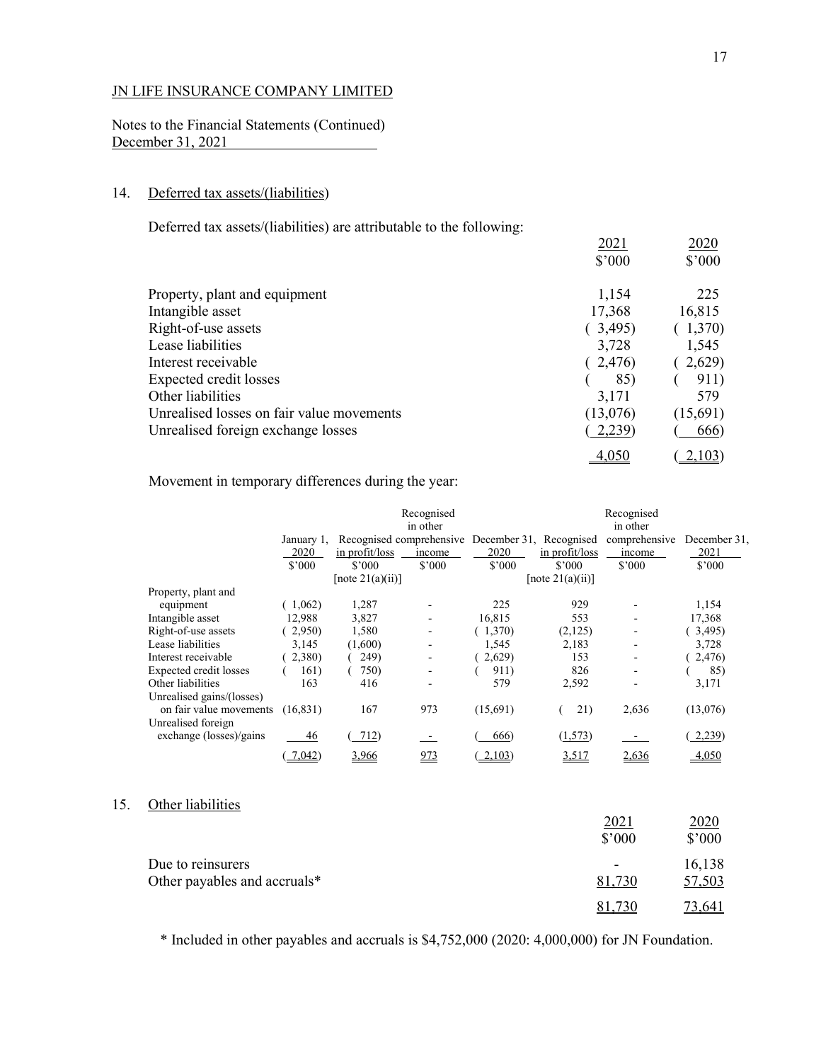Notes to the Financial Statements (Continued) December 31, 2021

# 14. Deferred tax assets/(liabilities)

Deferred tax assets/(liabilities) are attributable to the following:

|                                           | 2021     | 2020          |
|-------------------------------------------|----------|---------------|
|                                           | \$'000   | \$'000        |
| Property, plant and equipment             | 1,154    | 225           |
| Intangible asset                          | 17,368   | 16,815        |
| Right-of-use assets                       | (3,495)  | 1,370)        |
| Lease liabilities                         | 3,728    | 1,545         |
| Interest receivable                       | (2,476)  | 2,629)        |
| Expected credit losses                    | 85)      | 911)          |
| Other liabilities                         | 3,171    | 579           |
| Unrealised losses on fair value movements | (13,076) | (15,691)      |
| Unrealised foreign exchange losses        | (2,239)  | <u>(666</u> ) |
|                                           | 4,050    | 2,103         |

Movement in temporary differences during the year:

|                                                      |                    |                     | Recognised<br>in other | Recognised comprehensive December 31, Recognised |                     | Recognised<br>in other<br>comprehensive | December 31. |
|------------------------------------------------------|--------------------|---------------------|------------------------|--------------------------------------------------|---------------------|-----------------------------------------|--------------|
|                                                      | January 1,<br>2020 | in profit/loss      | income                 | 2020                                             | in profit/loss      | income                                  | 2021         |
|                                                      | \$7000             | $$^{\prime}000$     | \$3000                 | \$3000                                           | \$3000              | \$7000                                  | \$3000       |
|                                                      |                    | [note $21(a)(ii)$ ] |                        |                                                  | [note $21(a)(ii)$ ] |                                         |              |
| Property, plant and                                  |                    |                     |                        |                                                  |                     |                                         |              |
| equipment                                            | 1,062)             | 1,287               |                        | 225                                              | 929                 |                                         | 1,154        |
| Intangible asset                                     | 12,988             | 3,827               |                        | 16,815                                           | 553                 |                                         | 17,368       |
| Right-of-use assets                                  | (2,950)            | 1,580               |                        | (1,370)                                          | (2,125)             |                                         | 3,495)       |
| Lease liabilities                                    | 3,145              | (1,600)             |                        | 1,545                                            | 2,183               |                                         | 3,728        |
| Interest receivable                                  | 2,380)             | 249)                |                        | 2,629                                            | 153                 |                                         | 2,476)       |
| Expected credit losses                               | 161)               | 750)                |                        | 911)                                             | 826                 |                                         | 85)          |
| Other liabilities                                    | 163                | 416                 |                        | 579                                              | 2,592               |                                         | 3,171        |
| Unrealised gains/(losses)<br>on fair value movements | (16, 831)          | 167                 | 973                    | (15,691)                                         | 21)                 | 2,636                                   | (13,076)     |
| Unrealised foreign<br>exchange (losses)/gains        | 46                 | 712)                |                        | 666)                                             | (1,573)             |                                         | 2,239        |
|                                                      | 7,042)             | 3,966               | 973                    | 2,103                                            | 3,517               | 2,636                                   | 4,050        |

# 15. Other liabilities

|                              | 2021<br>\$'000           | 2020<br>\$'000 |
|------------------------------|--------------------------|----------------|
| Due to reinsurers            | $\overline{\phantom{0}}$ | 16,138         |
| Other payables and accruals* | 81,730                   | 57,503         |
|                              | 730                      | 3.641          |

\* Included in other payables and accruals is \$4,752,000 (2020: 4,000,000) for JN Foundation.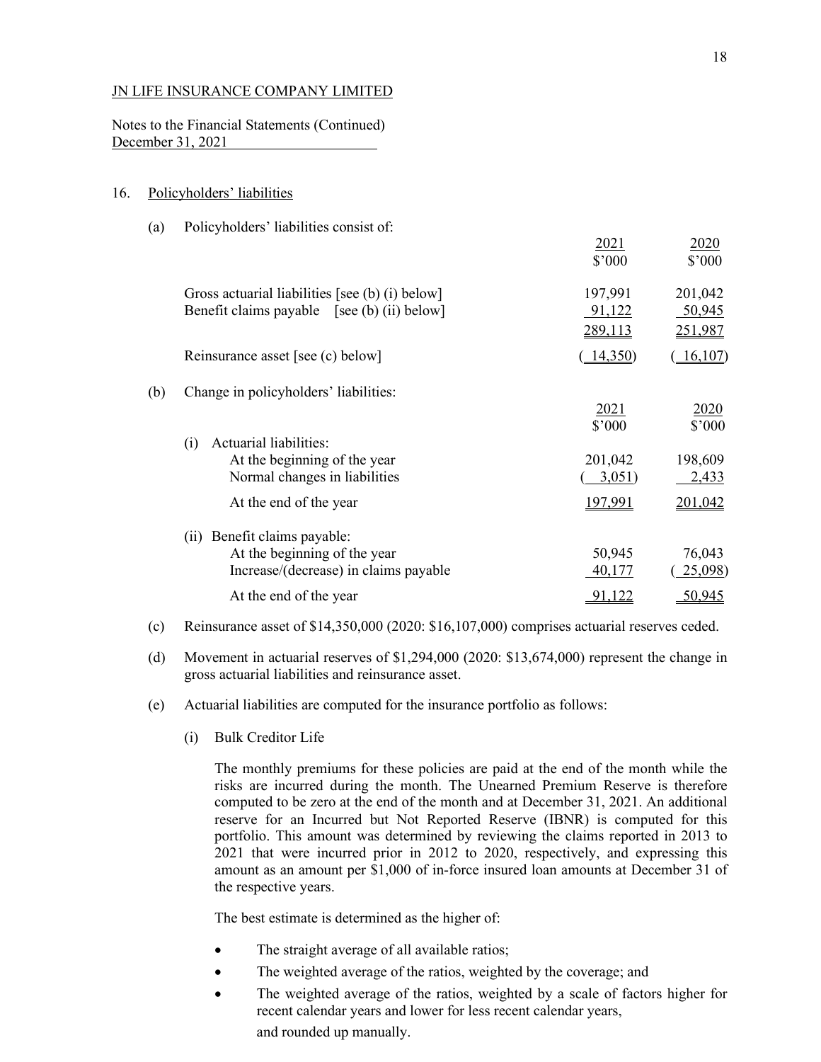Notes to the Financial Statements (Continued) December 31, 2021

#### 16. Policyholders' liabilities

| (a) | Policyholders' liabilities consist of:          |         |             |
|-----|-------------------------------------------------|---------|-------------|
|     |                                                 | 2021    | <u>2020</u> |
|     |                                                 | \$'000  | \$'000      |
|     | Gross actuarial liabilities [see (b) (i) below] | 197,991 | 201,042     |
|     | Benefit claims payable [see (b) (ii) below]     | 91,122  | 50,945      |
|     |                                                 | 289,113 | 251,987     |
|     | Reinsurance asset [see (c) below]               | 14,350  | 16,107      |
| (b) | Change in policyholders' liabilities:           |         |             |
|     |                                                 | 2021    | <u>2020</u> |
|     |                                                 | \$'000  | \$'000      |
|     | Actuarial liabilities:<br>(i)                   |         |             |
|     | At the beginning of the year                    | 201,042 | 198,609     |
|     | Normal changes in liabilities                   | 3,051   | 2,433       |
|     | At the end of the year                          | 197,991 | 201,042     |
|     | (ii) Benefit claims payable:                    |         |             |
|     | At the beginning of the year                    | 50,945  | 76,043      |
|     | Increase/(decrease) in claims payable           | 40,177  | 25,098      |
|     | At the end of the year                          | 91,122  | 50,945      |
|     |                                                 |         |             |

- (c) Reinsurance asset of \$14,350,000 (2020: \$16,107,000) comprises actuarial reserves ceded.
- (d) Movement in actuarial reserves of \$1,294,000 (2020: \$13,674,000) represent the change in gross actuarial liabilities and reinsurance asset.
- (e) Actuarial liabilities are computed for the insurance portfolio as follows:
	- (i) Bulk Creditor Life

The monthly premiums for these policies are paid at the end of the month while the risks are incurred during the month. The Unearned Premium Reserve is therefore computed to be zero at the end of the month and at December 31, 2021. An additional reserve for an Incurred but Not Reported Reserve (IBNR) is computed for this portfolio. This amount was determined by reviewing the claims reported in 2013 to 2021 that were incurred prior in 2012 to 2020, respectively, and expressing this amount as an amount per \$1,000 of in-force insured loan amounts at December 31 of the respective years.

The best estimate is determined as the higher of:

- The straight average of all available ratios;
- The weighted average of the ratios, weighted by the coverage; and
- The weighted average of the ratios, weighted by a scale of factors higher for recent calendar years and lower for less recent calendar years, and rounded up manually.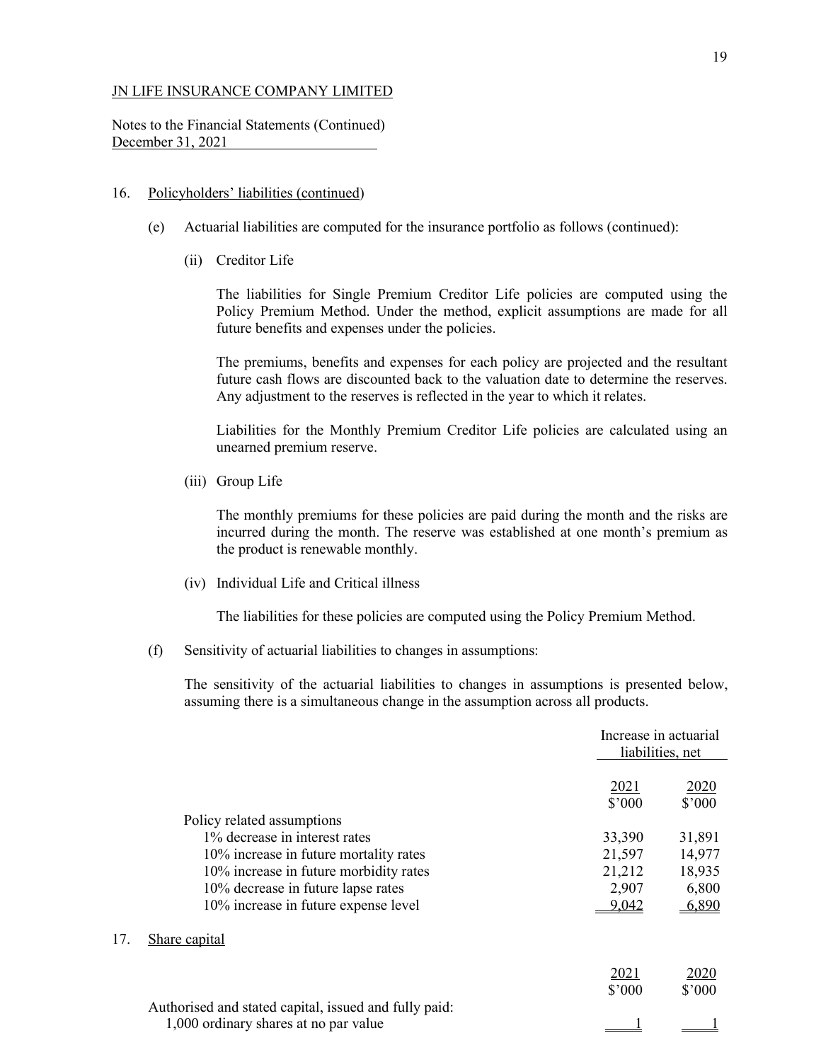Notes to the Financial Statements (Continued) December 31, 2021

# 16. Policyholders' liabilities (continued)

- (e) Actuarial liabilities are computed for the insurance portfolio as follows (continued):
	- (ii) Creditor Life

The liabilities for Single Premium Creditor Life policies are computed using the Policy Premium Method. Under the method, explicit assumptions are made for all future benefits and expenses under the policies.

The premiums, benefits and expenses for each policy are projected and the resultant future cash flows are discounted back to the valuation date to determine the reserves. Any adjustment to the reserves is reflected in the year to which it relates.

Liabilities for the Monthly Premium Creditor Life policies are calculated using an unearned premium reserve.

(iii) Group Life

 $17.$ 

The monthly premiums for these policies are paid during the month and the risks are incurred during the month. The reserve was established at one month's premium as the product is renewable monthly.

(iv) Individual Life and Critical illness

The liabilities for these policies are computed using the Policy Premium Method.

(f) Sensitivity of actuarial liabilities to changes in assumptions:

The sensitivity of the actuarial liabilities to changes in assumptions is presented below, assuming there is a simultaneous change in the assumption across all products.

|                                                       |        | Increase in actuarial<br>liabilities, net |  |
|-------------------------------------------------------|--------|-------------------------------------------|--|
|                                                       |        |                                           |  |
|                                                       | 2021   | 2020                                      |  |
|                                                       | \$'000 | \$'000                                    |  |
| Policy related assumptions                            |        |                                           |  |
| 1% decrease in interest rates                         | 33,390 | 31,891                                    |  |
| 10% increase in future mortality rates                | 21,597 | 14,977                                    |  |
| 10% increase in future morbidity rates                | 21,212 | 18,935                                    |  |
| 10% decrease in future lapse rates                    | 2,907  | 6,800                                     |  |
| 10% increase in future expense level                  | 9,042  | 6,890                                     |  |
| Share capital                                         |        |                                           |  |
|                                                       | 2021   | 2020                                      |  |
|                                                       | \$'000 | \$'000                                    |  |
| Authorised and stated capital, issued and fully paid: |        |                                           |  |
| 1,000 ordinary shares at no par value                 |        |                                           |  |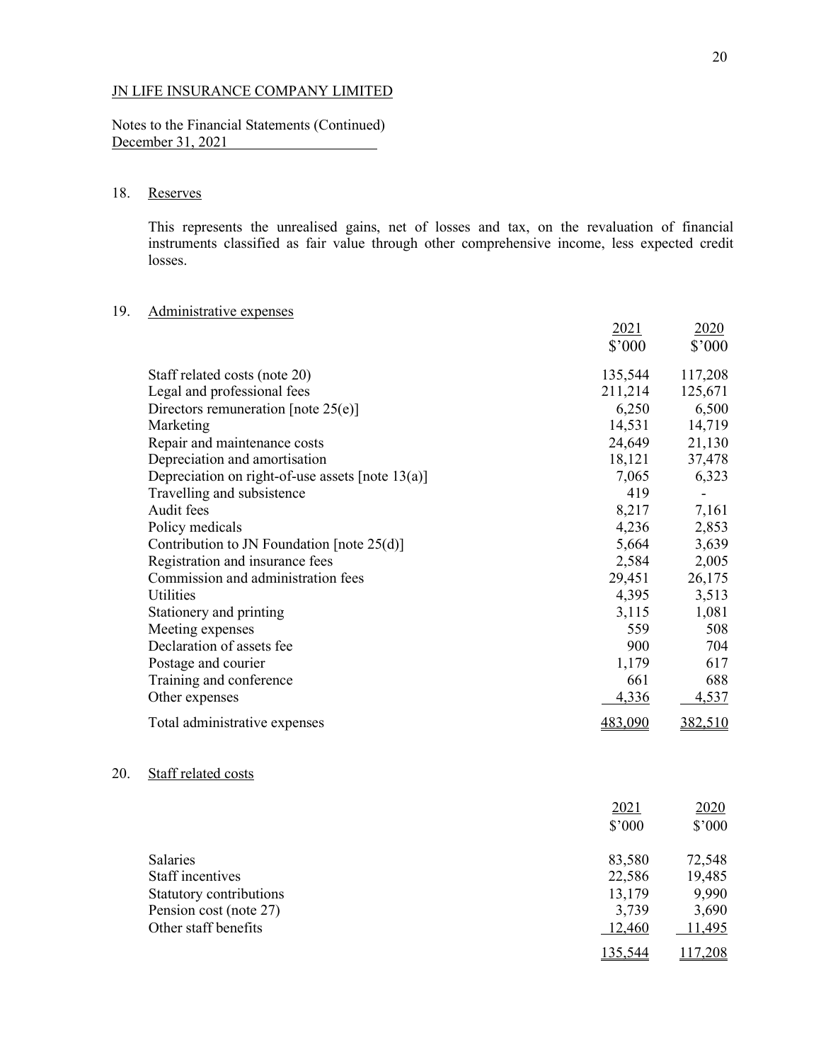Notes to the Financial Statements (Continued) December 31, 2021

# 18. Reserves

This represents the unrealised gains, net of losses and tax, on the revaluation of financial instruments classified as fair value through other comprehensive income, less expected credit losses.

# 19. Administrative expenses

|                                                     | 2021    | 2020    |
|-----------------------------------------------------|---------|---------|
|                                                     | \$'000  | \$000   |
| Staff related costs (note 20)                       | 135,544 | 117,208 |
| Legal and professional fees                         | 211,214 | 125,671 |
| Directors remuneration [note $25(e)$ ]              | 6,250   | 6,500   |
| Marketing                                           | 14,531  | 14,719  |
| Repair and maintenance costs                        | 24,649  | 21,130  |
| Depreciation and amortisation                       | 18,121  | 37,478  |
| Depreciation on right-of-use assets [note $13(a)$ ] | 7,065   | 6,323   |
| Travelling and subsistence                          | 419     |         |
| Audit fees                                          | 8,217   | 7,161   |
| Policy medicals                                     | 4,236   | 2,853   |
| Contribution to JN Foundation [note $25(d)$ ]       | 5,664   | 3,639   |
| Registration and insurance fees                     | 2,584   | 2,005   |
| Commission and administration fees                  | 29,451  | 26,175  |
| Utilities                                           | 4,395   | 3,513   |
| Stationery and printing                             | 3,115   | 1,081   |
| Meeting expenses                                    | 559     | 508     |
| Declaration of assets fee                           | 900     | 704     |
| Postage and courier                                 | 1,179   | 617     |
| Training and conference                             | 661     | 688     |
| Other expenses                                      | 4,336   | 4,537   |
| Total administrative expenses                       | 483,090 | 382,510 |

# 20. Staff related costs

|                         | 2021    | 2020           |
|-------------------------|---------|----------------|
|                         | \$'000  | \$'000         |
| Salaries                | 83,580  | 72,548         |
| Staff incentives        | 22,586  | 19,485         |
| Statutory contributions | 13,179  | 9,990          |
| Pension cost (note 27)  | 3,739   | 3,690          |
| Other staff benefits    | 12,460  | 11,495         |
|                         | 135,544 | <u>117,208</u> |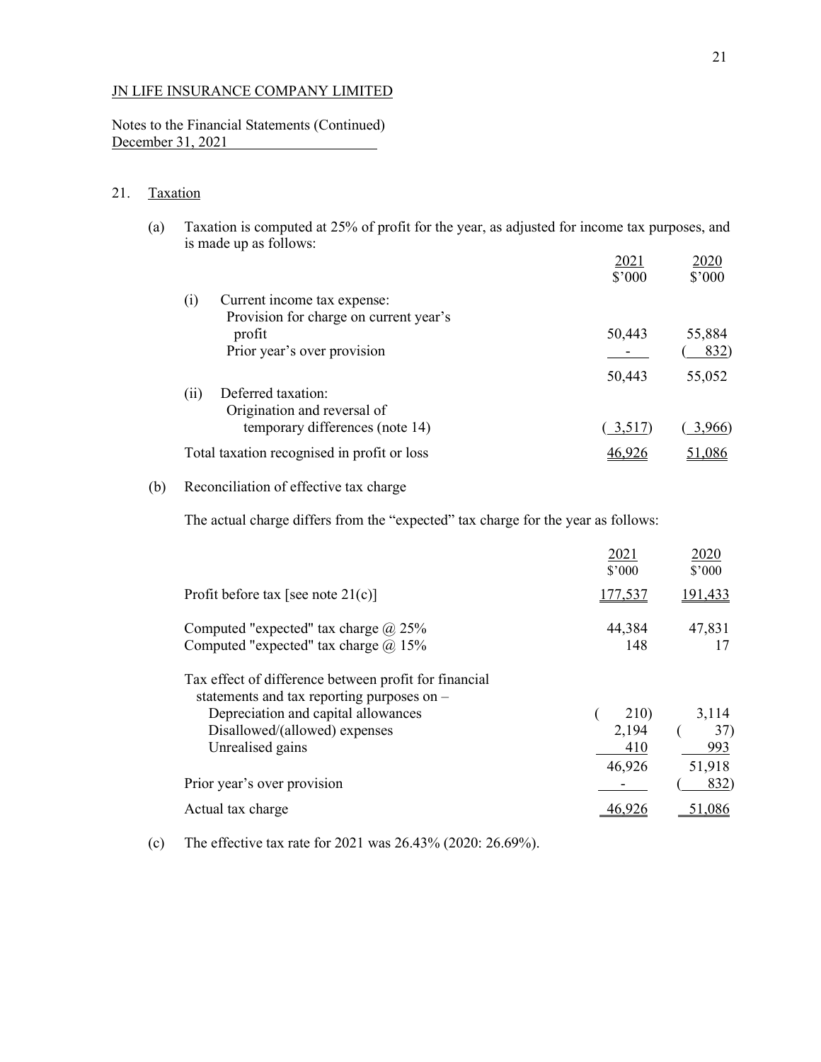Notes to the Financial Statements (Continued) December 31, 2021

# 21. Taxation

(a) Taxation is computed at 25% of profit for the year, as adjusted for income tax purposes, and is made up as follows: 2021 2020

|          |                                             | ZUZI<br>\$'000 | ZUZU<br>\$'000 |
|----------|---------------------------------------------|----------------|----------------|
| $\rm(i)$ | Current income tax expense:                 |                |                |
|          | Provision for charge on current year's      |                |                |
|          | profit                                      | 50,443         | 55,884         |
|          | Prior year's over provision                 |                | 832)           |
|          |                                             | 50,443         | 55,052         |
| (i)      | Deferred taxation:                          |                |                |
|          | Origination and reversal of                 |                |                |
|          | temporary differences (note 14)             | (3,517)        | 3,966)         |
|          | Total taxation recognised in profit or loss |                | .086           |
|          |                                             |                |                |

# (b) Reconciliation of effective tax charge

The actual charge differs from the "expected" tax charge for the year as follows:

|                                                                                                                                                                                                   | 2021<br>\$'000                 | 2020<br>\$'000                |
|---------------------------------------------------------------------------------------------------------------------------------------------------------------------------------------------------|--------------------------------|-------------------------------|
| Profit before tax [see note $21(c)$ ]                                                                                                                                                             | 177.537                        | 191.433                       |
| Computed "expected" tax charge $\omega$ 25%<br>Computed "expected" tax charge $\omega$ 15%                                                                                                        | 44,384<br>148                  | 47,831<br>17                  |
| Tax effect of difference between profit for financial<br>statements and tax reporting purposes on $-$<br>Depreciation and capital allowances<br>Disallowed/(allowed) expenses<br>Unrealised gains | 210)<br>2,194<br>410<br>46,926 | 3,114<br>37)<br>993<br>51,918 |
| Prior year's over provision                                                                                                                                                                       |                                | 832)                          |
| Actual tax charge                                                                                                                                                                                 |                                |                               |
|                                                                                                                                                                                                   |                                |                               |

(c) The effective tax rate for 2021 was 26.43% (2020: 26.69%).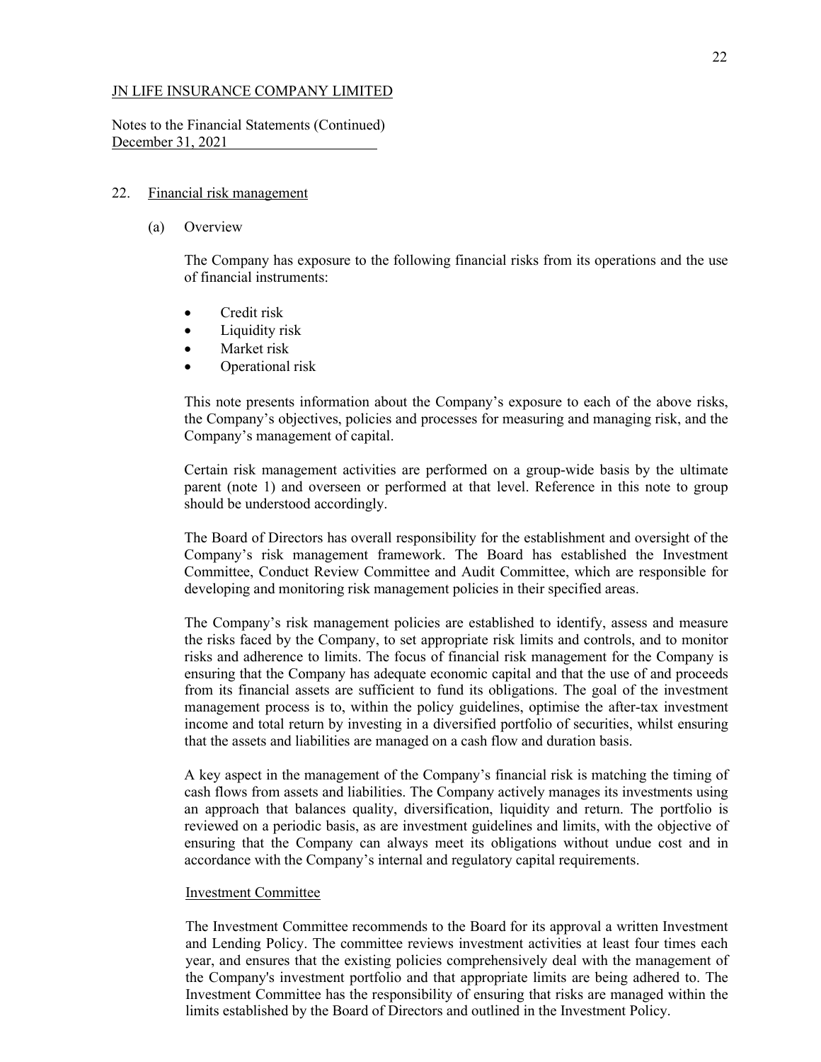Notes to the Financial Statements (Continued) December 31, 2021

#### 22. Financial risk management

(a) Overview

The Company has exposure to the following financial risks from its operations and the use of financial instruments:

- Credit risk
- Liquidity risk
- Market risk
- Operational risk

This note presents information about the Company's exposure to each of the above risks, the Company's objectives, policies and processes for measuring and managing risk, and the Company's management of capital.

Certain risk management activities are performed on a group-wide basis by the ultimate parent (note 1) and overseen or performed at that level. Reference in this note to group should be understood accordingly.

The Board of Directors has overall responsibility for the establishment and oversight of the Company's risk management framework. The Board has established the Investment Committee, Conduct Review Committee and Audit Committee, which are responsible for developing and monitoring risk management policies in their specified areas.

The Company's risk management policies are established to identify, assess and measure the risks faced by the Company, to set appropriate risk limits and controls, and to monitor risks and adherence to limits. The focus of financial risk management for the Company is ensuring that the Company has adequate economic capital and that the use of and proceeds from its financial assets are sufficient to fund its obligations. The goal of the investment management process is to, within the policy guidelines, optimise the after-tax investment income and total return by investing in a diversified portfolio of securities, whilst ensuring that the assets and liabilities are managed on a cash flow and duration basis.

A key aspect in the management of the Company's financial risk is matching the timing of cash flows from assets and liabilities. The Company actively manages its investments using an approach that balances quality, diversification, liquidity and return. The portfolio is reviewed on a periodic basis, as are investment guidelines and limits, with the objective of ensuring that the Company can always meet its obligations without undue cost and in accordance with the Company's internal and regulatory capital requirements.

#### Investment Committee

The Investment Committee recommends to the Board for its approval a written Investment and Lending Policy. The committee reviews investment activities at least four times each year, and ensures that the existing policies comprehensively deal with the management of the Company's investment portfolio and that appropriate limits are being adhered to. The Investment Committee has the responsibility of ensuring that risks are managed within the limits established by the Board of Directors and outlined in the Investment Policy.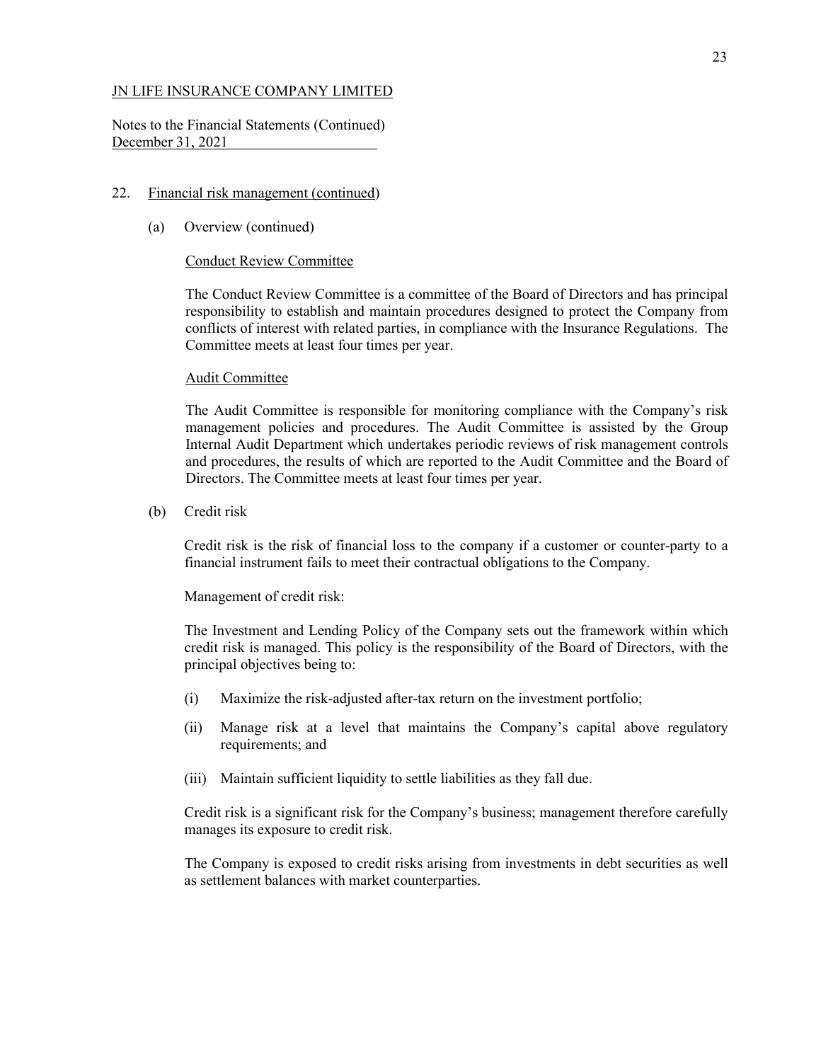Notes to the Financial Statements (Continued) December 31, 2021

# 22. Financial risk management (continued)

(a) Overview (continued)

#### Conduct Review Committee

The Conduct Review Committee is a committee of the Board of Directors and has principal responsibility to establish and maintain procedures designed to protect the Company from conflicts of interest with related parties, in compliance with the Insurance Regulations. The Committee meets at least four times per year.

#### Audit Committee

The Audit Committee is responsible for monitoring compliance with the Company's risk management policies and procedures. The Audit Committee is assisted by the Group Internal Audit Department which undertakes periodic reviews of risk management controls and procedures, the results of which are reported to the Audit Committee and the Board of Directors. The Committee meets at least four times per year.

(b) Credit risk

Credit risk is the risk of financial loss to the company if a customer or counter-party to a financial instrument fails to meet their contractual obligations to the Company.

#### Management of credit risk:

The Investment and Lending Policy of the Company sets out the framework within which credit risk is managed. This policy is the responsibility of the Board of Directors, with the principal objectives being to:

- (i) Maximize the risk-adjusted after-tax return on the investment portfolio;
- (ii) Manage risk at a level that maintains the Company's capital above regulatory requirements; and
- (iii) Maintain sufficient liquidity to settle liabilities as they fall due.

Credit risk is a significant risk for the Company's business; management therefore carefully manages its exposure to credit risk.

The Company is exposed to credit risks arising from investments in debt securities as well as settlement balances with market counterparties.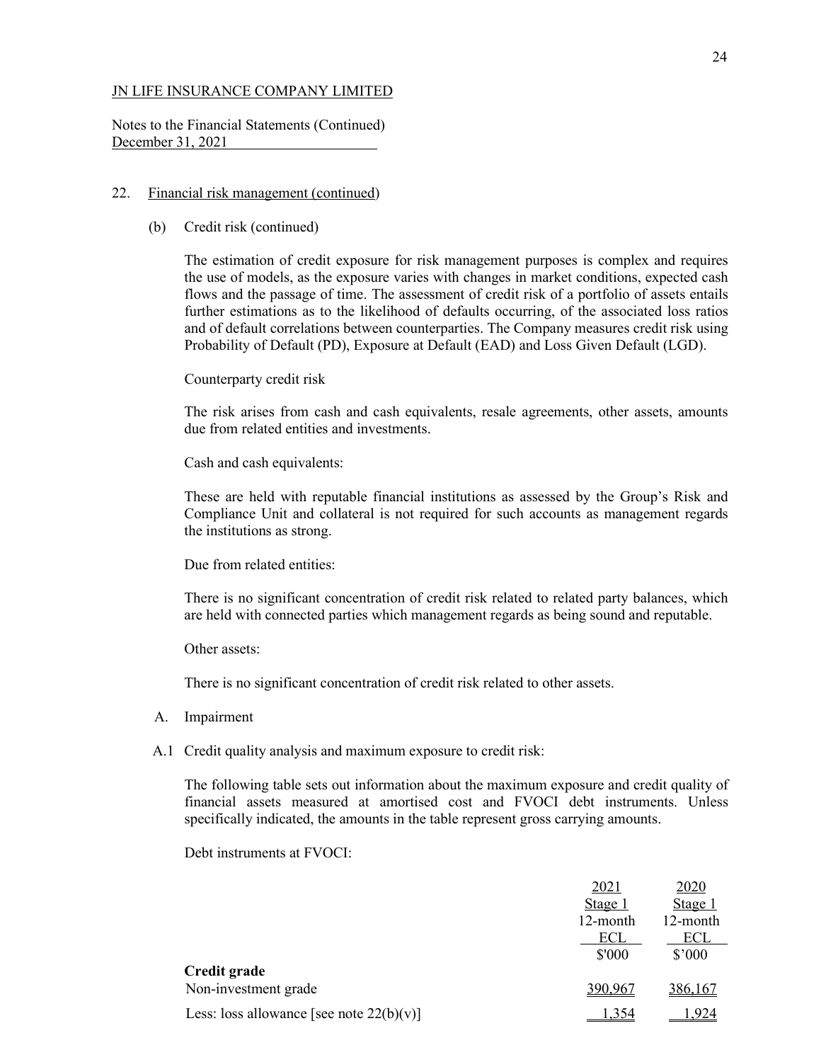Notes to the Financial Statements (Continued) December 31, 2021

# 22. Financial risk management (continued)

(b) Credit risk (continued)

The estimation of credit exposure for risk management purposes is complex and requires the use of models, as the exposure varies with changes in market conditions, expected cash flows and the passage of time. The assessment of credit risk of a portfolio of assets entails further estimations as to the likelihood of defaults occurring, of the associated loss ratios and of default correlations between counterparties. The Company measures credit risk using Probability of Default (PD), Exposure at Default (EAD) and Loss Given Default (LGD).

#### Counterparty credit risk

The risk arises from cash and cash equivalents, resale agreements, other assets, amounts due from related entities and investments.

Cash and cash equivalents:

These are held with reputable financial institutions as assessed by the Group's Risk and Compliance Unit and collateral is not required for such accounts as management regards the institutions as strong.

Due from related entities:

There is no significant concentration of credit risk related to related party balances, which are held with connected parties which management regards as being sound and reputable.

Other assets:

There is no significant concentration of credit risk related to other assets.

- A. Impairment
- A.1 Credit quality analysis and maximum exposure to credit risk:

The following table sets out information about the maximum exposure and credit quality of financial assets measured at amortised cost and FVOCI debt instruments. Unless specifically indicated, the amounts in the table represent gross carrying amounts.

Debt instruments at FVOCI:

|                                             | 2021     | 2020     |
|---------------------------------------------|----------|----------|
|                                             | Stage 1  | Stage 1  |
|                                             | 12-month | 12-month |
|                                             | ECL      | ECL      |
|                                             | \$'000   | \$'000   |
| Credit grade                                |          |          |
| Non-investment grade                        | 390,967  | 386,167  |
| Less: loss allowance [see note $22(b)(v)$ ] | .354     |          |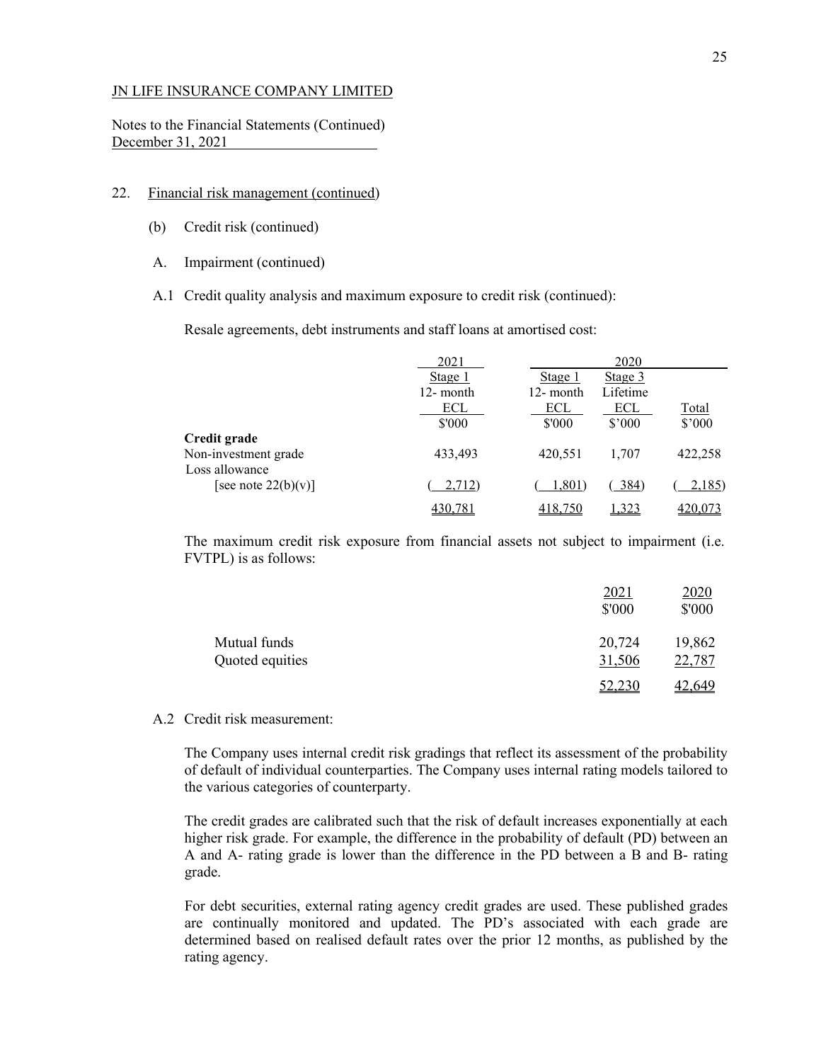Notes to the Financial Statements (Continued) December 31, 2021

# 22. Financial risk management (continued)

- (b) Credit risk (continued)
- A. Impairment (continued)
- A.1 Credit quality analysis and maximum exposure to credit risk (continued):

Resale agreements, debt instruments and staff loans at amortised cost:

| 2021      |           | 2020           |         |
|-----------|-----------|----------------|---------|
| Stage 1   | Stage 1   | Stage 3        |         |
| 12- month | 12- month | Lifetime       |         |
| ECL       | ECL       | ECL            | Total   |
| \$'000    | \$'000    | $$^{\circ}000$ | \$'000  |
|           |           |                |         |
| 433,493   | 420,551   | 1,707          | 422,258 |
|           |           |                |         |
|           | 1,801)    |                | 2,185   |
| 430,781   | 418.750   | 1,323          | 420,073 |
|           | 2,712)    |                | 384)    |

The maximum credit risk exposure from financial assets not subject to impairment (i.e. FVTPL) is as follows:

|                 | 2021<br>\$'000 | 2020<br>\$'000 |
|-----------------|----------------|----------------|
| Mutual funds    | 20,724         | 19,862         |
| Quoted equities | 31,506         | 22,787         |
|                 |                | .649           |

A.2 Credit risk measurement:

The Company uses internal credit risk gradings that reflect its assessment of the probability of default of individual counterparties. The Company uses internal rating models tailored to the various categories of counterparty.

The credit grades are calibrated such that the risk of default increases exponentially at each higher risk grade. For example, the difference in the probability of default (PD) between an A and A- rating grade is lower than the difference in the PD between a B and B- rating grade.

For debt securities, external rating agency credit grades are used. These published grades are continually monitored and updated. The PD's associated with each grade are determined based on realised default rates over the prior 12 months, as published by the rating agency.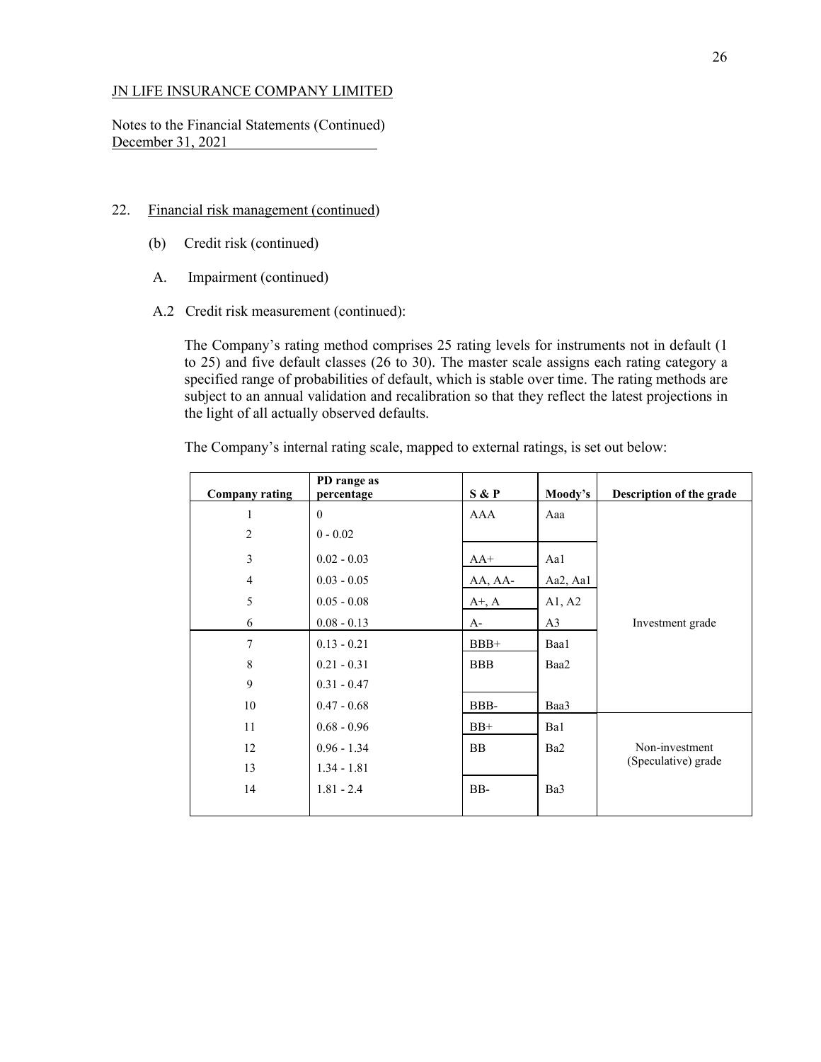Notes to the Financial Statements (Continued) December 31, 2021

# 22. Financial risk management (continued)

- (b) Credit risk (continued)
- A. Impairment (continued)
- A.2 Credit risk measurement (continued):

The Company's rating method comprises 25 rating levels for instruments not in default (1 to 25) and five default classes (26 to 30). The master scale assigns each rating category a specified range of probabilities of default, which is stable over time. The rating methods are subject to an annual validation and recalibration so that they reflect the latest projections in the light of all actually observed defaults.

The Company's internal rating scale, mapped to external ratings, is set out below:

| <b>Company rating</b> | PD range as<br>percentage | S & P      | Moody's         | <b>Description of the grade</b> |
|-----------------------|---------------------------|------------|-----------------|---------------------------------|
| $\mathbf{1}$          | $\mathbf{0}$              | AAA        | Aaa             |                                 |
| $\overline{2}$        | $0 - 0.02$                |            |                 |                                 |
| 3                     | $0.02 - 0.03$             | $AA+$      | Aal             |                                 |
| $\overline{4}$        | $0.03 - 0.05$             | AA, AA-    | Aa2, Aa1        |                                 |
| 5                     | $0.05 - 0.08$             | $A^+, A$   | A1, A2          |                                 |
| 6                     | $0.08 - 0.13$             | $A-$       | A <sub>3</sub>  | Investment grade                |
| $\tau$                | $0.13 - 0.21$             | $BBB+$     | Baa1            |                                 |
| 8                     | $0.21 - 0.31$             | <b>BBB</b> | Baa2            |                                 |
| 9                     | $0.31 - 0.47$             |            |                 |                                 |
| 10                    | $0.47 - 0.68$             | BBB-       | Baa3            |                                 |
| 11                    | $0.68 - 0.96$             | $BB+$      | Ba1             |                                 |
| 12                    | $0.96 - 1.34$             | <b>BB</b>  | Ba <sub>2</sub> | Non-investment                  |
| 13                    | $1.34 - 1.81$             |            |                 | (Speculative) grade             |
| 14                    | $1.81 - 2.4$              | BB-        | Ba3             |                                 |
|                       |                           |            |                 |                                 |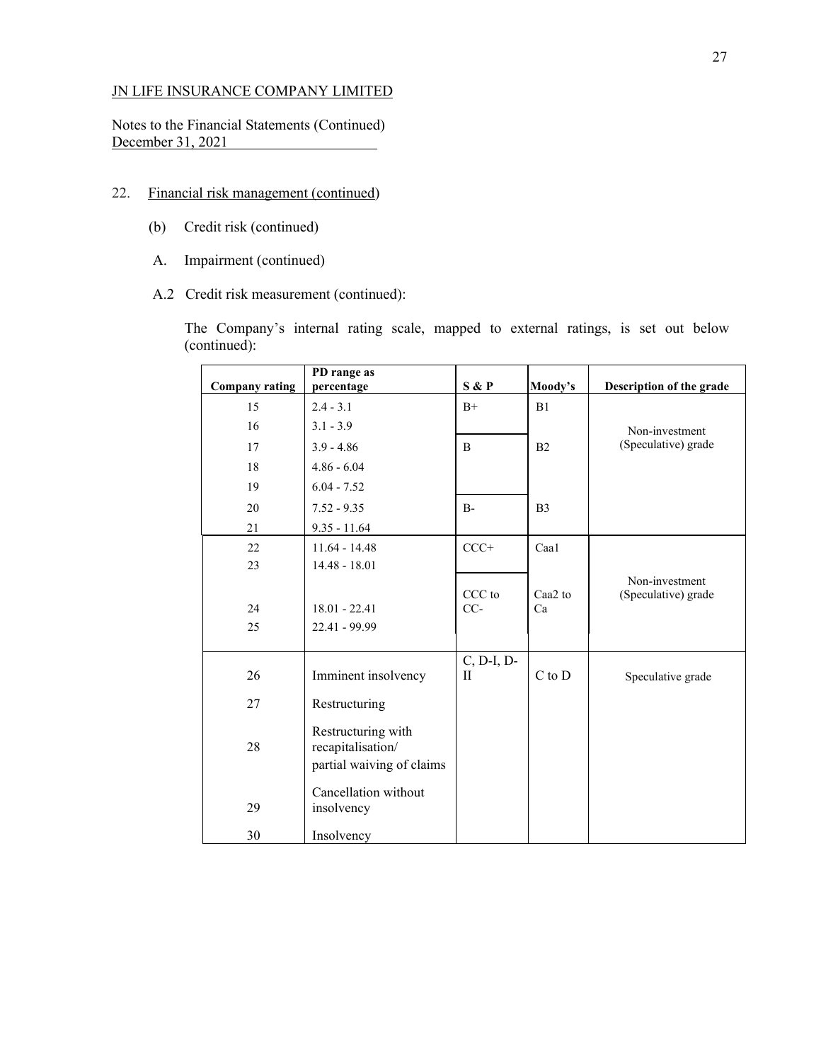Notes to the Financial Statements (Continued) December 31, 2021

# 22. Financial risk management (continued)

- (b) Credit risk (continued)
- A. Impairment (continued)
- A.2 Credit risk measurement (continued):

The Company's internal rating scale, mapped to external ratings, is set out below (continued):

|                       | PD range as                                                          | S & P        |                     |                                       |
|-----------------------|----------------------------------------------------------------------|--------------|---------------------|---------------------------------------|
| <b>Company rating</b> | percentage                                                           |              | Moody's             | Description of the grade              |
| 15                    | $2.4 - 3.1$                                                          | $B+$         | B1                  |                                       |
| 16                    | $3.1 - 3.9$                                                          |              |                     | Non-investment                        |
| 17                    | $3.9 - 4.86$                                                         | B            | B2                  | (Speculative) grade                   |
| 18                    | $4.86 - 6.04$                                                        |              |                     |                                       |
| 19                    | $6.04 - 7.52$                                                        |              |                     |                                       |
| 20                    | $7.52 - 9.35$                                                        | $B -$        | B <sub>3</sub>      |                                       |
| 21                    | $9.35 - 11.64$                                                       |              |                     |                                       |
| 22                    | $11.64 - 14.48$                                                      | $CCC+$       | Caa1                |                                       |
| 23                    | $14.48 - 18.01$                                                      |              |                     |                                       |
|                       |                                                                      | CCC to       | Caa <sub>2</sub> to | Non-investment<br>(Speculative) grade |
| 24                    | $18.01 - 22.41$                                                      | $CC-$        | Ca                  |                                       |
| 25                    | 22.41 - 99.99                                                        |              |                     |                                       |
|                       |                                                                      |              |                     |                                       |
|                       |                                                                      | C, D-I, D-   |                     |                                       |
| 26                    | Imminent insolvency                                                  | $\mathbf{H}$ | $C$ to $D$          | Speculative grade                     |
| 27                    | Restructuring                                                        |              |                     |                                       |
| 28                    | Restructuring with<br>recapitalisation/<br>partial waiving of claims |              |                     |                                       |
| 29                    | Cancellation without<br>insolvency                                   |              |                     |                                       |
| 30                    | Insolvency                                                           |              |                     |                                       |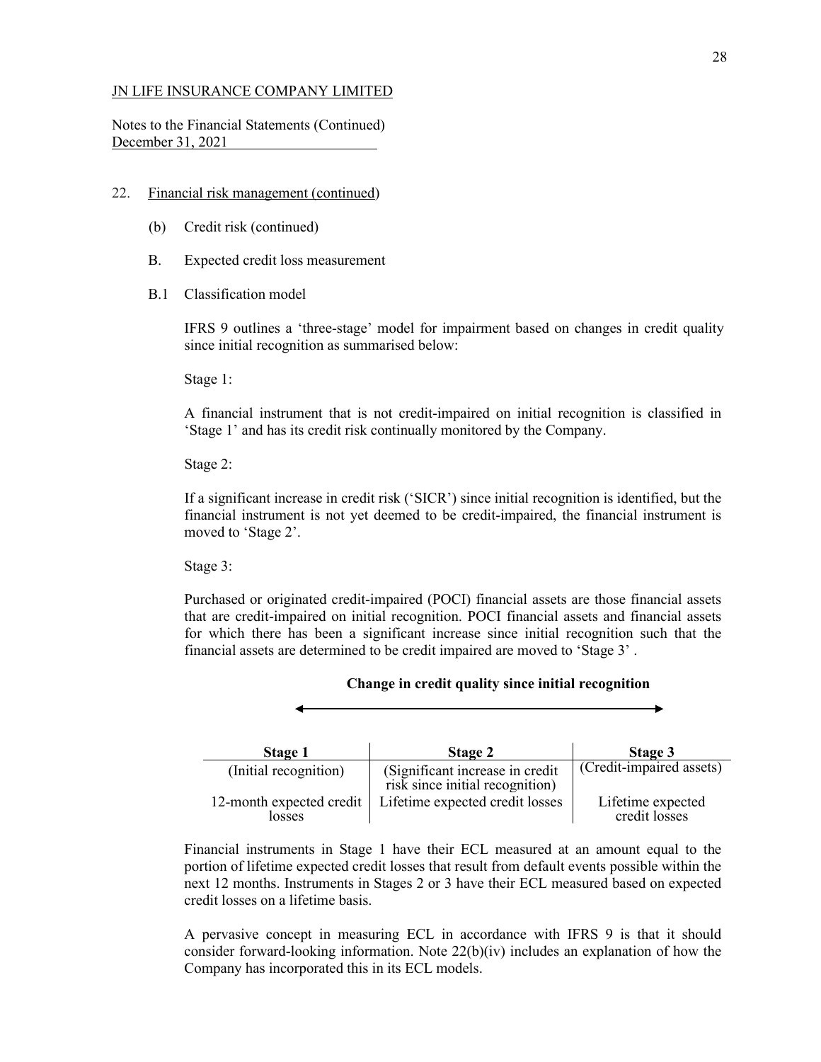Notes to the Financial Statements (Continued) December 31, 2021

#### 22. Financial risk management (continued)

- (b) Credit risk (continued)
- B. Expected credit loss measurement
- B.1 Classification model

IFRS 9 outlines a 'three-stage' model for impairment based on changes in credit quality since initial recognition as summarised below:

Stage 1:

A financial instrument that is not credit-impaired on initial recognition is classified in 'Stage 1' and has its credit risk continually monitored by the Company.

Stage 2:

If a significant increase in credit risk ('SICR') since initial recognition is identified, but the financial instrument is not yet deemed to be credit-impaired, the financial instrument is moved to 'Stage 2'.

Stage 3:

Purchased or originated credit-impaired (POCI) financial assets are those financial assets that are credit-impaired on initial recognition. POCI financial assets and financial assets for which there has been a significant increase since initial recognition such that the financial assets are determined to be credit impaired are moved to 'Stage 3' .



Financial instruments in Stage 1 have their ECL measured at an amount equal to the portion of lifetime expected credit losses that result from default events possible within the next 12 months. Instruments in Stages 2 or 3 have their ECL measured based on expected credit losses on a lifetime basis.

A pervasive concept in measuring ECL in accordance with IFRS 9 is that it should consider forward-looking information. Note 22(b)(iv) includes an explanation of how the Company has incorporated this in its ECL models.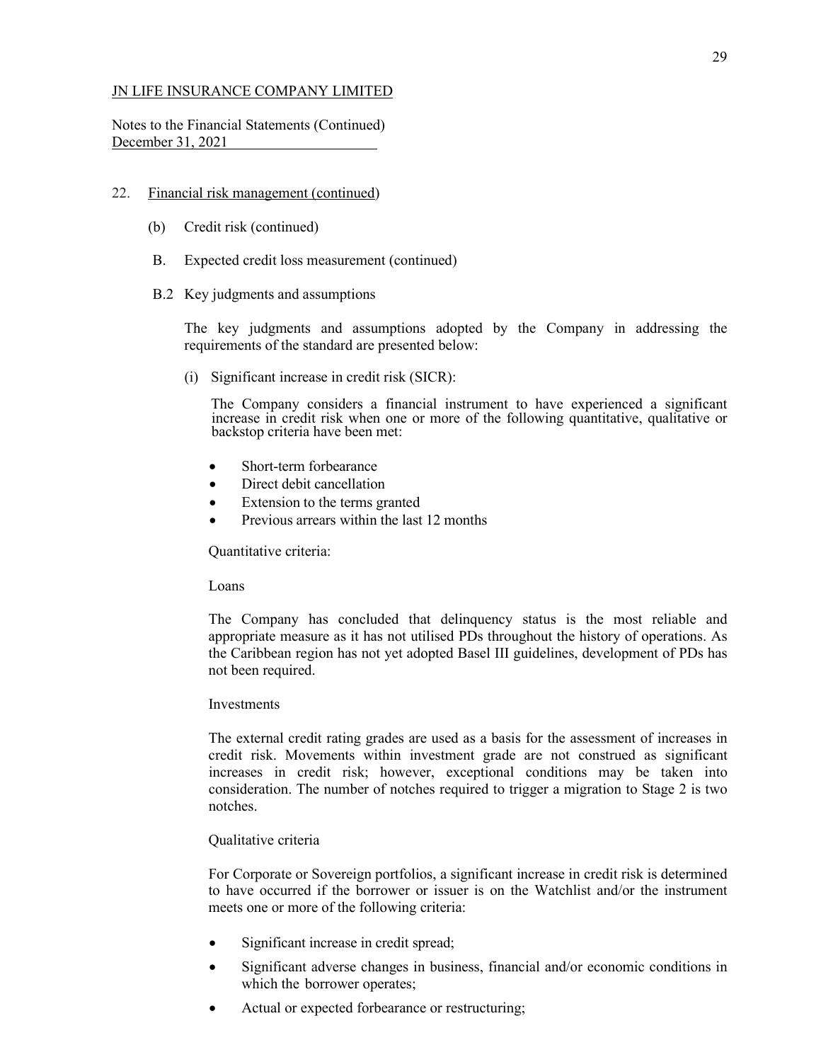Notes to the Financial Statements (Continued) December 31, 2021

# 22. Financial risk management (continued)

- (b) Credit risk (continued)
- B. Expected credit loss measurement (continued)
- B.2 Key judgments and assumptions

The key judgments and assumptions adopted by the Company in addressing the requirements of the standard are presented below:

(i) Significant increase in credit risk (SICR):

The Company considers a financial instrument to have experienced a significant increase in credit risk when one or more of the following quantitative, qualitative or backstop criteria have been met:

- Short-term forbearance
- Direct debit cancellation
- Extension to the terms granted
- Previous arrears within the last 12 months

Quantitative criteria:

### Loans

The Company has concluded that delinquency status is the most reliable and appropriate measure as it has not utilised PDs throughout the history of operations. As the Caribbean region has not yet adopted Basel III guidelines, development of PDs has not been required.

### **Investments**

The external credit rating grades are used as a basis for the assessment of increases in credit risk. Movements within investment grade are not construed as significant increases in credit risk; however, exceptional conditions may be taken into consideration. The number of notches required to trigger a migration to Stage 2 is two notches.

### Qualitative criteria

For Corporate or Sovereign portfolios, a significant increase in credit risk is determined to have occurred if the borrower or issuer is on the Watchlist and/or the instrument meets one or more of the following criteria:

- Significant increase in credit spread;
- Significant adverse changes in business, financial and/or economic conditions in which the borrower operates;
- Actual or expected forbearance or restructuring;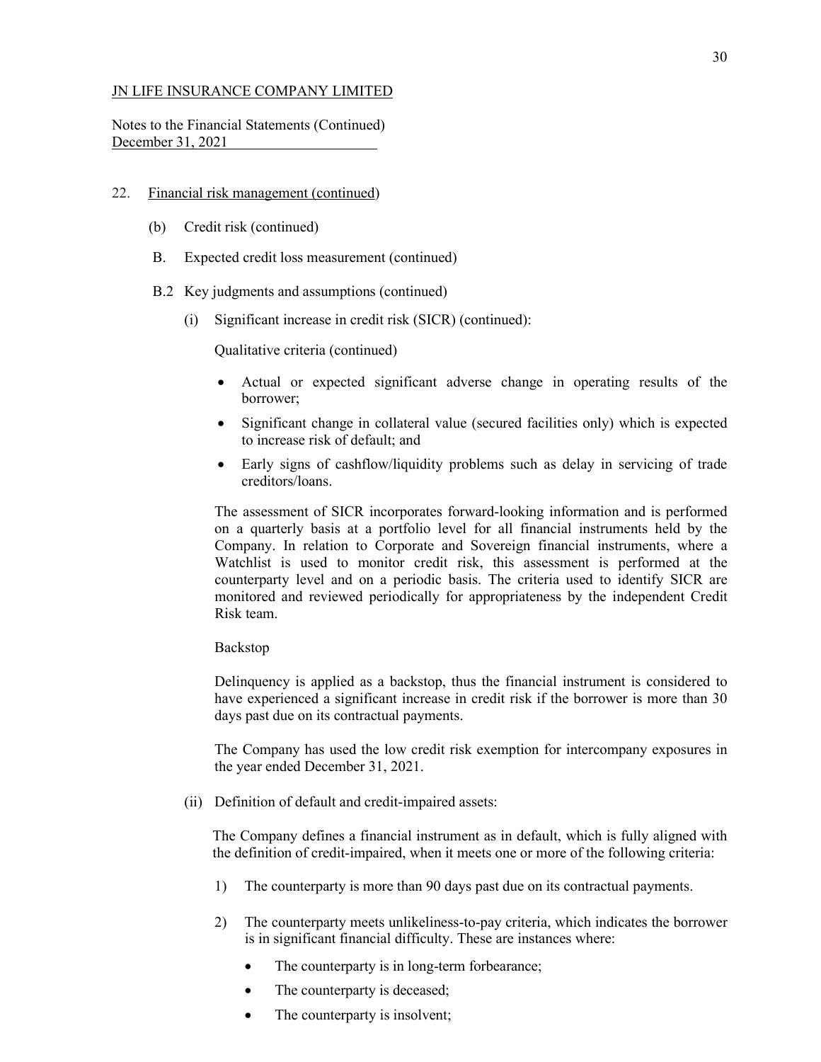Notes to the Financial Statements (Continued) December 31, 2021

# 22. Financial risk management (continued)

- (b) Credit risk (continued)
- B. Expected credit loss measurement (continued)
- B.2 Key judgments and assumptions (continued)
	- (i) Significant increase in credit risk (SICR) (continued):

Qualitative criteria (continued)

- Actual or expected significant adverse change in operating results of the borrower;
- Significant change in collateral value (secured facilities only) which is expected to increase risk of default; and
- Early signs of cashflow/liquidity problems such as delay in servicing of trade creditors/loans.

The assessment of SICR incorporates forward-looking information and is performed on a quarterly basis at a portfolio level for all financial instruments held by the Company. In relation to Corporate and Sovereign financial instruments, where a Watchlist is used to monitor credit risk, this assessment is performed at the counterparty level and on a periodic basis. The criteria used to identify SICR are monitored and reviewed periodically for appropriateness by the independent Credit Risk team.

Backstop

Delinquency is applied as a backstop, thus the financial instrument is considered to have experienced a significant increase in credit risk if the borrower is more than 30 days past due on its contractual payments.

The Company has used the low credit risk exemption for intercompany exposures in the year ended December 31, 2021.

(ii) Definition of default and credit-impaired assets:

The Company defines a financial instrument as in default, which is fully aligned with the definition of credit-impaired, when it meets one or more of the following criteria:

- 1) The counterparty is more than 90 days past due on its contractual payments.
- 2) The counterparty meets unlikeliness-to-pay criteria, which indicates the borrower is in significant financial difficulty. These are instances where:
	- The counterparty is in long-term forbearance;
	- The counterparty is deceased;
	- The counterparty is insolvent;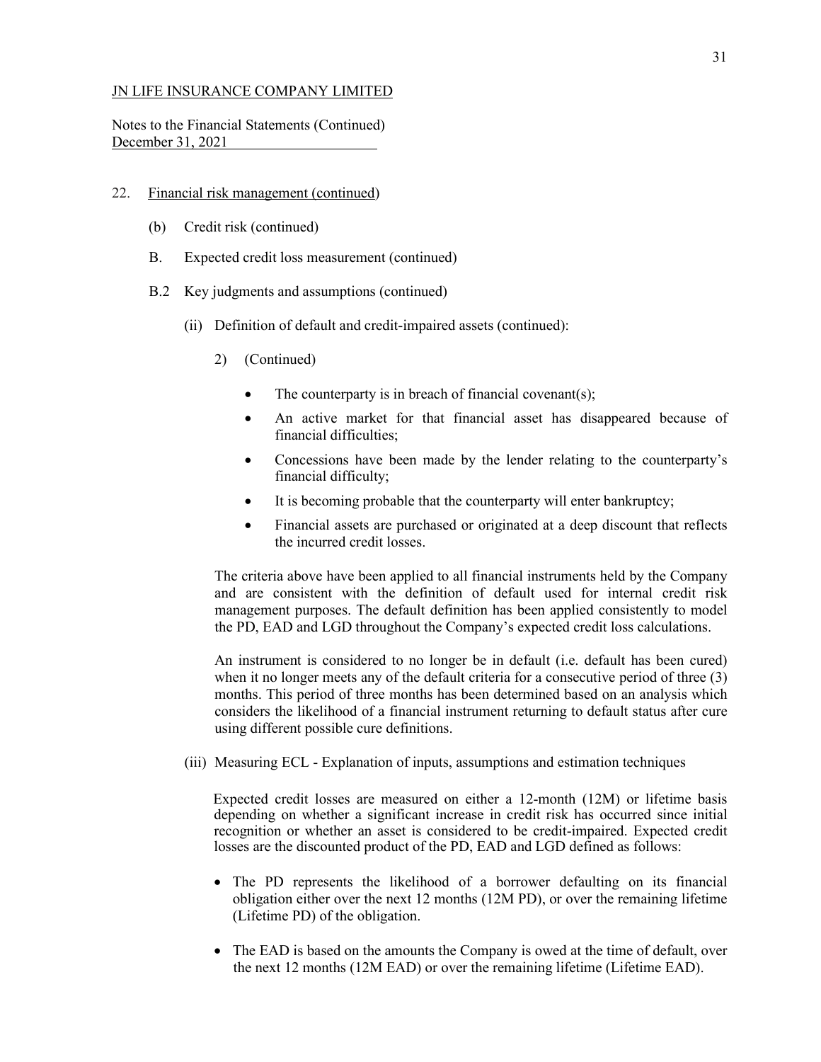Notes to the Financial Statements (Continued) December 31, 2021

# 22. Financial risk management (continued)

- (b) Credit risk (continued)
- B. Expected credit loss measurement (continued)
- B.2 Key judgments and assumptions (continued)
	- (ii) Definition of default and credit-impaired assets (continued):
		- 2) (Continued)
			- The counterparty is in breach of financial covenant(s);
			- An active market for that financial asset has disappeared because of financial difficulties;
			- Concessions have been made by the lender relating to the counterparty's financial difficulty;
			- It is becoming probable that the counterparty will enter bankruptcy;
			- Financial assets are purchased or originated at a deep discount that reflects the incurred credit losses.

The criteria above have been applied to all financial instruments held by the Company and are consistent with the definition of default used for internal credit risk management purposes. The default definition has been applied consistently to model the PD, EAD and LGD throughout the Company's expected credit loss calculations.

An instrument is considered to no longer be in default (i.e. default has been cured) when it no longer meets any of the default criteria for a consecutive period of three (3) months. This period of three months has been determined based on an analysis which considers the likelihood of a financial instrument returning to default status after cure using different possible cure definitions.

(iii) Measuring ECL - Explanation of inputs, assumptions and estimation techniques

Expected credit losses are measured on either a 12-month (12M) or lifetime basis depending on whether a significant increase in credit risk has occurred since initial recognition or whether an asset is considered to be credit-impaired. Expected credit losses are the discounted product of the PD, EAD and LGD defined as follows:

- The PD represents the likelihood of a borrower defaulting on its financial obligation either over the next 12 months (12M PD), or over the remaining lifetime (Lifetime PD) of the obligation.
- The EAD is based on the amounts the Company is owed at the time of default, over the next 12 months (12M EAD) or over the remaining lifetime (Lifetime EAD).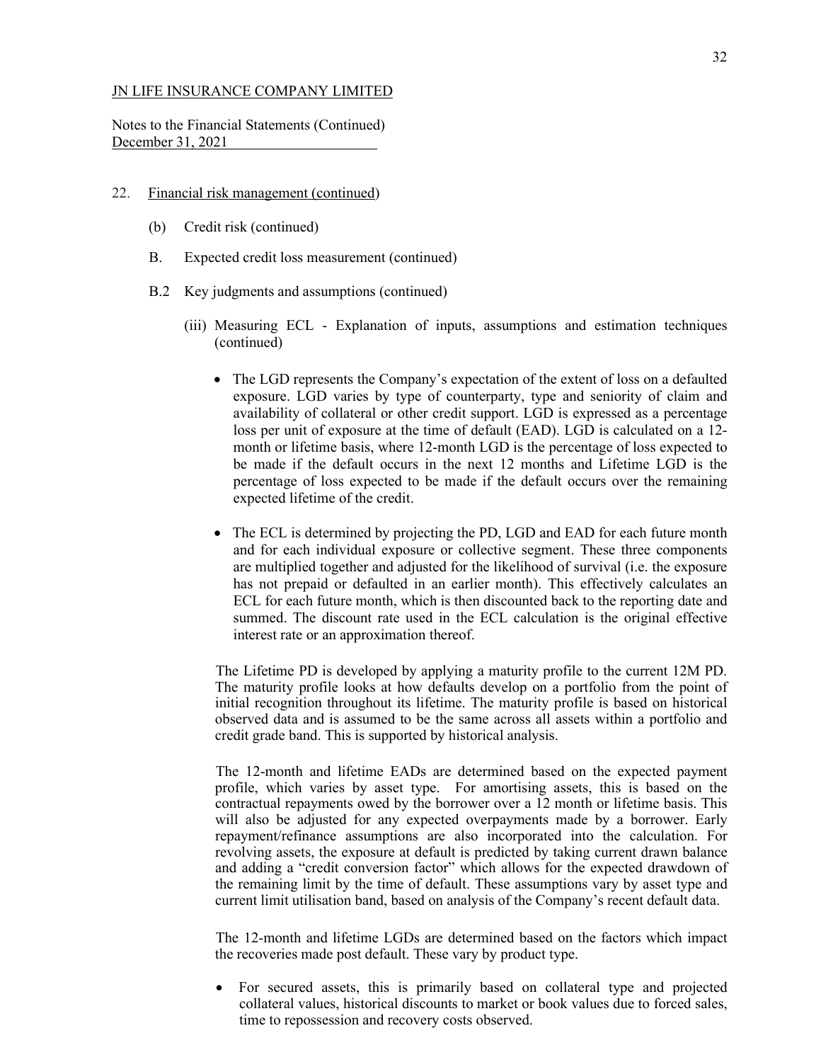Notes to the Financial Statements (Continued) December 31, 2021

# 22. Financial risk management (continued)

- (b) Credit risk (continued)
- B. Expected credit loss measurement (continued)
- B.2 Key judgments and assumptions (continued)
	- (iii) Measuring ECL Explanation of inputs, assumptions and estimation techniques (continued)
		- The LGD represents the Company's expectation of the extent of loss on a defaulted exposure. LGD varies by type of counterparty, type and seniority of claim and availability of collateral or other credit support. LGD is expressed as a percentage loss per unit of exposure at the time of default (EAD). LGD is calculated on a 12 month or lifetime basis, where 12-month LGD is the percentage of loss expected to be made if the default occurs in the next 12 months and Lifetime LGD is the percentage of loss expected to be made if the default occurs over the remaining expected lifetime of the credit.
		- The ECL is determined by projecting the PD, LGD and EAD for each future month and for each individual exposure or collective segment. These three components are multiplied together and adjusted for the likelihood of survival (i.e. the exposure has not prepaid or defaulted in an earlier month). This effectively calculates an ECL for each future month, which is then discounted back to the reporting date and summed. The discount rate used in the ECL calculation is the original effective interest rate or an approximation thereof.

The Lifetime PD is developed by applying a maturity profile to the current 12M PD. The maturity profile looks at how defaults develop on a portfolio from the point of initial recognition throughout its lifetime. The maturity profile is based on historical observed data and is assumed to be the same across all assets within a portfolio and credit grade band. This is supported by historical analysis.

The 12-month and lifetime EADs are determined based on the expected payment profile, which varies by asset type. For amortising assets, this is based on the contractual repayments owed by the borrower over a 12 month or lifetime basis. This will also be adjusted for any expected overpayments made by a borrower. Early repayment/refinance assumptions are also incorporated into the calculation. For revolving assets, the exposure at default is predicted by taking current drawn balance and adding a "credit conversion factor" which allows for the expected drawdown of the remaining limit by the time of default. These assumptions vary by asset type and current limit utilisation band, based on analysis of the Company's recent default data.

The 12-month and lifetime LGDs are determined based on the factors which impact the recoveries made post default. These vary by product type.

• For secured assets, this is primarily based on collateral type and projected collateral values, historical discounts to market or book values due to forced sales, time to repossession and recovery costs observed.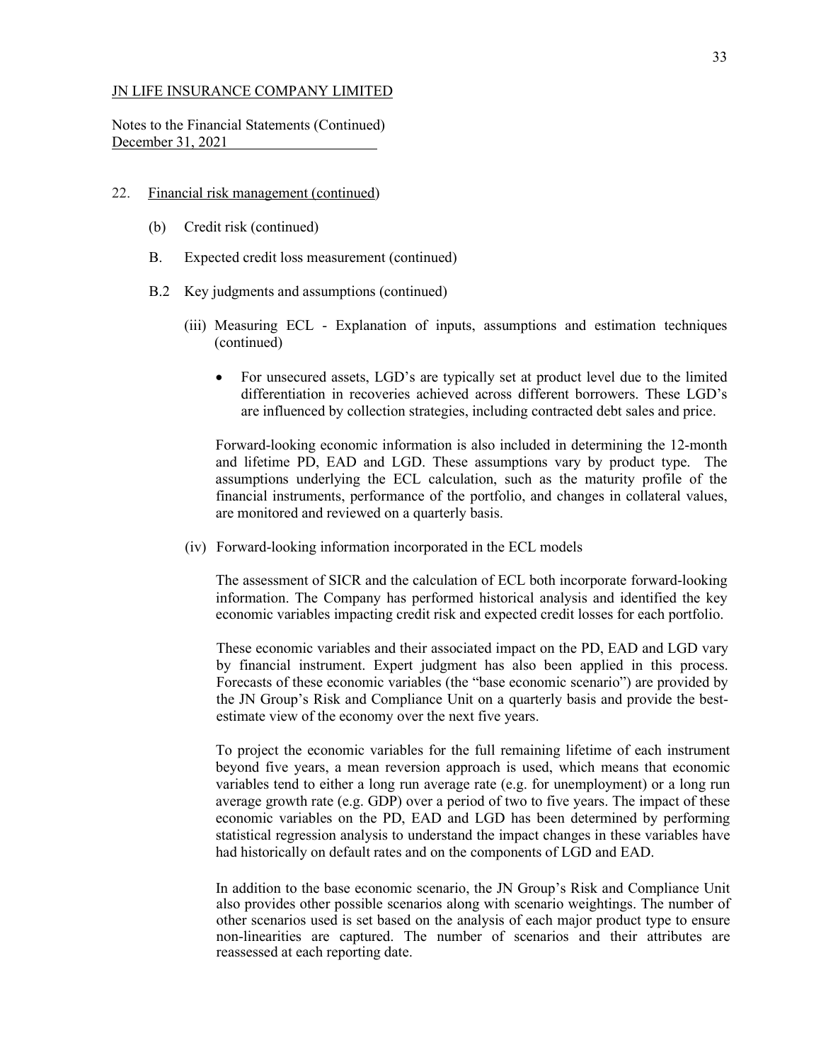Notes to the Financial Statements (Continued) December 31, 2021

# 22. Financial risk management (continued)

- (b) Credit risk (continued)
- B. Expected credit loss measurement (continued)
- B.2 Key judgments and assumptions (continued)
	- (iii) Measuring ECL Explanation of inputs, assumptions and estimation techniques (continued)
		- For unsecured assets, LGD's are typically set at product level due to the limited differentiation in recoveries achieved across different borrowers. These LGD's are influenced by collection strategies, including contracted debt sales and price.

Forward-looking economic information is also included in determining the 12-month and lifetime PD, EAD and LGD. These assumptions vary by product type. The assumptions underlying the ECL calculation, such as the maturity profile of the financial instruments, performance of the portfolio, and changes in collateral values, are monitored and reviewed on a quarterly basis.

(iv) Forward-looking information incorporated in the ECL models

The assessment of SICR and the calculation of ECL both incorporate forward-looking information. The Company has performed historical analysis and identified the key economic variables impacting credit risk and expected credit losses for each portfolio.

These economic variables and their associated impact on the PD, EAD and LGD vary by financial instrument. Expert judgment has also been applied in this process. Forecasts of these economic variables (the "base economic scenario") are provided by the JN Group's Risk and Compliance Unit on a quarterly basis and provide the bestestimate view of the economy over the next five years.

To project the economic variables for the full remaining lifetime of each instrument beyond five years, a mean reversion approach is used, which means that economic variables tend to either a long run average rate (e.g. for unemployment) or a long run average growth rate (e.g. GDP) over a period of two to five years. The impact of these economic variables on the PD, EAD and LGD has been determined by performing statistical regression analysis to understand the impact changes in these variables have had historically on default rates and on the components of LGD and EAD.

In addition to the base economic scenario, the JN Group's Risk and Compliance Unit also provides other possible scenarios along with scenario weightings. The number of other scenarios used is set based on the analysis of each major product type to ensure non-linearities are captured. The number of scenarios and their attributes are reassessed at each reporting date.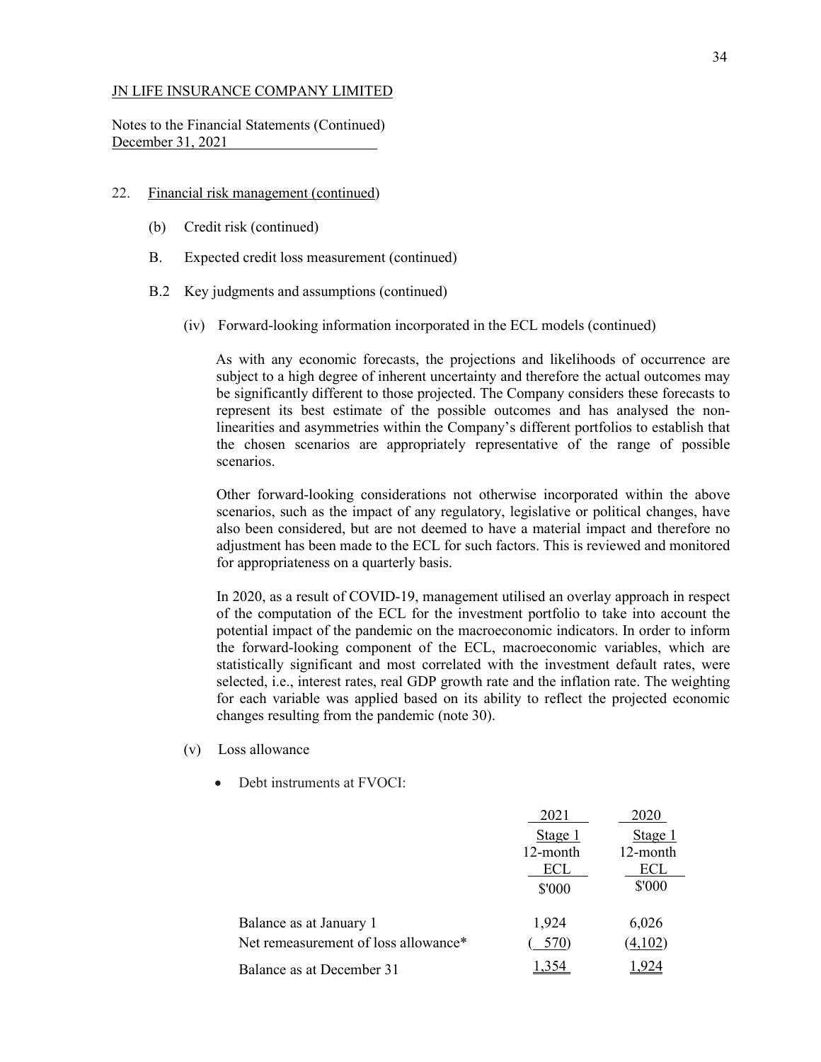Notes to the Financial Statements (Continued) December 31, 2021

# 22. Financial risk management (continued)

- (b) Credit risk (continued)
- B. Expected credit loss measurement (continued)
- B.2 Key judgments and assumptions (continued)
	- (iv) Forward-looking information incorporated in the ECL models (continued)

As with any economic forecasts, the projections and likelihoods of occurrence are subject to a high degree of inherent uncertainty and therefore the actual outcomes may be significantly different to those projected. The Company considers these forecasts to represent its best estimate of the possible outcomes and has analysed the nonlinearities and asymmetries within the Company's different portfolios to establish that the chosen scenarios are appropriately representative of the range of possible scenarios.

Other forward-looking considerations not otherwise incorporated within the above scenarios, such as the impact of any regulatory, legislative or political changes, have also been considered, but are not deemed to have a material impact and therefore no adjustment has been made to the ECL for such factors. This is reviewed and monitored for appropriateness on a quarterly basis.

In 2020, as a result of COVID-19, management utilised an overlay approach in respect of the computation of the ECL for the investment portfolio to take into account the potential impact of the pandemic on the macroeconomic indicators. In order to inform the forward-looking component of the ECL, macroeconomic variables, which are statistically significant and most correlated with the investment default rates, were selected, i.e., interest rates, real GDP growth rate and the inflation rate. The weighting for each variable was applied based on its ability to reflect the projected economic changes resulting from the pandemic (note 30).

- (v) Loss allowance
	- Debt instruments at FVOCI:

|                                      | 2021     | 2020        |
|--------------------------------------|----------|-------------|
|                                      | Stage 1  | Stage 1     |
|                                      | 12-month | $12$ -month |
|                                      | ECL      | ECL         |
|                                      | \$'000   | \$'000      |
|                                      |          |             |
| Balance as at January 1              | 1,924    | 6,026       |
| Net remeasurement of loss allowance* | 570)     | (4,102)     |
| Balance as at December 31            |          |             |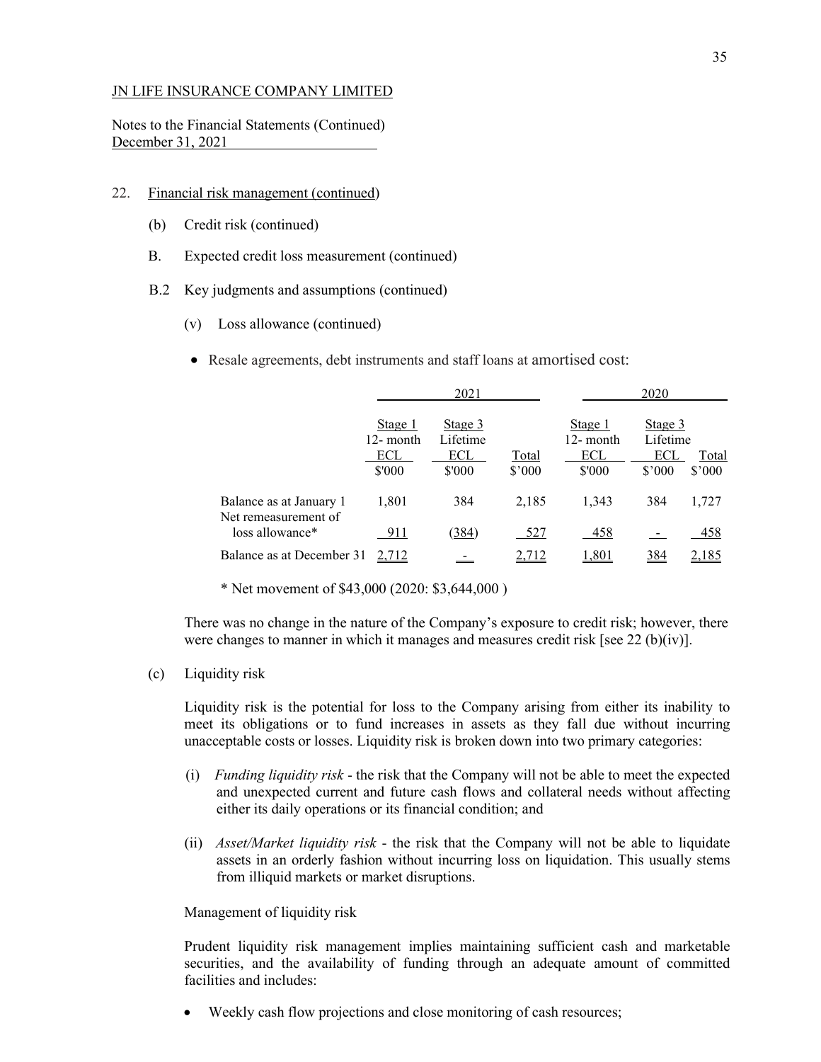Notes to the Financial Statements (Continued) December 31, 2021

# 22. Financial risk management (continued)

- (b) Credit risk (continued)
- B. Expected credit loss measurement (continued)
- B.2 Key judgments and assumptions (continued)
	- (v) Loss allowance (continued)
	- Resale agreements, debt instruments and staff loans at amortised cost:

|                                                 |                                              | 2021                                 |                 |                                       | 2020                                         |                         |
|-------------------------------------------------|----------------------------------------------|--------------------------------------|-----------------|---------------------------------------|----------------------------------------------|-------------------------|
|                                                 | Stage 1<br>12- month<br><b>ECL</b><br>\$'000 | Stage 3<br>Lifetime<br>ECL<br>\$'000 | Total<br>\$'000 | Stage 1<br>12- month<br>ECL<br>\$'000 | Stage 3<br>Lifetime<br>ECL<br>$$^{\circ}000$ | Total<br>$$^{\circ}000$ |
| Balance as at January 1<br>Net remeasurement of | 1,801                                        | 384                                  | 2,185           | 1,343                                 | 384                                          | 1,727                   |
| loss allowance*                                 | 911                                          | (384)                                | 527             | <u>458</u>                            |                                              | 458                     |
| Balance as at December 31                       | 2,712                                        |                                      |                 | l.801                                 | 384                                          | 2.185                   |

\* Net movement of \$43,000 (2020: \$3,644,000 )

There was no change in the nature of the Company's exposure to credit risk; however, there were changes to manner in which it manages and measures credit risk [see 22 (b)(iv)].

(c) Liquidity risk

Liquidity risk is the potential for loss to the Company arising from either its inability to meet its obligations or to fund increases in assets as they fall due without incurring unacceptable costs or losses. Liquidity risk is broken down into two primary categories:

- (i) *Funding liquidity risk* the risk that the Company will not be able to meet the expected and unexpected current and future cash flows and collateral needs without affecting either its daily operations or its financial condition; and
- (ii) *Asset/Market liquidity risk* the risk that the Company will not be able to liquidate assets in an orderly fashion without incurring loss on liquidation. This usually stems from illiquid markets or market disruptions.

#### Management of liquidity risk

Prudent liquidity risk management implies maintaining sufficient cash and marketable securities, and the availability of funding through an adequate amount of committed facilities and includes:

Weekly cash flow projections and close monitoring of cash resources;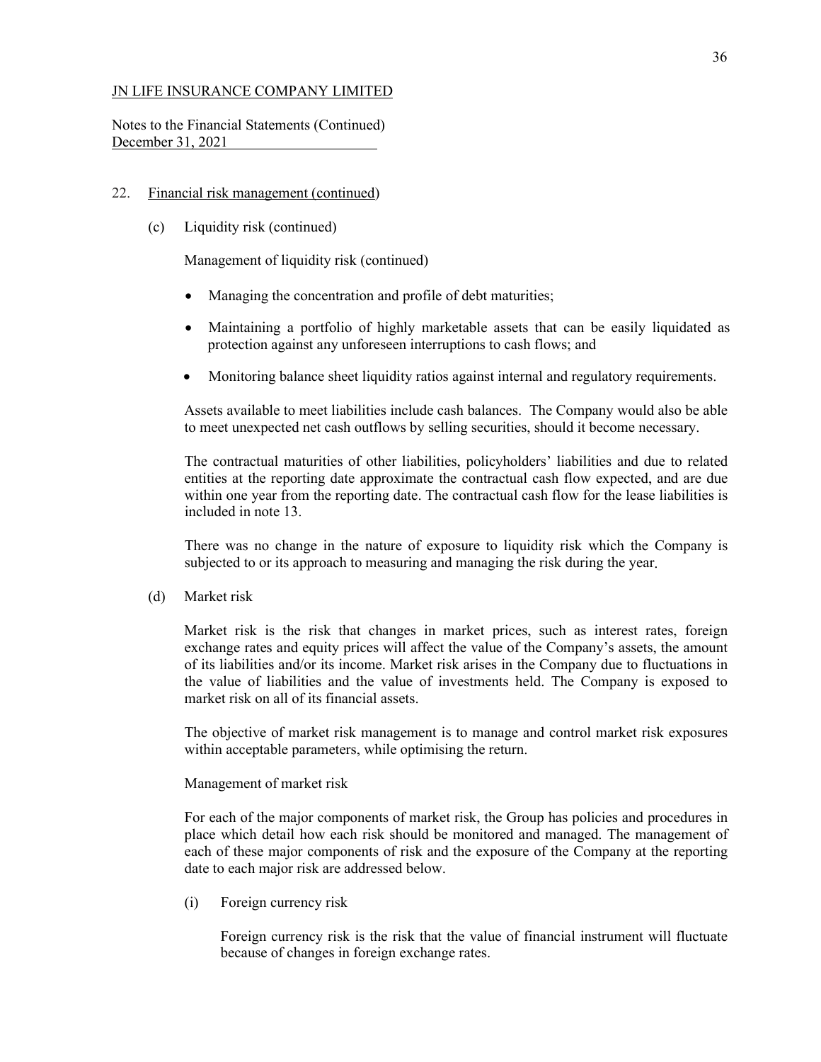Notes to the Financial Statements (Continued) December 31, 2021

# 22. Financial risk management (continued)

(c) Liquidity risk (continued)

Management of liquidity risk (continued)

- Managing the concentration and profile of debt maturities;
- Maintaining a portfolio of highly marketable assets that can be easily liquidated as protection against any unforeseen interruptions to cash flows; and
- Monitoring balance sheet liquidity ratios against internal and regulatory requirements.

Assets available to meet liabilities include cash balances. The Company would also be able to meet unexpected net cash outflows by selling securities, should it become necessary.

The contractual maturities of other liabilities, policyholders' liabilities and due to related entities at the reporting date approximate the contractual cash flow expected, and are due within one year from the reporting date. The contractual cash flow for the lease liabilities is included in note 13.

There was no change in the nature of exposure to liquidity risk which the Company is subjected to or its approach to measuring and managing the risk during the year.

(d) Market risk

Market risk is the risk that changes in market prices, such as interest rates, foreign exchange rates and equity prices will affect the value of the Company's assets, the amount of its liabilities and/or its income. Market risk arises in the Company due to fluctuations in the value of liabilities and the value of investments held. The Company is exposed to market risk on all of its financial assets.

The objective of market risk management is to manage and control market risk exposures within acceptable parameters, while optimising the return.

Management of market risk

For each of the major components of market risk, the Group has policies and procedures in place which detail how each risk should be monitored and managed. The management of each of these major components of risk and the exposure of the Company at the reporting date to each major risk are addressed below.

(i) Foreign currency risk

Foreign currency risk is the risk that the value of financial instrument will fluctuate because of changes in foreign exchange rates.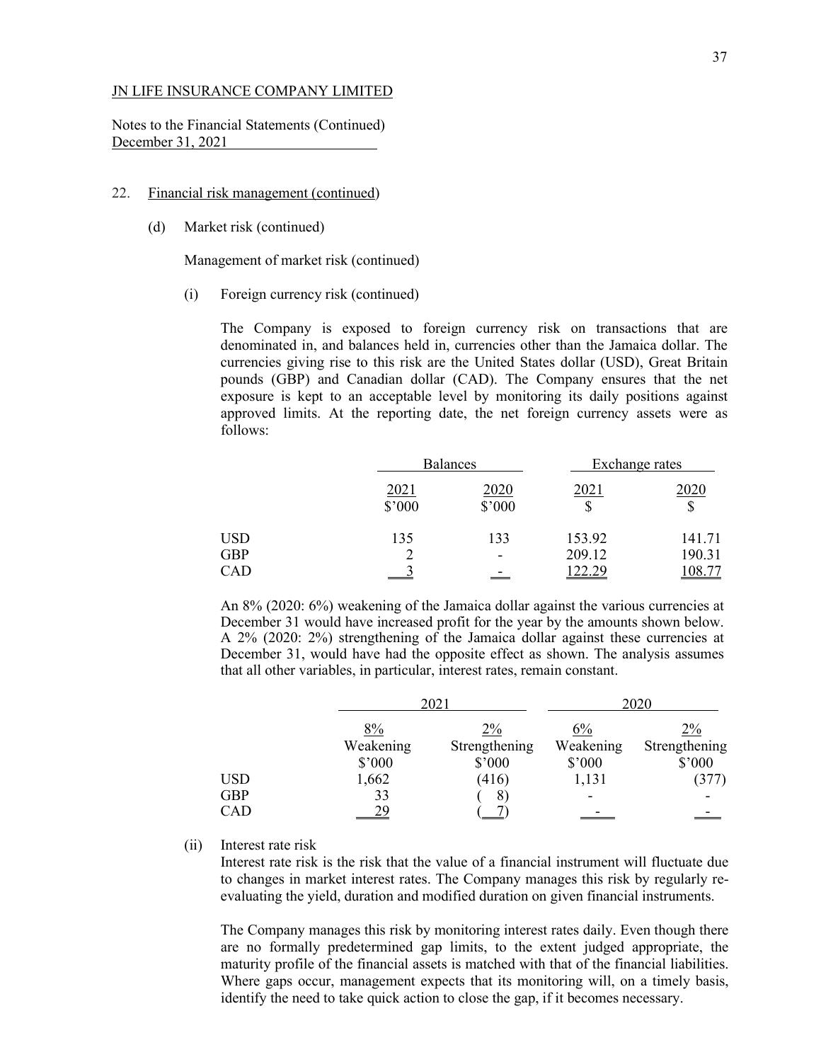Notes to the Financial Statements (Continued) December 31, 2021

# 22. Financial risk management (continued)

(d) Market risk (continued)

Management of market risk (continued)

(i) Foreign currency risk (continued)

The Company is exposed to foreign currency risk on transactions that are denominated in, and balances held in, currencies other than the Jamaica dollar. The currencies giving rise to this risk are the United States dollar (USD), Great Britain pounds (GBP) and Canadian dollar (CAD). The Company ensures that the net exposure is kept to an acceptable level by monitoring its daily positions against approved limits. At the reporting date, the net foreign currency assets were as follows:

|            |                | Balances       | Exchange rates |            |
|------------|----------------|----------------|----------------|------------|
|            | 2021<br>\$'000 | 2020<br>\$'000 | 2021           | 2020<br>\$ |
| <b>USD</b> | 135            | 133            | 153.92         | 141.71     |
| <b>GBP</b> | 2              |                | 209.12         | 190.31     |
| <b>CAD</b> |                |                | 122.29         | 108.77     |

An 8% (2020: 6%) weakening of the Jamaica dollar against the various currencies at December 31 would have increased profit for the year by the amounts shown below. A 2% (2020: 2%) strengthening of the Jamaica dollar against these currencies at December 31, would have had the opposite effect as shown. The analysis assumes that all other variables, in particular, interest rates, remain constant.

|            |           | 2021          |           | 2020          |  |
|------------|-----------|---------------|-----------|---------------|--|
|            | 8%        | $2\%$         | 6%        | 2%            |  |
|            | Weakening | Strengthening | Weakening | Strengthening |  |
|            | \$'000    | \$'000        | \$'000    | \$'000        |  |
| <b>USD</b> | 1,662     | (416)         | 1,131     | (377)         |  |
| <b>GBP</b> | 33        | 8             |           |               |  |
| CAD        | 29        |               |           |               |  |

(ii) Interest rate risk

Interest rate risk is the risk that the value of a financial instrument will fluctuate due to changes in market interest rates. The Company manages this risk by regularly reevaluating the yield, duration and modified duration on given financial instruments.

The Company manages this risk by monitoring interest rates daily. Even though there are no formally predetermined gap limits, to the extent judged appropriate, the maturity profile of the financial assets is matched with that of the financial liabilities. Where gaps occur, management expects that its monitoring will, on a timely basis, identify the need to take quick action to close the gap, if it becomes necessary.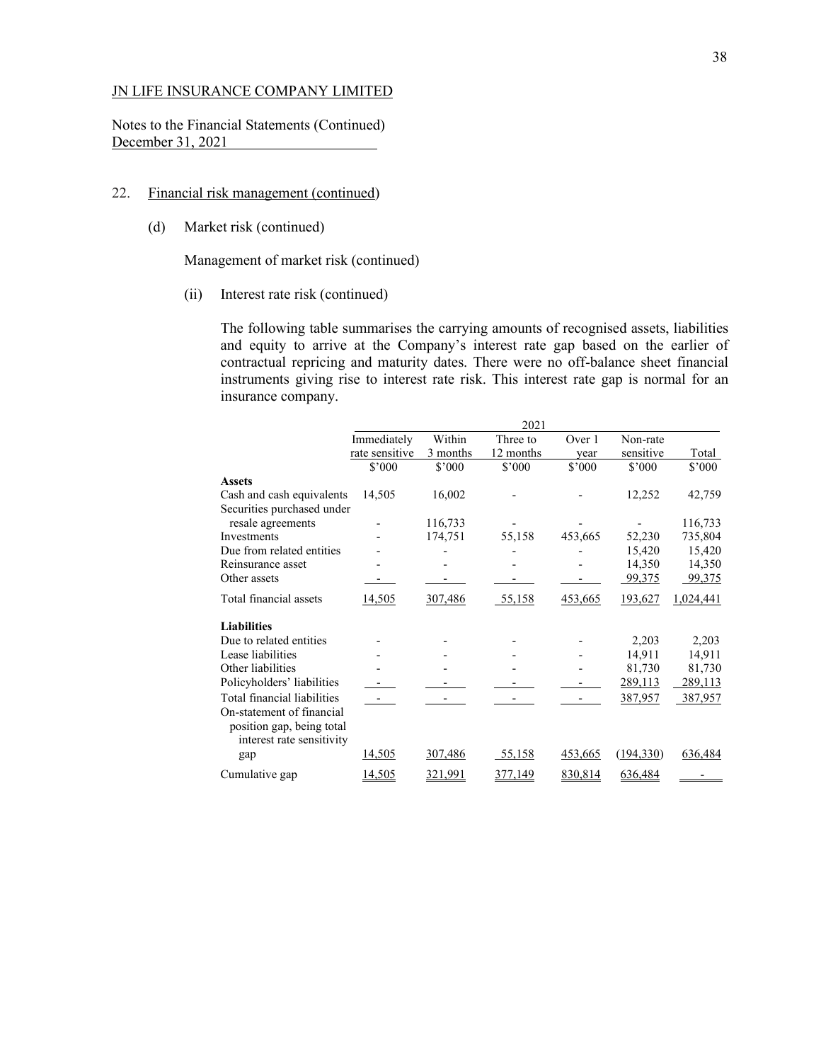Notes to the Financial Statements (Continued) December 31, 2021

# 22. Financial risk management (continued)

(d) Market risk (continued)

Management of market risk (continued)

(ii) Interest rate risk (continued)

The following table summarises the carrying amounts of recognised assets, liabilities and equity to arrive at the Company's interest rate gap based on the earlier of contractual repricing and maturity dates. There were no off-balance sheet financial instruments giving rise to interest rate risk. This interest rate gap is normal for an insurance company.

|                             |                |                | 2021           |          |                |           |
|-----------------------------|----------------|----------------|----------------|----------|----------------|-----------|
|                             | Immediately    | Within         | Three to       | Over $1$ | Non-rate       |           |
|                             | rate sensitive | 3 months       | 12 months      | year     | sensitive      | Total     |
|                             | \$'000         | \$'000         | \$'000         | \$'000   | \$'000         | \$'000    |
| <b>Assets</b>               |                |                |                |          |                |           |
| Cash and cash equivalents   | 14,505         | 16,002         |                |          | 12,252         | 42,759    |
| Securities purchased under  |                |                |                |          |                |           |
| resale agreements           |                | 116,733        |                |          |                | 116,733   |
| Investments                 |                | 174,751        | 55,158         | 453,665  | 52,230         | 735,804   |
| Due from related entities   |                |                |                |          | 15,420         | 15,420    |
| Reinsurance asset           |                |                |                |          | 14,350         | 14,350    |
| Other assets                |                |                |                |          | 99,375         | 99,375    |
| Total financial assets      | 14,505         | 307,486        | 55,158         | 453,665  | 193,627        | 1,024,441 |
| <b>Liabilities</b>          |                |                |                |          |                |           |
| Due to related entities     |                |                |                |          | 2,203          | 2,203     |
| Lease liabilities           |                |                |                |          | 14,911         | 14,911    |
| Other liabilities           |                |                |                |          | 81,730         | 81,730    |
| Policyholders' liabilities  |                |                |                |          | 289,113        | 289,113   |
| Total financial liabilities |                |                |                |          | <u>387,957</u> | 387,957   |
| On-statement of financial   |                |                |                |          |                |           |
| position gap, being total   |                |                |                |          |                |           |
| interest rate sensitivity   |                |                |                |          |                |           |
| gap                         | 14,505         | 307,486        | 55,158         | 453,665  | (194, 330)     | 636,484   |
| Cumulative gap              | <u>14,505</u>  | <u>321,991</u> | <u>377,149</u> | 830,814  | 636,484        |           |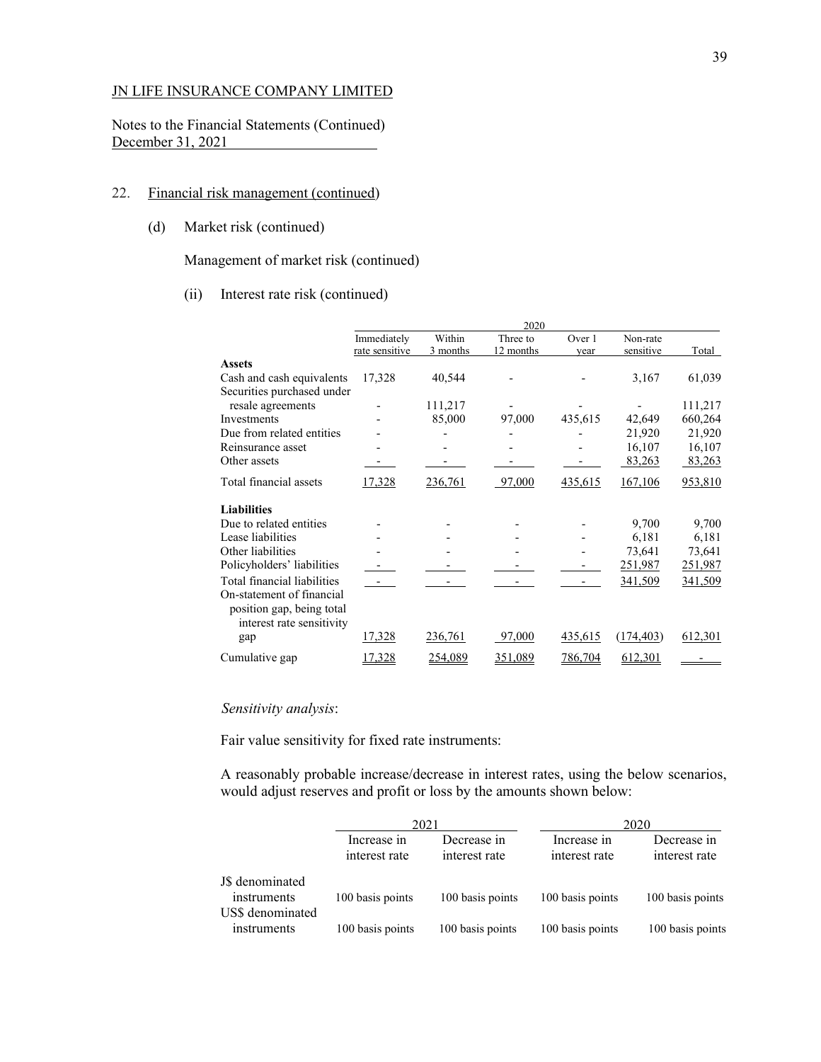Notes to the Financial Statements (Continued) December 31, 2021

# 22. Financial risk management (continued)

(d) Market risk (continued)

# Management of market risk (continued)

(ii) Interest rate risk (continued)

|                             | 2020           |          |           |         |            |         |
|-----------------------------|----------------|----------|-----------|---------|------------|---------|
|                             | Immediately    | Within   | Three to  | Over 1  | Non-rate   |         |
|                             | rate sensitive | 3 months | 12 months | vear    | sensitive  | Total   |
| <b>Assets</b>               |                |          |           |         |            |         |
| Cash and cash equivalents   | 17,328         | 40,544   |           |         | 3,167      | 61,039  |
| Securities purchased under  |                |          |           |         |            |         |
| resale agreements           |                | 111,217  |           |         |            | 111,217 |
| Investments                 |                | 85,000   | 97,000    | 435,615 | 42,649     | 660,264 |
| Due from related entities   |                |          |           |         | 21,920     | 21,920  |
| Reinsurance asset           |                |          |           |         | 16,107     | 16,107  |
| Other assets                |                |          |           |         | 83,263     | 83,263  |
| Total financial assets      | 17,328         | 236,761  | 97,000    | 435,615 | 167,106    | 953,810 |
| <b>Liabilities</b>          |                |          |           |         |            |         |
| Due to related entities     |                |          |           |         | 9,700      | 9,700   |
| Lease liabilities           |                |          |           |         | 6,181      | 6,181   |
| Other liabilities           |                |          |           |         | 73,641     | 73,641  |
| Policyholders' liabilities  |                |          |           |         | 251,987    | 251,987 |
| Total financial liabilities |                |          |           |         | 341,509    | 341,509 |
| On-statement of financial   |                |          |           |         |            |         |
| position gap, being total   |                |          |           |         |            |         |
| interest rate sensitivity   |                |          |           |         |            |         |
| gap                         | 17,328         | 236,761  | 97,000    | 435,615 | (174, 403) | 612,301 |
|                             |                |          |           |         |            |         |
| Cumulative gap              | 17,328         | 254,089  | 351,089   | 786,704 | 612,301    |         |

### *Sensitivity analysis*:

Fair value sensitivity for fixed rate instruments:

A reasonably probable increase/decrease in interest rates, using the below scenarios, would adjust reserves and profit or loss by the amounts shown below:

|                                                    | 2021                         |                              |                              | 2020                         |
|----------------------------------------------------|------------------------------|------------------------------|------------------------------|------------------------------|
|                                                    | Increase in<br>interest rate | Decrease in<br>interest rate | Increase in<br>interest rate | Decrease in<br>interest rate |
| J\$ denominated<br>instruments<br>US\$ denominated | 100 basis points             | 100 basis points             | 100 basis points             | 100 basis points             |
| instruments                                        | 100 basis points             | 100 basis points             | 100 basis points             | 100 basis points             |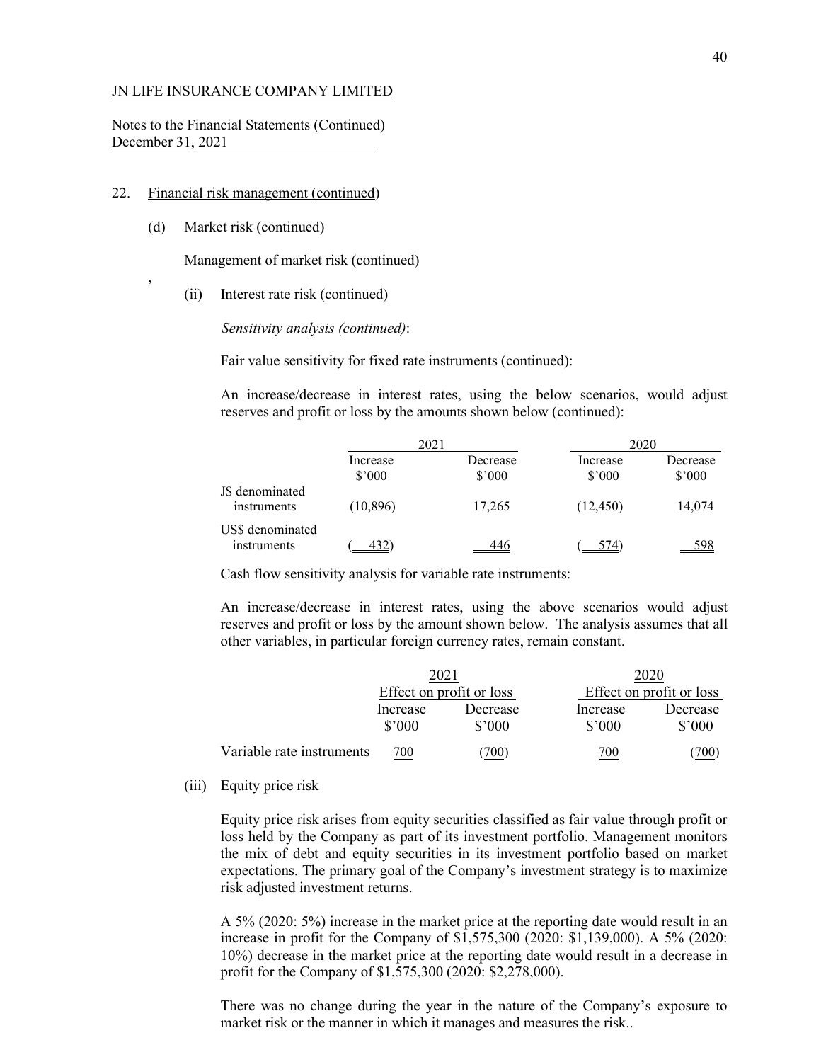Notes to the Financial Statements (Continued) December 31, 2021

# 22. Financial risk management (continued)

(d) Market risk (continued)

,

Management of market risk (continued)

(ii) Interest rate risk (continued)

*Sensitivity analysis (continued)*:

Fair value sensitivity for fixed rate instruments (continued):

An increase/decrease in interest rates, using the below scenarios, would adjust reserves and profit or loss by the amounts shown below (continued):

|                                 | 2021               |                            | 2020               |                    |
|---------------------------------|--------------------|----------------------------|--------------------|--------------------|
|                                 | Increase<br>\$'000 | Decrease<br>$$^{\circ}000$ | Increase<br>\$3000 | Decrease<br>\$'000 |
| J\$ denominated<br>instruments  | (10, 896)          | 17,265                     | (12, 450)          | 14,074             |
| US\$ denominated<br>instruments | 432                |                            | 574`               |                    |

Cash flow sensitivity analysis for variable rate instruments:

An increase/decrease in interest rates, using the above scenarios would adjust reserves and profit or loss by the amount shown below. The analysis assumes that all other variables, in particular foreign currency rates, remain constant.

|                           |                          |                            |                            | 2020                     |
|---------------------------|--------------------------|----------------------------|----------------------------|--------------------------|
|                           | Effect on profit or loss |                            |                            | Effect on profit or loss |
|                           | Increase<br>\$2000       | Decrease<br>$$^{\circ}000$ | Increase<br>$$^{\circ}000$ | Decrease<br>\$2000       |
| Variable rate instruments | 700                      | 700)                       | 700                        |                          |

#### (iii) Equity price risk

Equity price risk arises from equity securities classified as fair value through profit or loss held by the Company as part of its investment portfolio. Management monitors the mix of debt and equity securities in its investment portfolio based on market expectations. The primary goal of the Company's investment strategy is to maximize risk adjusted investment returns.

A 5% (2020: 5%) increase in the market price at the reporting date would result in an increase in profit for the Company of \$1,575,300 (2020: \$1,139,000). A 5% (2020: 10%) decrease in the market price at the reporting date would result in a decrease in profit for the Company of \$1,575,300 (2020: \$2,278,000).

There was no change during the year in the nature of the Company's exposure to market risk or the manner in which it manages and measures the risk..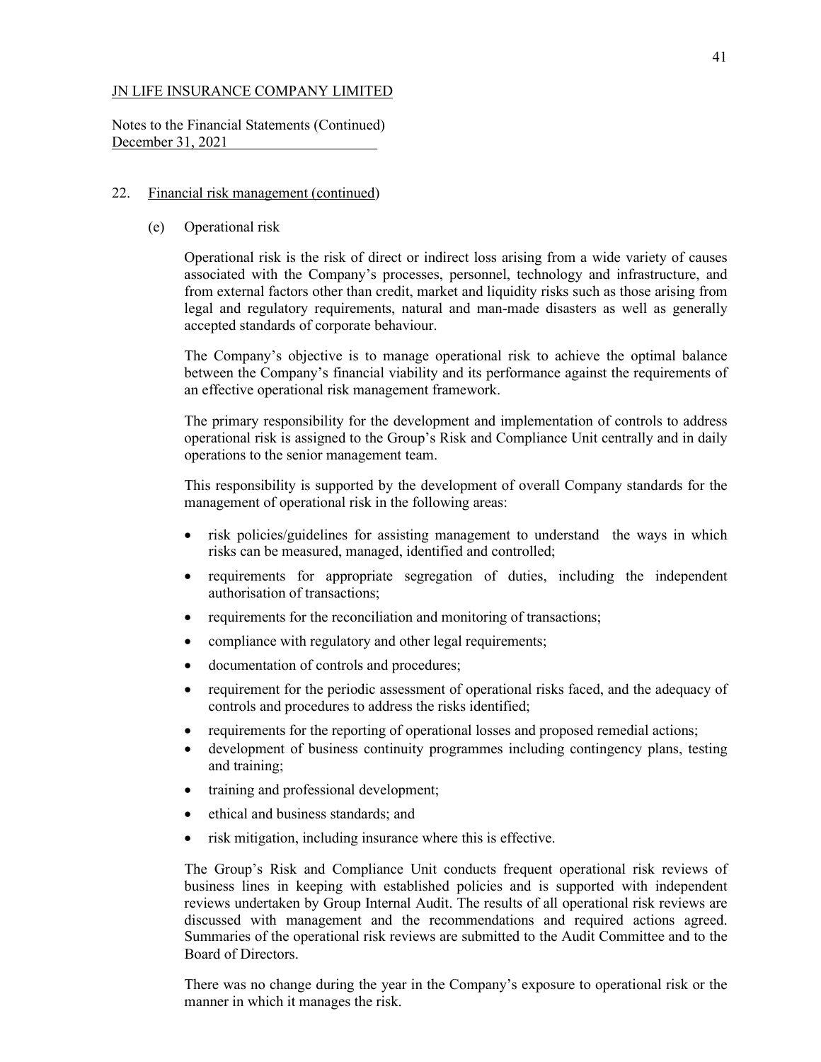Notes to the Financial Statements (Continued) December 31, 2021

# 22. Financial risk management (continued)

(e) Operational risk

Operational risk is the risk of direct or indirect loss arising from a wide variety of causes associated with the Company's processes, personnel, technology and infrastructure, and from external factors other than credit, market and liquidity risks such as those arising from legal and regulatory requirements, natural and man-made disasters as well as generally accepted standards of corporate behaviour.

The Company's objective is to manage operational risk to achieve the optimal balance between the Company's financial viability and its performance against the requirements of an effective operational risk management framework.

The primary responsibility for the development and implementation of controls to address operational risk is assigned to the Group's Risk and Compliance Unit centrally and in daily operations to the senior management team.

This responsibility is supported by the development of overall Company standards for the management of operational risk in the following areas:

- risk policies/guidelines for assisting management to understand the ways in which risks can be measured, managed, identified and controlled;
- requirements for appropriate segregation of duties, including the independent authorisation of transactions;
- requirements for the reconciliation and monitoring of transactions;
- compliance with regulatory and other legal requirements;
- documentation of controls and procedures;
- requirement for the periodic assessment of operational risks faced, and the adequacy of controls and procedures to address the risks identified;
- requirements for the reporting of operational losses and proposed remedial actions;
- development of business continuity programmes including contingency plans, testing and training;
- training and professional development;
- ethical and business standards; and
- risk mitigation, including insurance where this is effective.

The Group's Risk and Compliance Unit conducts frequent operational risk reviews of business lines in keeping with established policies and is supported with independent reviews undertaken by Group Internal Audit. The results of all operational risk reviews are discussed with management and the recommendations and required actions agreed. Summaries of the operational risk reviews are submitted to the Audit Committee and to the Board of Directors.

There was no change during the year in the Company's exposure to operational risk or the manner in which it manages the risk.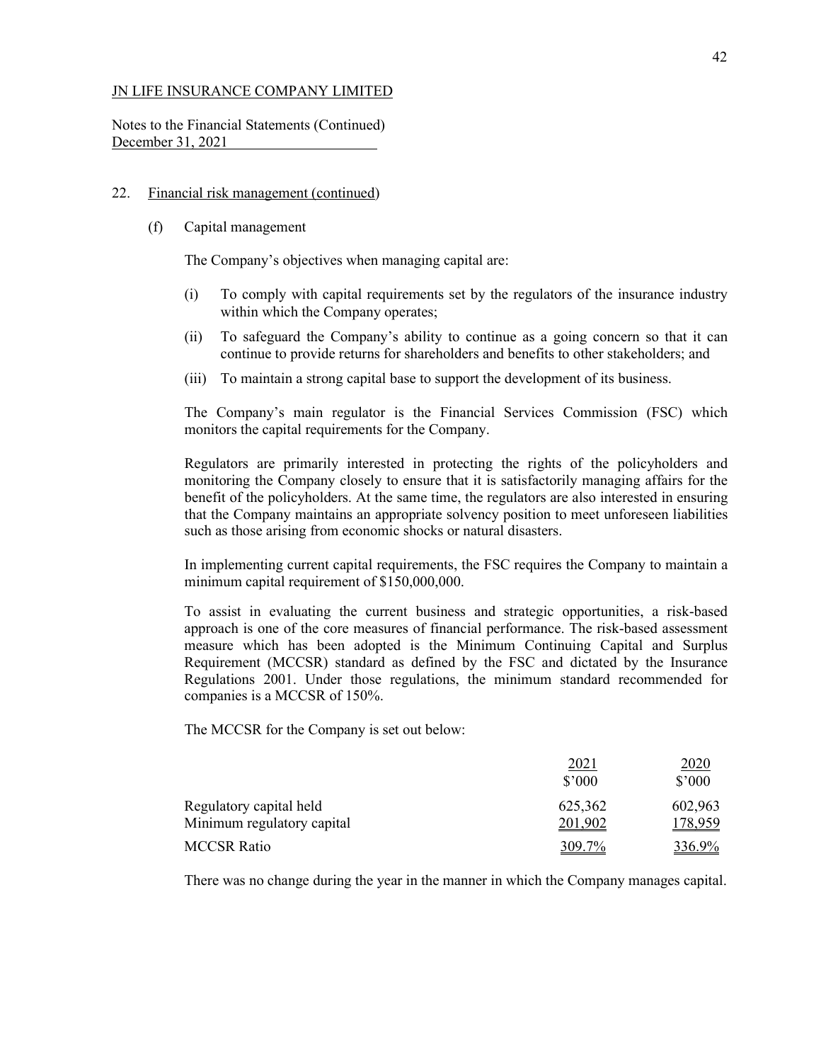Notes to the Financial Statements (Continued) December 31, 2021

# 22. Financial risk management (continued)

(f) Capital management

The Company's objectives when managing capital are:

- (i) To comply with capital requirements set by the regulators of the insurance industry within which the Company operates;
- (ii) To safeguard the Company's ability to continue as a going concern so that it can continue to provide returns for shareholders and benefits to other stakeholders; and
- (iii) To maintain a strong capital base to support the development of its business.

The Company's main regulator is the Financial Services Commission (FSC) which monitors the capital requirements for the Company.

Regulators are primarily interested in protecting the rights of the policyholders and monitoring the Company closely to ensure that it is satisfactorily managing affairs for the benefit of the policyholders. At the same time, the regulators are also interested in ensuring that the Company maintains an appropriate solvency position to meet unforeseen liabilities such as those arising from economic shocks or natural disasters.

In implementing current capital requirements, the FSC requires the Company to maintain a minimum capital requirement of \$150,000,000.

To assist in evaluating the current business and strategic opportunities, a risk-based approach is one of the core measures of financial performance. The risk-based assessment measure which has been adopted is the Minimum Continuing Capital and Surplus Requirement (MCCSR) standard as defined by the FSC and dictated by the Insurance Regulations 2001. Under those regulations, the minimum standard recommended for companies is a MCCSR of 150%.

The MCCSR for the Company is set out below:

|                            | 2021<br>\$3000 | 2020<br>\$'000 |
|----------------------------|----------------|----------------|
| Regulatory capital held    | 625,362        | 602,963        |
| Minimum regulatory capital | 201,902        | 178,959        |
| <b>MCCSR Ratio</b>         | 309.7%         | 336.9%         |

There was no change during the year in the manner in which the Company manages capital.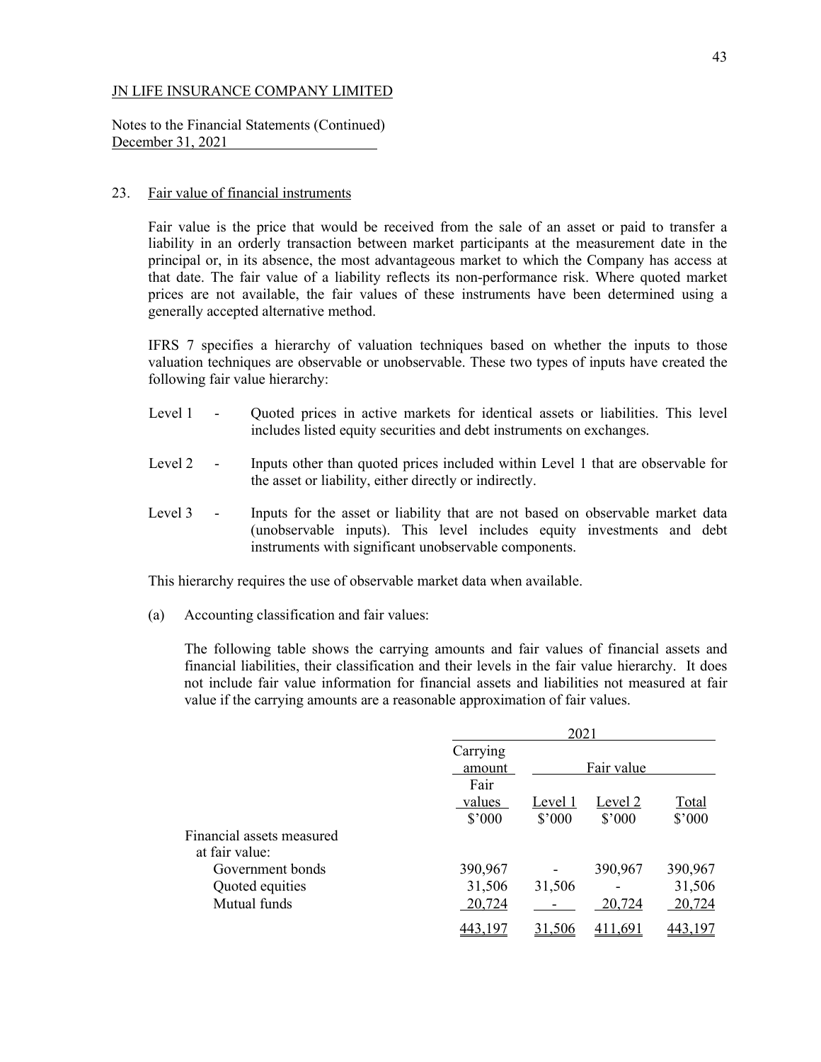Notes to the Financial Statements (Continued) December 31, 2021

# 23. Fair value of financial instruments

Fair value is the price that would be received from the sale of an asset or paid to transfer a liability in an orderly transaction between market participants at the measurement date in the principal or, in its absence, the most advantageous market to which the Company has access at that date. The fair value of a liability reflects its non-performance risk. Where quoted market prices are not available, the fair values of these instruments have been determined using a generally accepted alternative method.

IFRS 7 specifies a hierarchy of valuation techniques based on whether the inputs to those valuation techniques are observable or unobservable. These two types of inputs have created the following fair value hierarchy:

- Level 1 Quoted prices in active markets for identical assets or liabilities. This level includes listed equity securities and debt instruments on exchanges.
- Level 2 Inputs other than quoted prices included within Level 1 that are observable for the asset or liability, either directly or indirectly.
- Level 3 Inputs for the asset or liability that are not based on observable market data (unobservable inputs). This level includes equity investments and debt instruments with significant unobservable components.

This hierarchy requires the use of observable market data when available.

(a) Accounting classification and fair values:

The following table shows the carrying amounts and fair values of financial assets and financial liabilities, their classification and their levels in the fair value hierarchy. It does not include fair value information for financial assets and liabilities not measured at fair value if the carrying amounts are a reasonable approximation of fair values.

|                                             | 2021                     |                   |                   |                  |
|---------------------------------------------|--------------------------|-------------------|-------------------|------------------|
|                                             | Carrying<br>amount       |                   | Fair value        |                  |
|                                             | Fair<br>values<br>\$'000 | Level 1<br>\$'000 | Level 2<br>\$'000 | Total<br>\$'000  |
| Financial assets measured<br>at fair value: |                          |                   |                   |                  |
| Government bonds                            | 390,967                  |                   | 390,967           | 390,967          |
| Quoted equities<br>Mutual funds             | 31,506<br>20,724         | 31,506            | 20,724            | 31,506<br>20,724 |
|                                             |                          |                   |                   |                  |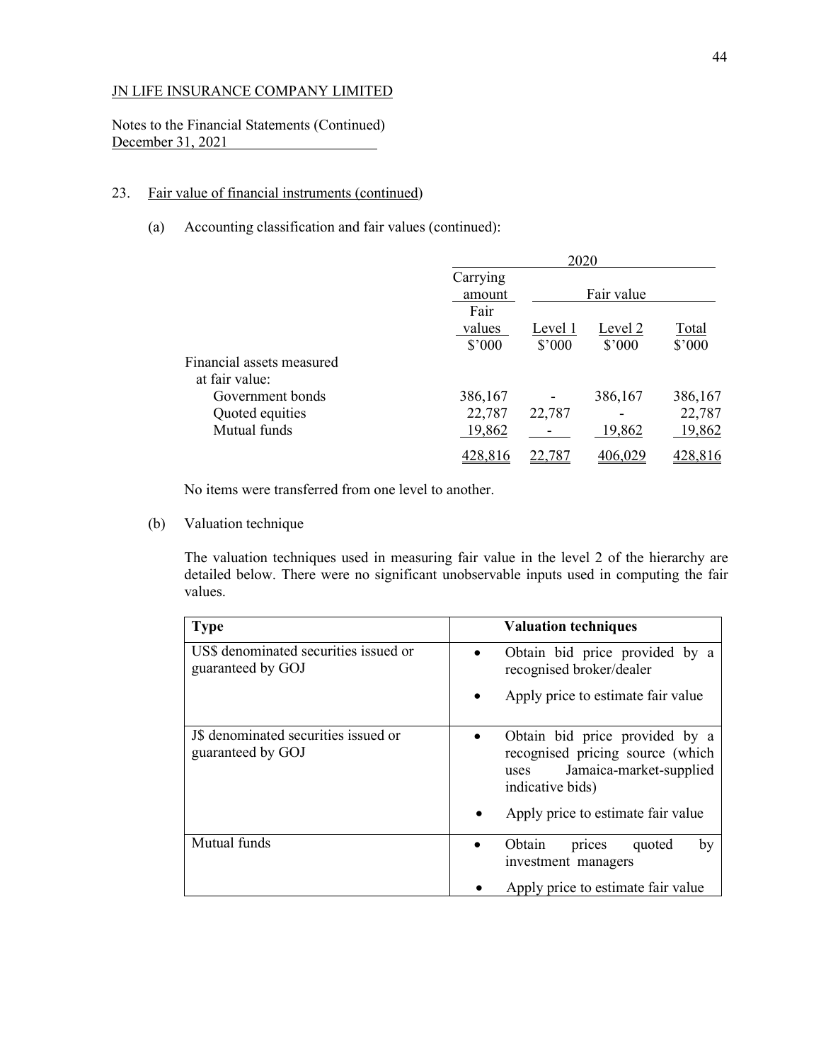Notes to the Financial Statements (Continued) December 31, 2021

# 23. Fair value of financial instruments (continued)

(a) Accounting classification and fair values (continued):

|                                                     | 2020                        |                   |                   |                             |  |
|-----------------------------------------------------|-----------------------------|-------------------|-------------------|-----------------------------|--|
|                                                     | Carrying<br>amount          |                   | Fair value        |                             |  |
|                                                     | Fair<br>values<br>\$'000    | Level 1<br>\$'000 | Level 2<br>\$'000 | Total<br>\$'000             |  |
| Financial assets measured<br>at fair value:         |                             |                   |                   |                             |  |
| Government bonds<br>Quoted equities<br>Mutual funds | 386,167<br>22,787<br>19,862 | 22,787            | 386,167<br>19,862 | 386,167<br>22,787<br>19,862 |  |
|                                                     |                             |                   | 406.029           | 428.816                     |  |

No items were transferred from one level to another.

(b) Valuation technique

The valuation techniques used in measuring fair value in the level 2 of the hierarchy are detailed below. There were no significant unobservable inputs used in computing the fair values.

| <b>Type</b>                                                | <b>Valuation techniques</b>                                                                                                                                     |
|------------------------------------------------------------|-----------------------------------------------------------------------------------------------------------------------------------------------------------------|
| US\$ denominated securities issued or<br>guaranteed by GOJ | Obtain bid price provided by a<br>recognised broker/dealer                                                                                                      |
|                                                            | Apply price to estimate fair value<br>$\bullet$                                                                                                                 |
| J\$ denominated securities issued or<br>guaranteed by GOJ  | Obtain bid price provided by a<br>recognised pricing source (which<br>Jamaica-market-supplied<br>uses<br>indicative bids)<br>Apply price to estimate fair value |
| Mutual funds                                               | Obtain<br>prices<br>quoted<br>bv<br>investment managers<br>Apply price to estimate fair value                                                                   |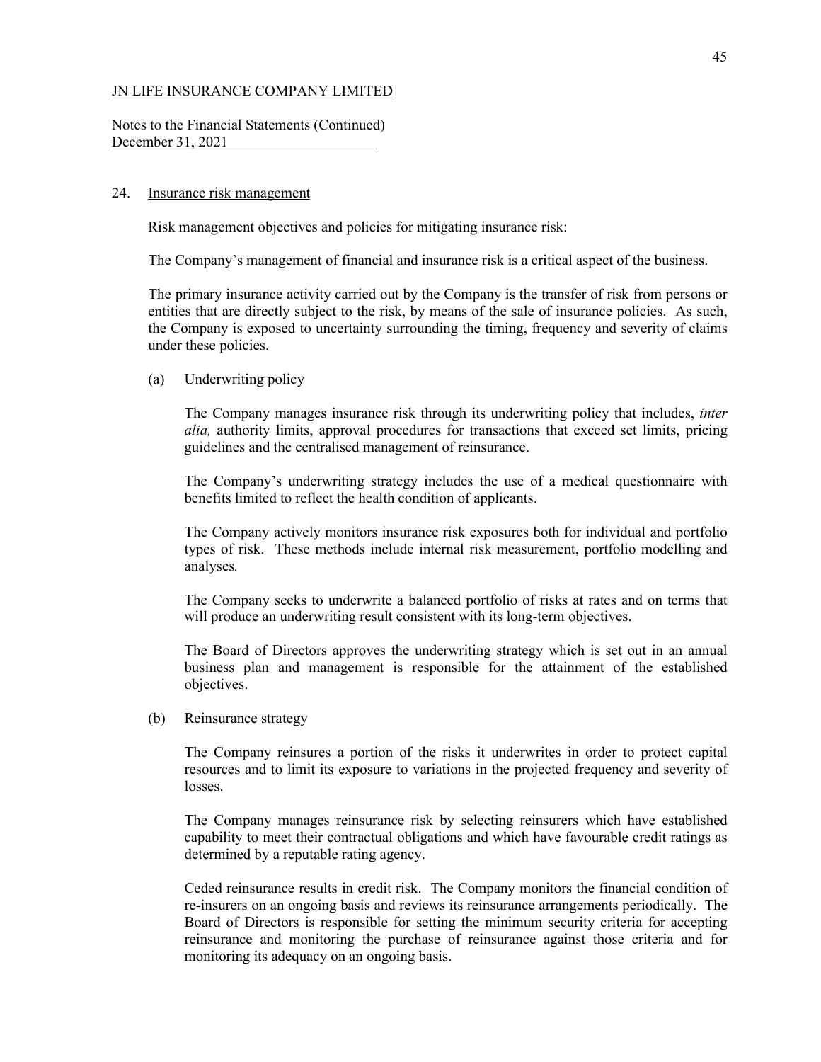Notes to the Financial Statements (Continued) December 31, 2021

# 24. Insurance risk management

Risk management objectives and policies for mitigating insurance risk:

The Company's management of financial and insurance risk is a critical aspect of the business.

The primary insurance activity carried out by the Company is the transfer of risk from persons or entities that are directly subject to the risk, by means of the sale of insurance policies. As such, the Company is exposed to uncertainty surrounding the timing, frequency and severity of claims under these policies.

(a) Underwriting policy

The Company manages insurance risk through its underwriting policy that includes, *inter alia,* authority limits, approval procedures for transactions that exceed set limits, pricing guidelines and the centralised management of reinsurance.

The Company's underwriting strategy includes the use of a medical questionnaire with benefits limited to reflect the health condition of applicants.

The Company actively monitors insurance risk exposures both for individual and portfolio types of risk. These methods include internal risk measurement, portfolio modelling and analyses*.*

The Company seeks to underwrite a balanced portfolio of risks at rates and on terms that will produce an underwriting result consistent with its long-term objectives.

The Board of Directors approves the underwriting strategy which is set out in an annual business plan and management is responsible for the attainment of the established objectives.

(b) Reinsurance strategy

The Company reinsures a portion of the risks it underwrites in order to protect capital resources and to limit its exposure to variations in the projected frequency and severity of losses.

The Company manages reinsurance risk by selecting reinsurers which have established capability to meet their contractual obligations and which have favourable credit ratings as determined by a reputable rating agency.

Ceded reinsurance results in credit risk. The Company monitors the financial condition of re-insurers on an ongoing basis and reviews its reinsurance arrangements periodically. The Board of Directors is responsible for setting the minimum security criteria for accepting reinsurance and monitoring the purchase of reinsurance against those criteria and for monitoring its adequacy on an ongoing basis.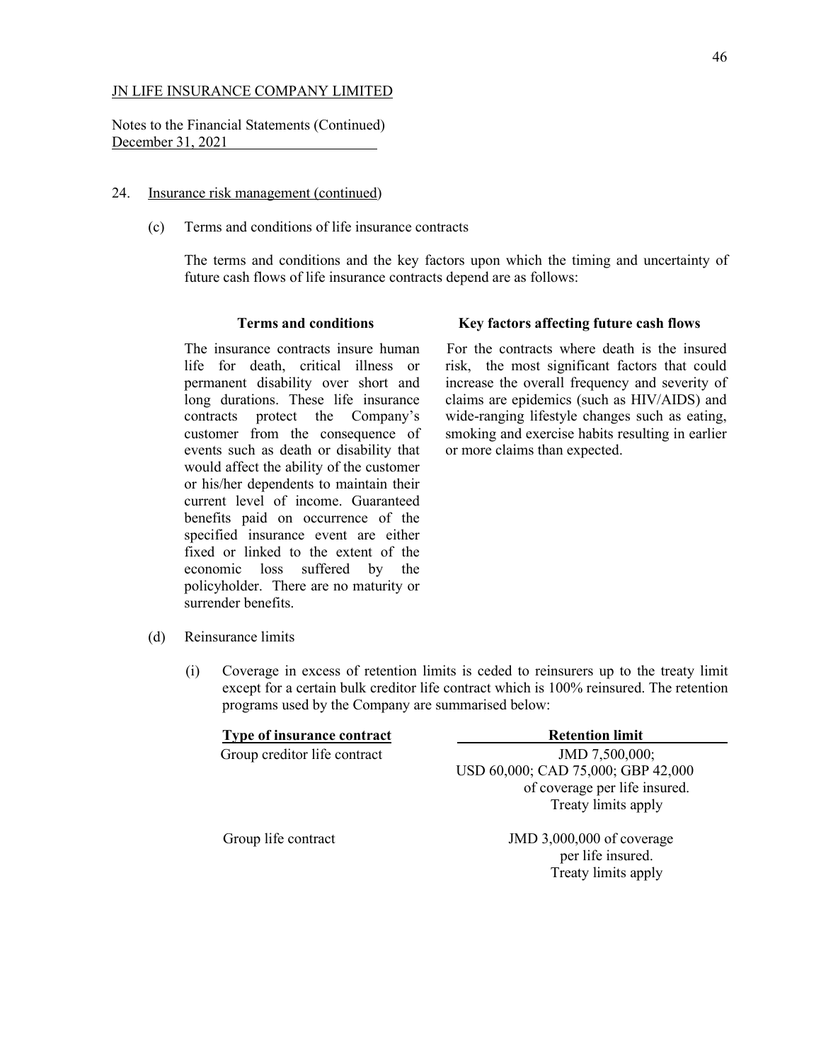Notes to the Financial Statements (Continued) December 31, 2021

# 24. Insurance risk management (continued)

(c) Terms and conditions of life insurance contracts

The terms and conditions and the key factors upon which the timing and uncertainty of future cash flows of life insurance contracts depend are as follows:

The insurance contracts insure human life for death, critical illness or permanent disability over short and long durations. These life insurance contracts protect the Company's customer from the consequence of events such as death or disability that would affect the ability of the customer or his/her dependents to maintain their current level of income. Guaranteed benefits paid on occurrence of the specified insurance event are either fixed or linked to the extent of the economic loss suffered by the policyholder. There are no maturity or surrender benefits.

# **Terms and conditions Key factors affecting future cash flows**

For the contracts where death is the insured risk, the most significant factors that could increase the overall frequency and severity of claims are epidemics (such as HIV/AIDS) and wide-ranging lifestyle changes such as eating, smoking and exercise habits resulting in earlier or more claims than expected.

- (d) Reinsurance limits
	- (i) Coverage in excess of retention limits is ceded to reinsurers up to the treaty limit except for a certain bulk creditor life contract which is 100% reinsured. The retention programs used by the Company are summarised below:

| Type of insurance contract   | <b>Retention limit</b>                                                |
|------------------------------|-----------------------------------------------------------------------|
| Group creditor life contract | JMD 7,500,000;                                                        |
|                              | USD 60,000; CAD 75,000; GBP 42,000                                    |
|                              | of coverage per life insured.                                         |
|                              | Treaty limits apply                                                   |
| Group life contract          | JMD 3,000,000 of coverage<br>per life insured.<br>Treaty limits apply |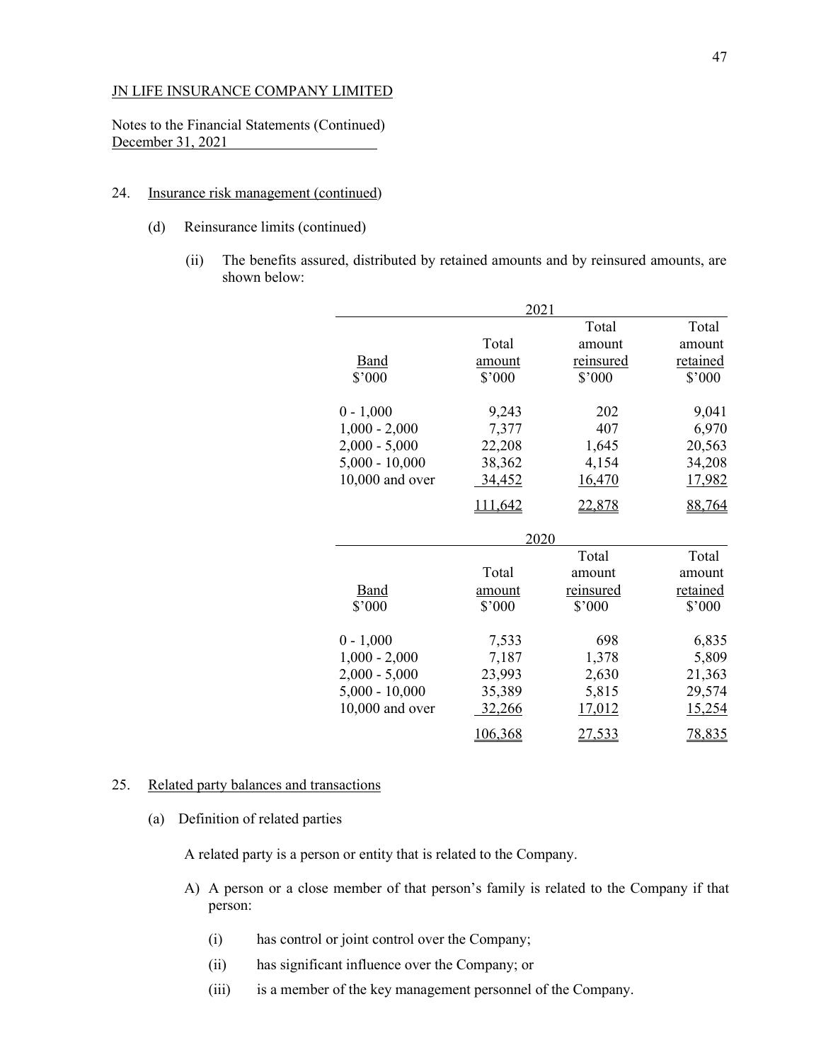Notes to the Financial Statements (Continued) December 31, 2021

# 24. Insurance risk management (continued)

- (d) Reinsurance limits (continued)
	- (ii) The benefits assured, distributed by retained amounts and by reinsured amounts, are shown below:

|                   | 2021          |               |               |
|-------------------|---------------|---------------|---------------|
|                   |               | Total         | Total         |
|                   | Total         | amount        | amount        |
| Band              | amount        | reinsured     | retained      |
| \$'000            | \$'000        | \$'000        | \$'000        |
| $0 - 1,000$       | 9,243         | 202           | 9,041         |
| $1,000 - 2,000$   | 7,377         | 407           | 6,970         |
| $2,000 - 5,000$   | 22,208        | 1,645         | 20,563        |
| $5,000 - 10,000$  | 38,362        | 4,154         | 34,208        |
| $10,000$ and over | 34,452        | <u>16,470</u> | 17,982        |
|                   | 111,642       | <u>22,878</u> | 88,764        |
|                   | 2020          |               |               |
|                   |               | Total         | Total         |
|                   | Total         | amount        | amount        |
| Band              | amount        | reinsured     | retained      |
| \$'000            | \$'000        | \$'000        | \$'000        |
| $0 - 1,000$       | 7,533         | 698           | 6,835         |
| $1,000 - 2,000$   | 7,187         | 1,378         | 5,809         |
| $2,000 - 5,000$   | 23,993        | 2,630         | 21,363        |
| $5,000 - 10,000$  | 35,389        | 5,815         | 29,574        |
| $10,000$ and over | <u>32,266</u> | 17,012        | <u>15,254</u> |
|                   | 106,368       | <u>27,533</u> | <u>78,835</u> |

# 25. Related party balances and transactions

(a) Definition of related parties

A related party is a person or entity that is related to the Company.

- A) A person or a close member of that person's family is related to the Company if that person:
	- (i) has control or joint control over the Company;
	- (ii) has significant influence over the Company; or
	- (iii) is a member of the key management personnel of the Company.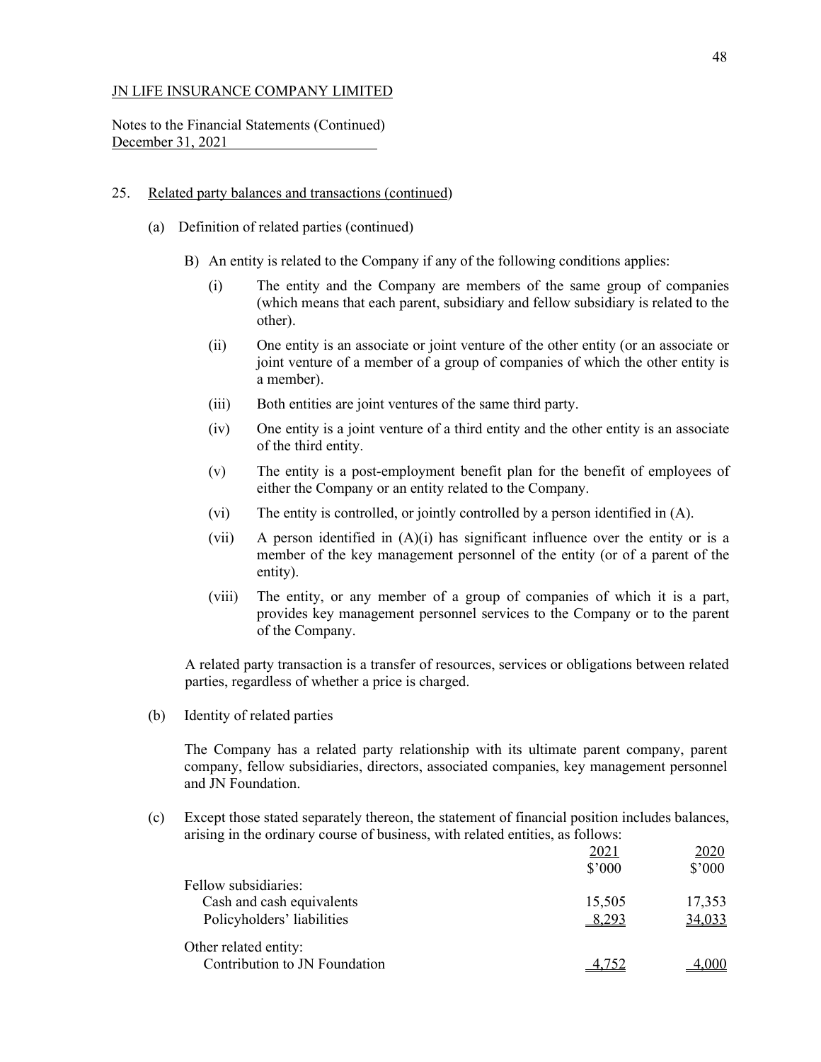Notes to the Financial Statements (Continued) December 31, 2021

# 25. Related party balances and transactions (continued)

- (a) Definition of related parties (continued)
	- B) An entity is related to the Company if any of the following conditions applies:
		- (i) The entity and the Company are members of the same group of companies (which means that each parent, subsidiary and fellow subsidiary is related to the other).
		- (ii) One entity is an associate or joint venture of the other entity (or an associate or joint venture of a member of a group of companies of which the other entity is a member).
		- (iii) Both entities are joint ventures of the same third party.
		- (iv) One entity is a joint venture of a third entity and the other entity is an associate of the third entity.
		- (v) The entity is a post-employment benefit plan for the benefit of employees of either the Company or an entity related to the Company.
		- (vi) The entity is controlled, or jointly controlled by a person identified in (A).
		- (vii) A person identified in (A)(i) has significant influence over the entity or is a member of the key management personnel of the entity (or of a parent of the entity).
		- (viii) The entity, or any member of a group of companies of which it is a part, provides key management personnel services to the Company or to the parent of the Company.

A related party transaction is a transfer of resources, services or obligations between related parties, regardless of whether a price is charged.

(b) Identity of related parties

The Company has a related party relationship with its ultimate parent company, parent company, fellow subsidiaries, directors, associated companies, key management personnel and JN Foundation.

(c) Except those stated separately thereon, the statement of financial position includes balances, arising in the ordinary course of business, with related entities, as follows:

|                               | 2021   | 2020   |
|-------------------------------|--------|--------|
|                               | \$'000 | \$'000 |
| Fellow subsidiaries:          |        |        |
| Cash and cash equivalents     | 15,505 | 17,353 |
| Policyholders' liabilities    |        | 34,033 |
| Other related entity:         |        |        |
| Contribution to JN Foundation |        |        |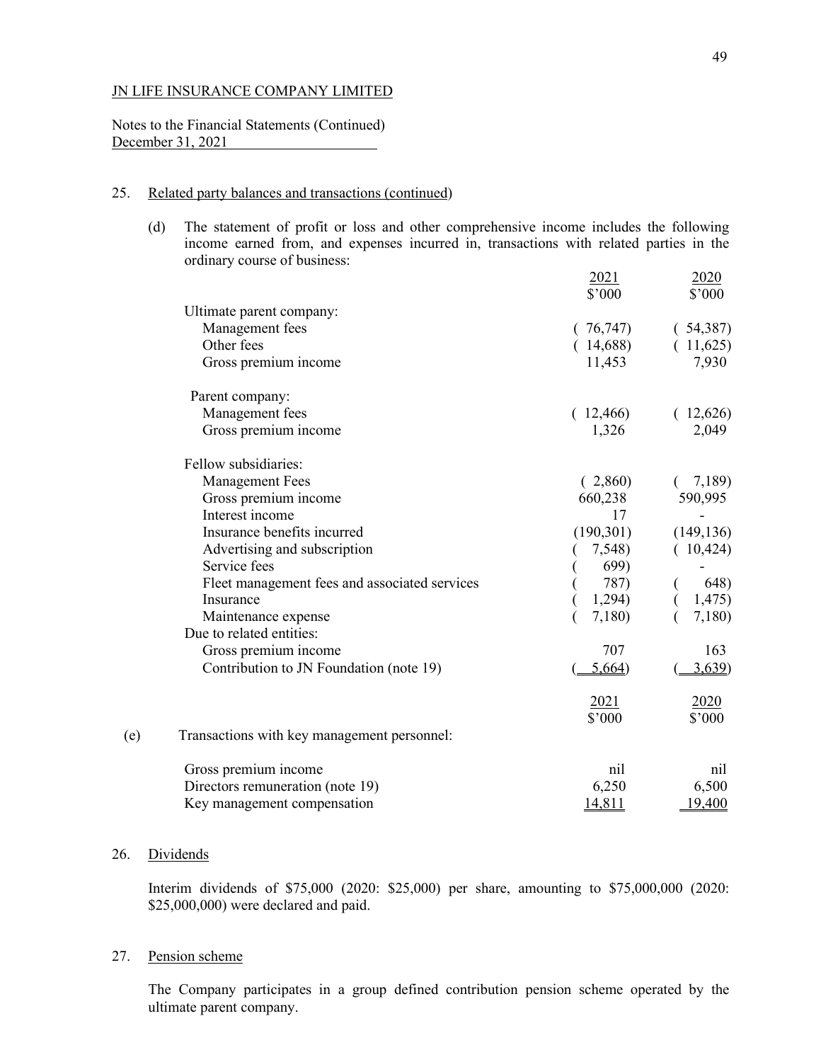Notes to the Financial Statements (Continued) December 31, 2021

# 25. Related party balances and transactions (continued)

(d) The statement of profit or loss and other comprehensive income includes the following income earned from, and expenses incurred in, transactions with related parties in the ordinary course of business:

|     |                                               | 2021          | 2020       |
|-----|-----------------------------------------------|---------------|------------|
|     |                                               | \$'000        | \$'000     |
|     | Ultimate parent company:                      |               |            |
|     | Management fees                               | 76,747)       | 54,387)    |
|     | Other fees                                    | (14,688)      | 11,625     |
|     | Gross premium income                          | 11,453        | 7,930      |
|     | Parent company:                               |               |            |
|     | Management fees                               | (12,466)      | (12,626)   |
|     | Gross premium income                          | 1,326         | 2,049      |
|     | Fellow subsidiaries:                          |               |            |
|     | <b>Management Fees</b>                        | (2,860)       | 7,189)     |
|     | Gross premium income                          | 660,238       | 590,995    |
|     | Interest income                               | 17            |            |
|     | Insurance benefits incurred                   | (190, 301)    | (149, 136) |
|     | Advertising and subscription                  | 7,548)        | (10, 424)  |
|     | Service fees                                  | 699)          |            |
|     | Fleet management fees and associated services | 787)          | 648)       |
|     | Insurance                                     | 1,294)        | 1,475)     |
|     | Maintenance expense                           | 7,180)        | 7,180      |
|     | Due to related entities:                      |               |            |
|     | Gross premium income                          | 707           | 163        |
|     | Contribution to JN Foundation (note 19)       | 5,664)        | 3,639      |
|     |                                               | 2021          | 2020       |
|     |                                               | \$'000        | \$'000     |
| (e) | Transactions with key management personnel:   |               |            |
|     | Gross premium income                          | nil           | nil        |
|     | Directors remuneration (note 19)              | 6,250         | 6,500      |
|     | Key management compensation                   | <u>14,811</u> | 19,400     |
|     |                                               |               |            |

#### 26. Dividends

Interim dividends of \$75,000 (2020: \$25,000) per share, amounting to \$75,000,000 (2020: \$25,000,000) were declared and paid.

#### 27. Pension scheme

The Company participates in a group defined contribution pension scheme operated by the ultimate parent company.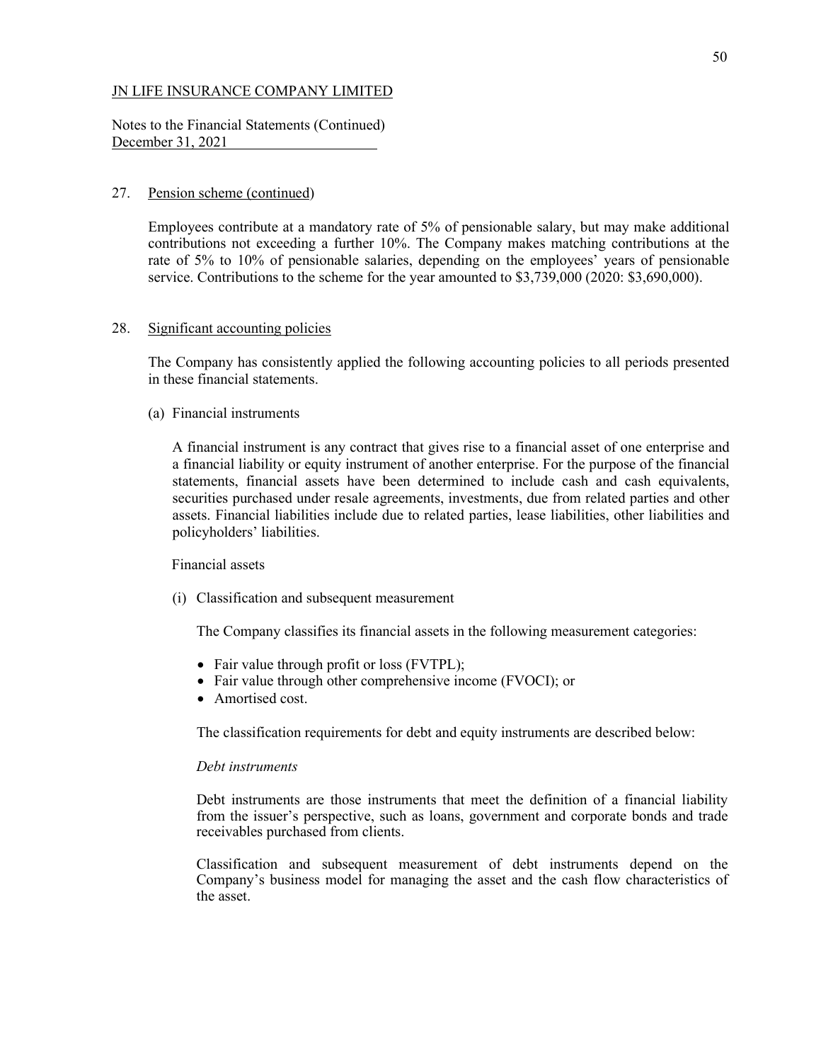Notes to the Financial Statements (Continued) December 31, 2021

# 27. Pension scheme (continued)

Employees contribute at a mandatory rate of 5% of pensionable salary, but may make additional contributions not exceeding a further 10%. The Company makes matching contributions at the rate of 5% to 10% of pensionable salaries, depending on the employees' years of pensionable service. Contributions to the scheme for the year amounted to \$3,739,000 (2020: \$3,690,000).

# 28. Significant accounting policies

The Company has consistently applied the following accounting policies to all periods presented in these financial statements.

(a) Financial instruments

A financial instrument is any contract that gives rise to a financial asset of one enterprise and a financial liability or equity instrument of another enterprise. For the purpose of the financial statements, financial assets have been determined to include cash and cash equivalents, securities purchased under resale agreements, investments, due from related parties and other assets. Financial liabilities include due to related parties, lease liabilities, other liabilities and policyholders' liabilities.

#### Financial assets

(i) Classification and subsequent measurement

The Company classifies its financial assets in the following measurement categories:

- Fair value through profit or loss (FVTPL);
- Fair value through other comprehensive income (FVOCI); or
- Amortised cost.

The classification requirements for debt and equity instruments are described below:

#### *Debt instruments*

Debt instruments are those instruments that meet the definition of a financial liability from the issuer's perspective, such as loans, government and corporate bonds and trade receivables purchased from clients.

Classification and subsequent measurement of debt instruments depend on the Company's business model for managing the asset and the cash flow characteristics of the asset.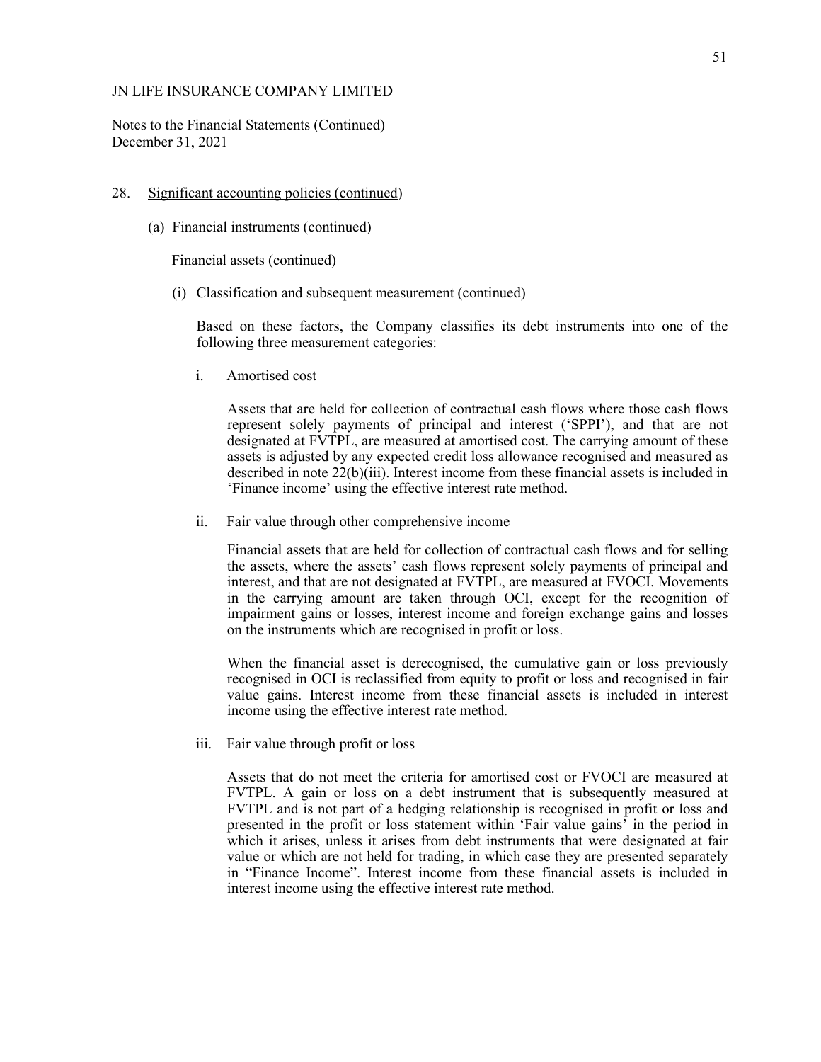Notes to the Financial Statements (Continued) December 31, 2021

# 28. Significant accounting policies (continued)

(a) Financial instruments (continued)

Financial assets (continued)

(i) Classification and subsequent measurement (continued)

Based on these factors, the Company classifies its debt instruments into one of the following three measurement categories:

i. Amortised cost

Assets that are held for collection of contractual cash flows where those cash flows represent solely payments of principal and interest ('SPPI'), and that are not designated at FVTPL, are measured at amortised cost. The carrying amount of these assets is adjusted by any expected credit loss allowance recognised and measured as described in note 22(b)(iii). Interest income from these financial assets is included in 'Finance income' using the effective interest rate method.

ii. Fair value through other comprehensive income

Financial assets that are held for collection of contractual cash flows and for selling the assets, where the assets' cash flows represent solely payments of principal and interest, and that are not designated at FVTPL, are measured at FVOCI. Movements in the carrying amount are taken through OCI, except for the recognition of impairment gains or losses, interest income and foreign exchange gains and losses on the instruments which are recognised in profit or loss.

When the financial asset is derecognised, the cumulative gain or loss previously recognised in OCI is reclassified from equity to profit or loss and recognised in fair value gains. Interest income from these financial assets is included in interest income using the effective interest rate method.

iii. Fair value through profit or loss

Assets that do not meet the criteria for amortised cost or FVOCI are measured at FVTPL. A gain or loss on a debt instrument that is subsequently measured at FVTPL and is not part of a hedging relationship is recognised in profit or loss and presented in the profit or loss statement within 'Fair value gains' in the period in which it arises, unless it arises from debt instruments that were designated at fair value or which are not held for trading, in which case they are presented separately in "Finance Income". Interest income from these financial assets is included in interest income using the effective interest rate method.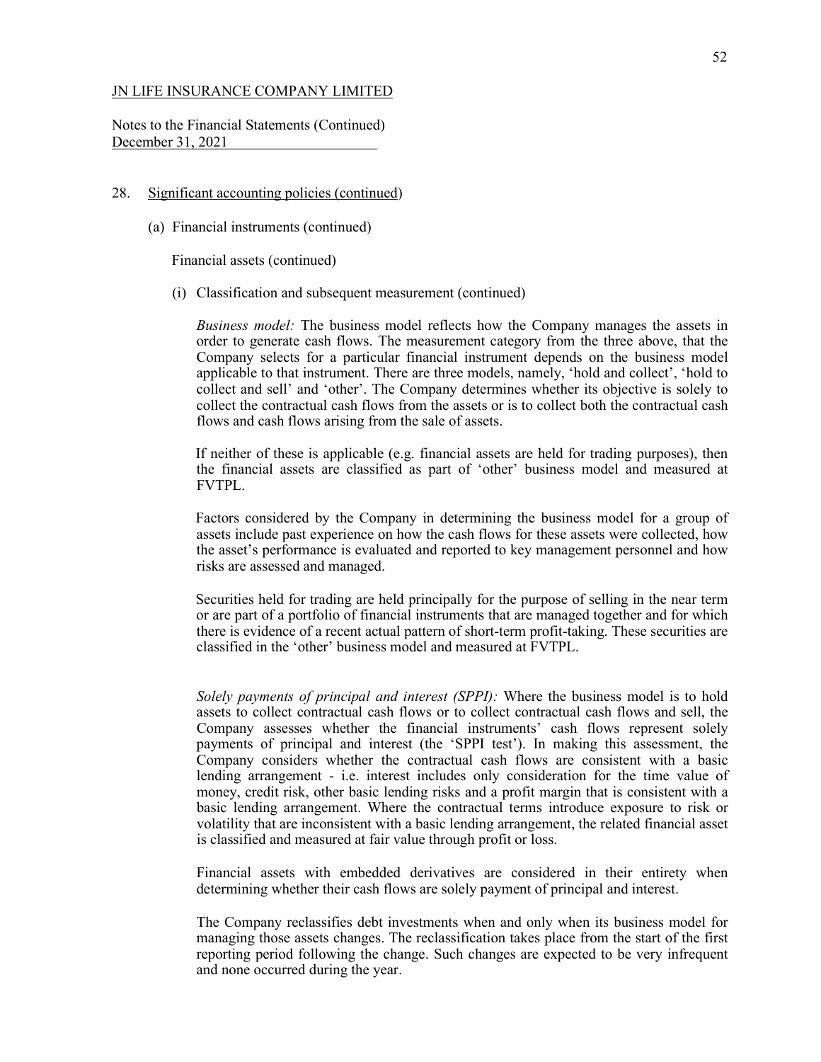Notes to the Financial Statements (Continued) December 31, 2021

### 28. Significant accounting policies (continued)

(a) Financial instruments (continued)

Financial assets (continued)

(i) Classification and subsequent measurement (continued)

*Business model:* The business model reflects how the Company manages the assets in order to generate cash flows. The measurement category from the three above, that the Company selects for a particular financial instrument depends on the business model applicable to that instrument. There are three models, namely, 'hold and collect', 'hold to collect and sell' and 'other'. The Company determines whether its objective is solely to collect the contractual cash flows from the assets or is to collect both the contractual cash flows and cash flows arising from the sale of assets.

If neither of these is applicable (e.g. financial assets are held for trading purposes), then the financial assets are classified as part of 'other' business model and measured at FVTPL.

Factors considered by the Company in determining the business model for a group of assets include past experience on how the cash flows for these assets were collected, how the asset's performance is evaluated and reported to key management personnel and how risks are assessed and managed.

Securities held for trading are held principally for the purpose of selling in the near term or are part of a portfolio of financial instruments that are managed together and for which there is evidence of a recent actual pattern of short-term profit-taking. These securities are classified in the 'other' business model and measured at FVTPL.

*Solely payments of principal and interest (SPPI):* Where the business model is to hold assets to collect contractual cash flows or to collect contractual cash flows and sell, the Company assesses whether the financial instruments' cash flows represent solely payments of principal and interest (the 'SPPI test'). In making this assessment, the Company considers whether the contractual cash flows are consistent with a basic lending arrangement - i.e. interest includes only consideration for the time value of money, credit risk, other basic lending risks and a profit margin that is consistent with a basic lending arrangement. Where the contractual terms introduce exposure to risk or volatility that are inconsistent with a basic lending arrangement, the related financial asset is classified and measured at fair value through profit or loss.

Financial assets with embedded derivatives are considered in their entirety when determining whether their cash flows are solely payment of principal and interest.

The Company reclassifies debt investments when and only when its business model for managing those assets changes. The reclassification takes place from the start of the first reporting period following the change. Such changes are expected to be very infrequent and none occurred during the year.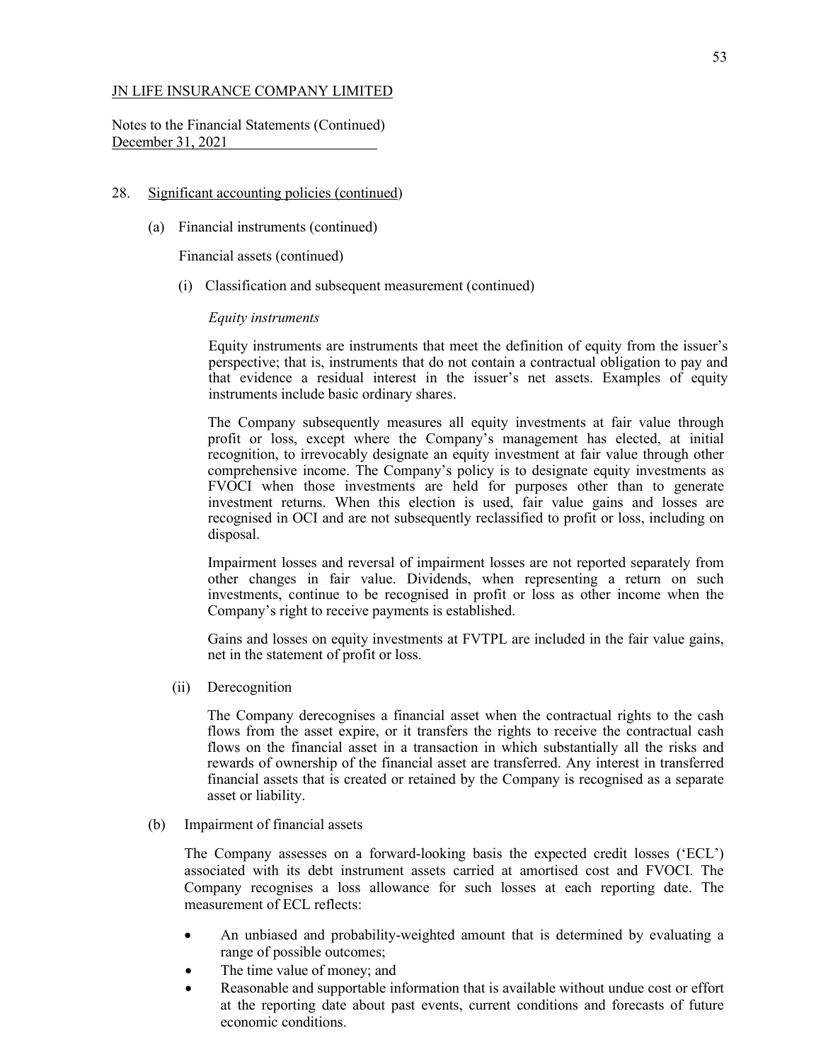Notes to the Financial Statements (Continued) December 31, 2021

# 28. Significant accounting policies (continued)

(a) Financial instruments (continued)

Financial assets (continued)

(i) Classification and subsequent measurement (continued)

#### *Equity instruments*

Equity instruments are instruments that meet the definition of equity from the issuer's perspective; that is, instruments that do not contain a contractual obligation to pay and that evidence a residual interest in the issuer's net assets. Examples of equity instruments include basic ordinary shares.

The Company subsequently measures all equity investments at fair value through profit or loss, except where the Company's management has elected, at initial recognition, to irrevocably designate an equity investment at fair value through other comprehensive income. The Company's policy is to designate equity investments as FVOCI when those investments are held for purposes other than to generate investment returns. When this election is used, fair value gains and losses are recognised in OCI and are not subsequently reclassified to profit or loss, including on disposal.

Impairment losses and reversal of impairment losses are not reported separately from other changes in fair value. Dividends, when representing a return on such investments, continue to be recognised in profit or loss as other income when the Company's right to receive payments is established.

Gains and losses on equity investments at FVTPL are included in the fair value gains, net in the statement of profit or loss.

(ii) Derecognition

The Company derecognises a financial asset when the contractual rights to the cash flows from the asset expire, or it transfers the rights to receive the contractual cash flows on the financial asset in a transaction in which substantially all the risks and rewards of ownership of the financial asset are transferred. Any interest in transferred financial assets that is created or retained by the Company is recognised as a separate asset or liability.

(b) Impairment of financial assets

The Company assesses on a forward-looking basis the expected credit losses ('ECL') associated with its debt instrument assets carried at amortised cost and FVOCI. The Company recognises a loss allowance for such losses at each reporting date. The measurement of ECL reflects:

- An unbiased and probability-weighted amount that is determined by evaluating a range of possible outcomes;
- The time value of money; and
- Reasonable and supportable information that is available without undue cost or effort at the reporting date about past events, current conditions and forecasts of future economic conditions.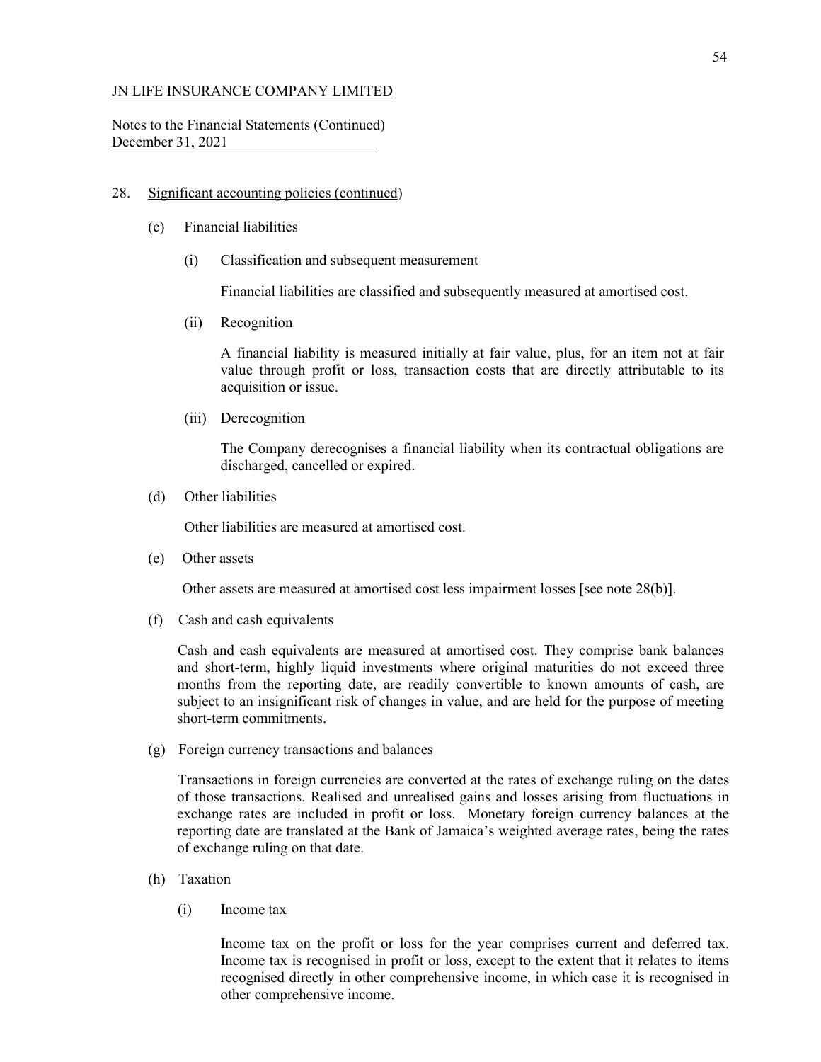Notes to the Financial Statements (Continued) December 31, 2021

# 28. Significant accounting policies (continued)

- (c) Financial liabilities
	- (i) Classification and subsequent measurement

Financial liabilities are classified and subsequently measured at amortised cost.

(ii) Recognition

A financial liability is measured initially at fair value, plus, for an item not at fair value through profit or loss, transaction costs that are directly attributable to its acquisition or issue.

(iii) Derecognition

The Company derecognises a financial liability when its contractual obligations are discharged, cancelled or expired.

(d) Other liabilities

Other liabilities are measured at amortised cost.

(e) Other assets

Other assets are measured at amortised cost less impairment losses [see note 28(b)].

(f) Cash and cash equivalents

Cash and cash equivalents are measured at amortised cost. They comprise bank balances and short-term, highly liquid investments where original maturities do not exceed three months from the reporting date, are readily convertible to known amounts of cash, are subject to an insignificant risk of changes in value, and are held for the purpose of meeting short-term commitments.

(g) Foreign currency transactions and balances

Transactions in foreign currencies are converted at the rates of exchange ruling on the dates of those transactions. Realised and unrealised gains and losses arising from fluctuations in exchange rates are included in profit or loss. Monetary foreign currency balances at the reporting date are translated at the Bank of Jamaica's weighted average rates, being the rates of exchange ruling on that date.

- (h) Taxation
	- (i) Income tax

Income tax on the profit or loss for the year comprises current and deferred tax. Income tax is recognised in profit or loss, except to the extent that it relates to items recognised directly in other comprehensive income, in which case it is recognised in other comprehensive income.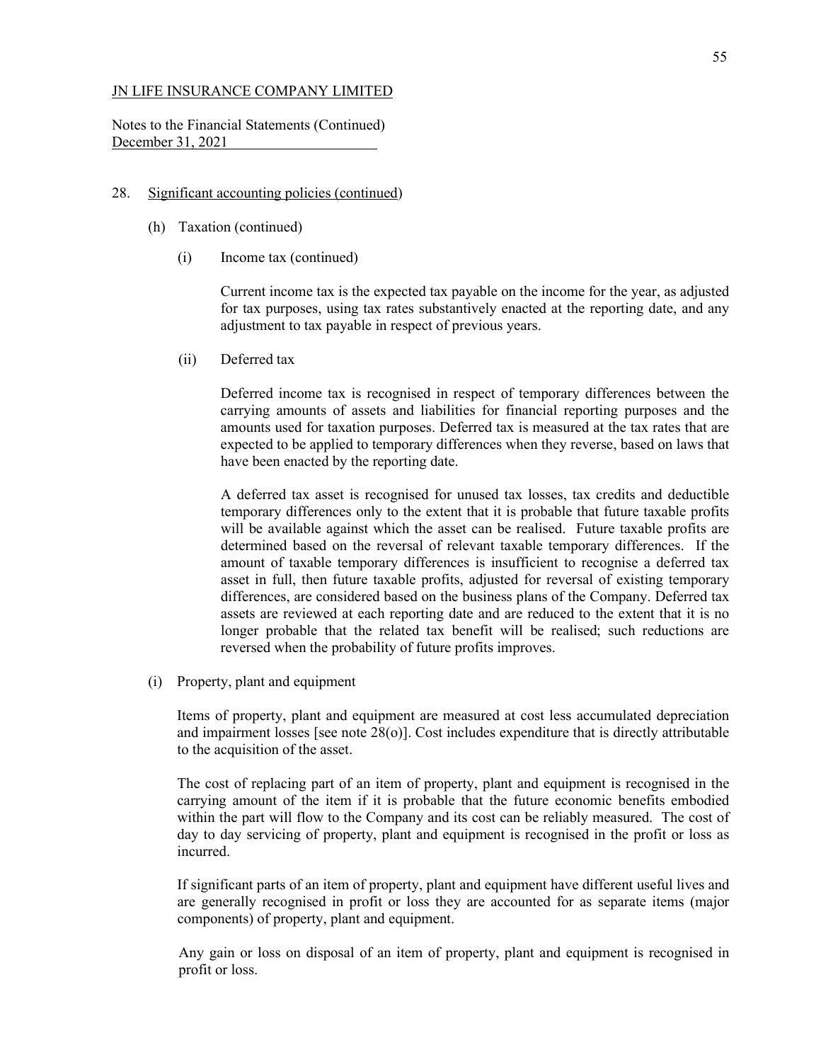Notes to the Financial Statements (Continued) December 31, 2021

# 28. Significant accounting policies (continued)

- (h) Taxation (continued)
	- (i) Income tax (continued)

Current income tax is the expected tax payable on the income for the year, as adjusted for tax purposes, using tax rates substantively enacted at the reporting date, and any adjustment to tax payable in respect of previous years.

(ii) Deferred tax

Deferred income tax is recognised in respect of temporary differences between the carrying amounts of assets and liabilities for financial reporting purposes and the amounts used for taxation purposes. Deferred tax is measured at the tax rates that are expected to be applied to temporary differences when they reverse, based on laws that have been enacted by the reporting date.

A deferred tax asset is recognised for unused tax losses, tax credits and deductible temporary differences only to the extent that it is probable that future taxable profits will be available against which the asset can be realised. Future taxable profits are determined based on the reversal of relevant taxable temporary differences. If the amount of taxable temporary differences is insufficient to recognise a deferred tax asset in full, then future taxable profits, adjusted for reversal of existing temporary differences, are considered based on the business plans of the Company. Deferred tax assets are reviewed at each reporting date and are reduced to the extent that it is no longer probable that the related tax benefit will be realised; such reductions are reversed when the probability of future profits improves.

(i) Property, plant and equipment

Items of property, plant and equipment are measured at cost less accumulated depreciation and impairment losses [see note  $28(0)$ ]. Cost includes expenditure that is directly attributable to the acquisition of the asset.

The cost of replacing part of an item of property, plant and equipment is recognised in the carrying amount of the item if it is probable that the future economic benefits embodied within the part will flow to the Company and its cost can be reliably measured. The cost of day to day servicing of property, plant and equipment is recognised in the profit or loss as incurred.

If significant parts of an item of property, plant and equipment have different useful lives and are generally recognised in profit or loss they are accounted for as separate items (major components) of property, plant and equipment.

Any gain or loss on disposal of an item of property, plant and equipment is recognised in profit or loss.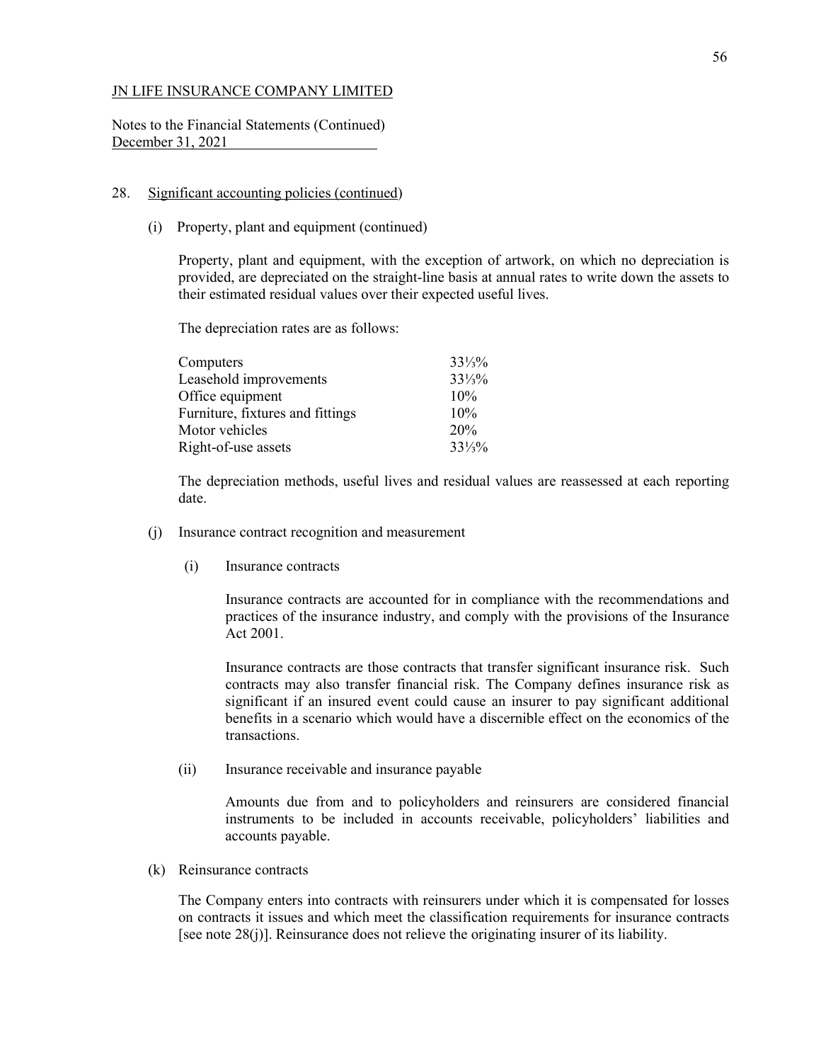Notes to the Financial Statements (Continued) December 31, 2021

### 28. Significant accounting policies (continued)

(i) Property, plant and equipment (continued)

Property, plant and equipment, with the exception of artwork, on which no depreciation is provided, are depreciated on the straight-line basis at annual rates to write down the assets to their estimated residual values over their expected useful lives.

The depreciation rates are as follows:

| Computers                        | $33\frac{1}{3}\%$ |
|----------------------------------|-------------------|
| Leasehold improvements           | $33\frac{1}{3}\%$ |
| Office equipment                 | 10%               |
| Furniture, fixtures and fittings | 10%               |
| Motor vehicles                   | 20%               |
| Right-of-use assets              | $33\frac{1}{3}\%$ |

The depreciation methods, useful lives and residual values are reassessed at each reporting date.

- (j) Insurance contract recognition and measurement
	- (i) Insurance contracts

Insurance contracts are accounted for in compliance with the recommendations and practices of the insurance industry, and comply with the provisions of the Insurance Act 2001.

Insurance contracts are those contracts that transfer significant insurance risk. Such contracts may also transfer financial risk. The Company defines insurance risk as significant if an insured event could cause an insurer to pay significant additional benefits in a scenario which would have a discernible effect on the economics of the transactions.

(ii) Insurance receivable and insurance payable

Amounts due from and to policyholders and reinsurers are considered financial instruments to be included in accounts receivable, policyholders' liabilities and accounts payable.

(k) Reinsurance contracts

The Company enters into contracts with reinsurers under which it is compensated for losses on contracts it issues and which meet the classification requirements for insurance contracts [see note 28(j)]. Reinsurance does not relieve the originating insurer of its liability.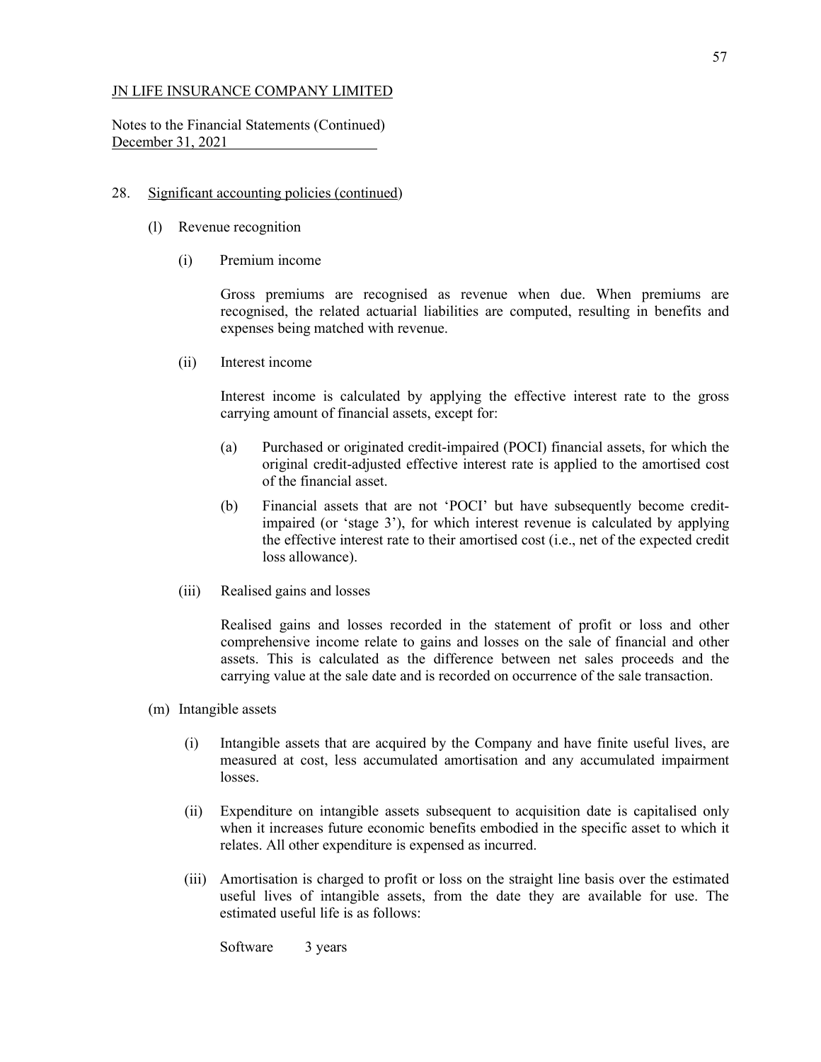Notes to the Financial Statements (Continued) December 31, 2021

# 28. Significant accounting policies (continued)

- (l) Revenue recognition
	- (i) Premium income

Gross premiums are recognised as revenue when due. When premiums are recognised, the related actuarial liabilities are computed, resulting in benefits and expenses being matched with revenue.

(ii) Interest income

Interest income is calculated by applying the effective interest rate to the gross carrying amount of financial assets, except for:

- (a) Purchased or originated credit-impaired (POCI) financial assets, for which the original credit-adjusted effective interest rate is applied to the amortised cost of the financial asset.
- (b) Financial assets that are not 'POCI' but have subsequently become creditimpaired (or 'stage 3'), for which interest revenue is calculated by applying the effective interest rate to their amortised cost (i.e., net of the expected credit loss allowance).
- (iii) Realised gains and losses

Realised gains and losses recorded in the statement of profit or loss and other comprehensive income relate to gains and losses on the sale of financial and other assets. This is calculated as the difference between net sales proceeds and the carrying value at the sale date and is recorded on occurrence of the sale transaction.

- (m) Intangible assets
	- (i) Intangible assets that are acquired by the Company and have finite useful lives, are measured at cost, less accumulated amortisation and any accumulated impairment losses.
	- (ii) Expenditure on intangible assets subsequent to acquisition date is capitalised only when it increases future economic benefits embodied in the specific asset to which it relates. All other expenditure is expensed as incurred.
	- (iii) Amortisation is charged to profit or loss on the straight line basis over the estimated useful lives of intangible assets, from the date they are available for use. The estimated useful life is as follows:

Software 3 years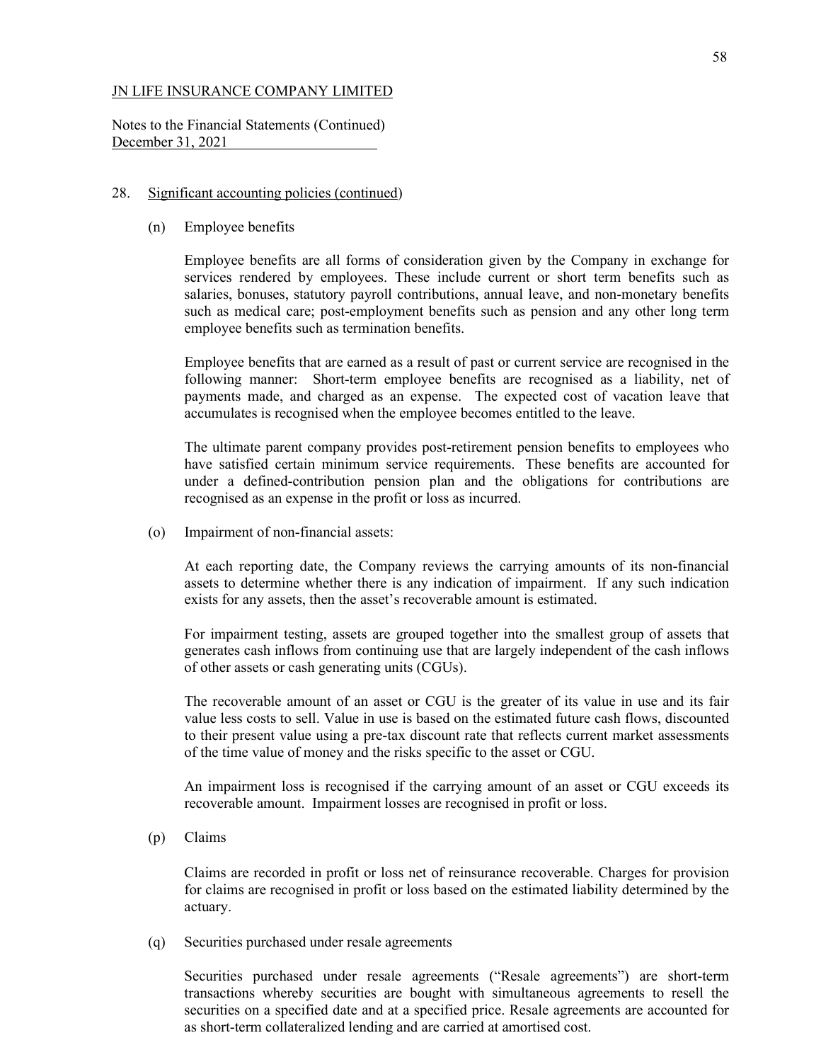Notes to the Financial Statements (Continued) December 31, 2021

# 28. Significant accounting policies (continued)

(n) Employee benefits

Employee benefits are all forms of consideration given by the Company in exchange for services rendered by employees. These include current or short term benefits such as salaries, bonuses, statutory payroll contributions, annual leave, and non-monetary benefits such as medical care; post-employment benefits such as pension and any other long term employee benefits such as termination benefits.

Employee benefits that are earned as a result of past or current service are recognised in the following manner: Short-term employee benefits are recognised as a liability, net of payments made, and charged as an expense. The expected cost of vacation leave that accumulates is recognised when the employee becomes entitled to the leave.

The ultimate parent company provides post-retirement pension benefits to employees who have satisfied certain minimum service requirements. These benefits are accounted for under a defined-contribution pension plan and the obligations for contributions are recognised as an expense in the profit or loss as incurred.

(o) Impairment of non-financial assets:

At each reporting date, the Company reviews the carrying amounts of its non-financial assets to determine whether there is any indication of impairment. If any such indication exists for any assets, then the asset's recoverable amount is estimated.

For impairment testing, assets are grouped together into the smallest group of assets that generates cash inflows from continuing use that are largely independent of the cash inflows of other assets or cash generating units (CGUs).

The recoverable amount of an asset or CGU is the greater of its value in use and its fair value less costs to sell. Value in use is based on the estimated future cash flows, discounted to their present value using a pre-tax discount rate that reflects current market assessments of the time value of money and the risks specific to the asset or CGU.

An impairment loss is recognised if the carrying amount of an asset or CGU exceeds its recoverable amount. Impairment losses are recognised in profit or loss.

(p) Claims

Claims are recorded in profit or loss net of reinsurance recoverable. Charges for provision for claims are recognised in profit or loss based on the estimated liability determined by the actuary.

(q) Securities purchased under resale agreements

Securities purchased under resale agreements ("Resale agreements") are short-term transactions whereby securities are bought with simultaneous agreements to resell the securities on a specified date and at a specified price. Resale agreements are accounted for as short-term collateralized lending and are carried at amortised cost.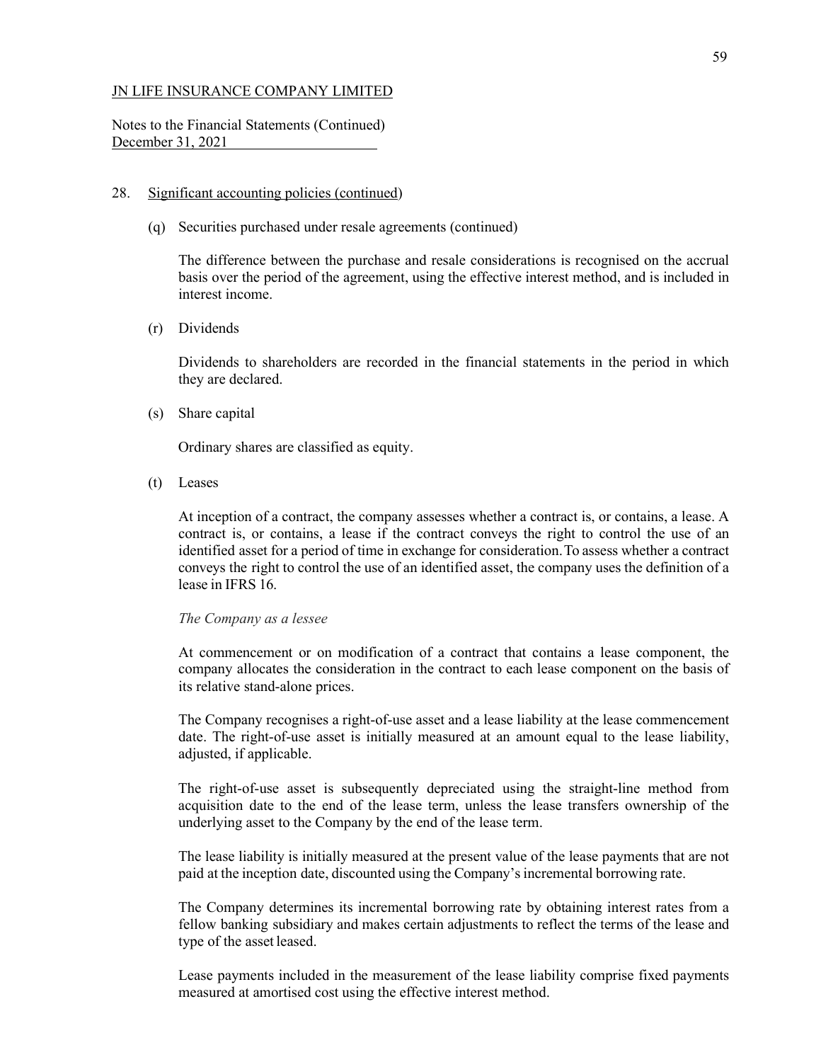Notes to the Financial Statements (Continued) December 31, 2021

### 28. Significant accounting policies (continued)

(q) Securities purchased under resale agreements (continued)

The difference between the purchase and resale considerations is recognised on the accrual basis over the period of the agreement, using the effective interest method, and is included in interest income.

(r) Dividends

Dividends to shareholders are recorded in the financial statements in the period in which they are declared.

(s) Share capital

Ordinary shares are classified as equity.

(t) Leases

At inception of a contract, the company assesses whether a contract is, or contains, a lease. A contract is, or contains, a lease if the contract conveys the right to control the use of an identified asset for a period of time in exchange for consideration.To assess whether a contract conveys the right to control the use of an identified asset, the company uses the definition of a lease in IFRS 16.

#### *The Company as a lessee*

At commencement or on modification of a contract that contains a lease component, the company allocates the consideration in the contract to each lease component on the basis of its relative stand‑alone prices.

The Company recognises a right-of-use asset and a lease liability at the lease commencement date. The right-of-use asset is initially measured at an amount equal to the lease liability, adjusted, if applicable.

The right–of–use asset is subsequently depreciated using the straight–line method from acquisition date to the end of the lease term, unless the lease transfers ownership of the underlying asset to the Company by the end of the lease term.

The lease liability is initially measured at the present value of the lease payments that are not paid at the inception date, discounted using the Company'sincremental borrowing rate.

The Company determines its incremental borrowing rate by obtaining interest rates from a fellow banking subsidiary and makes certain adjustments to reflect the terms of the lease and type of the asset leased.

Lease payments included in the measurement of the lease liability comprise fixed payments measured at amortised cost using the effective interest method.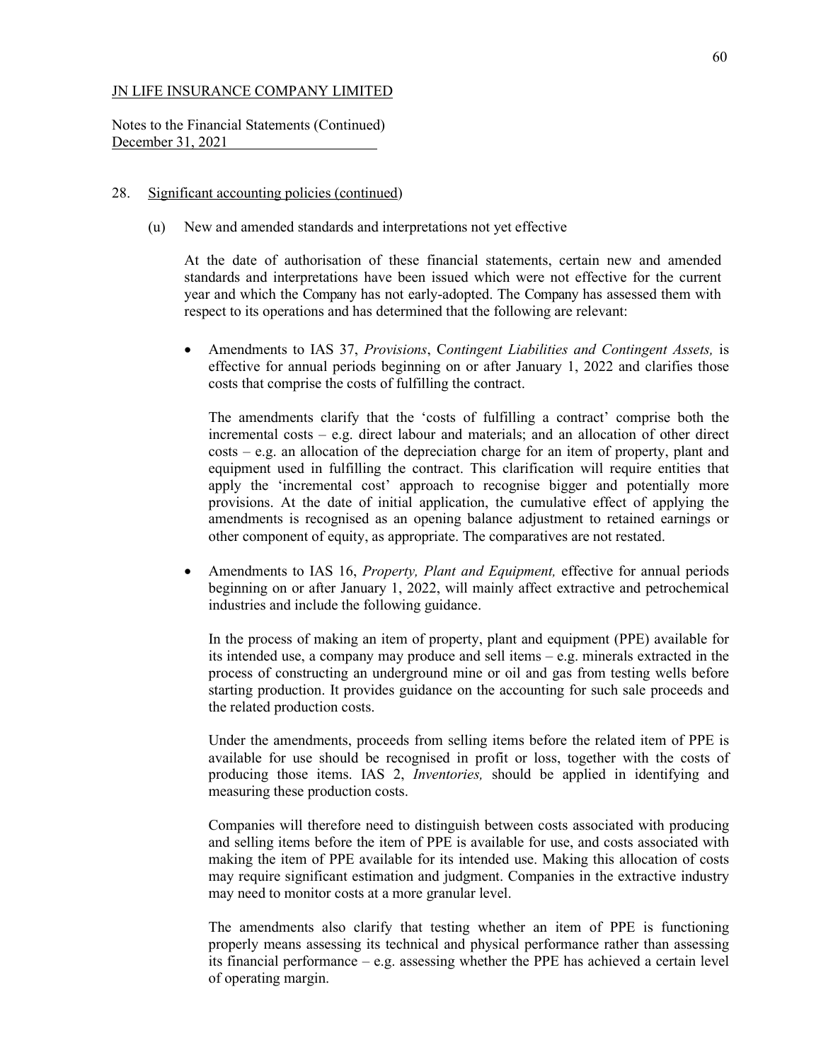Notes to the Financial Statements (Continued) December 31, 2021

# 28. Significant accounting policies (continued)

(u) New and amended standards and interpretations not yet effective

At the date of authorisation of these financial statements, certain new and amended standards and interpretations have been issued which were not effective for the current year and which the Company has not early-adopted. The Company has assessed them with respect to its operations and has determined that the following are relevant:

• Amendments to IAS 37, *Provisions*, C*ontingent Liabilities and Contingent Assets,* is effective for annual periods beginning on or after January 1, 2022 and clarifies those costs that comprise the costs of fulfilling the contract.

The amendments clarify that the 'costs of fulfilling a contract' comprise both the incremental costs – e.g. direct labour and materials; and an allocation of other direct costs – e.g. an allocation of the depreciation charge for an item of property, plant and equipment used in fulfilling the contract. This clarification will require entities that apply the 'incremental cost' approach to recognise bigger and potentially more provisions. At the date of initial application, the cumulative effect of applying the amendments is recognised as an opening balance adjustment to retained earnings or other component of equity, as appropriate. The comparatives are not restated.

• Amendments to IAS 16, *Property, Plant and Equipment,* effective for annual periods beginning on or after January 1, 2022, will mainly affect extractive and petrochemical industries and include the following guidance.

In the process of making an item of property, plant and equipment (PPE) available for its intended use, a company may produce and sell items – e.g. minerals extracted in the process of constructing an underground mine or oil and gas from testing wells before starting production. It provides guidance on the accounting for such sale proceeds and the related production costs.

Under the amendments, proceeds from selling items before the related item of PPE is available for use should be recognised in profit or loss, together with the costs of producing those items. IAS 2, *Inventories,* should be applied in identifying and measuring these production costs.

Companies will therefore need to distinguish between costs associated with producing and selling items before the item of PPE is available for use, and costs associated with making the item of PPE available for its intended use. Making this allocation of costs may require significant estimation and judgment. Companies in the extractive industry may need to monitor costs at a more granular level.

The amendments also clarify that testing whether an item of PPE is functioning properly means assessing its technical and physical performance rather than assessing its financial performance – e.g. assessing whether the PPE has achieved a certain level of operating margin.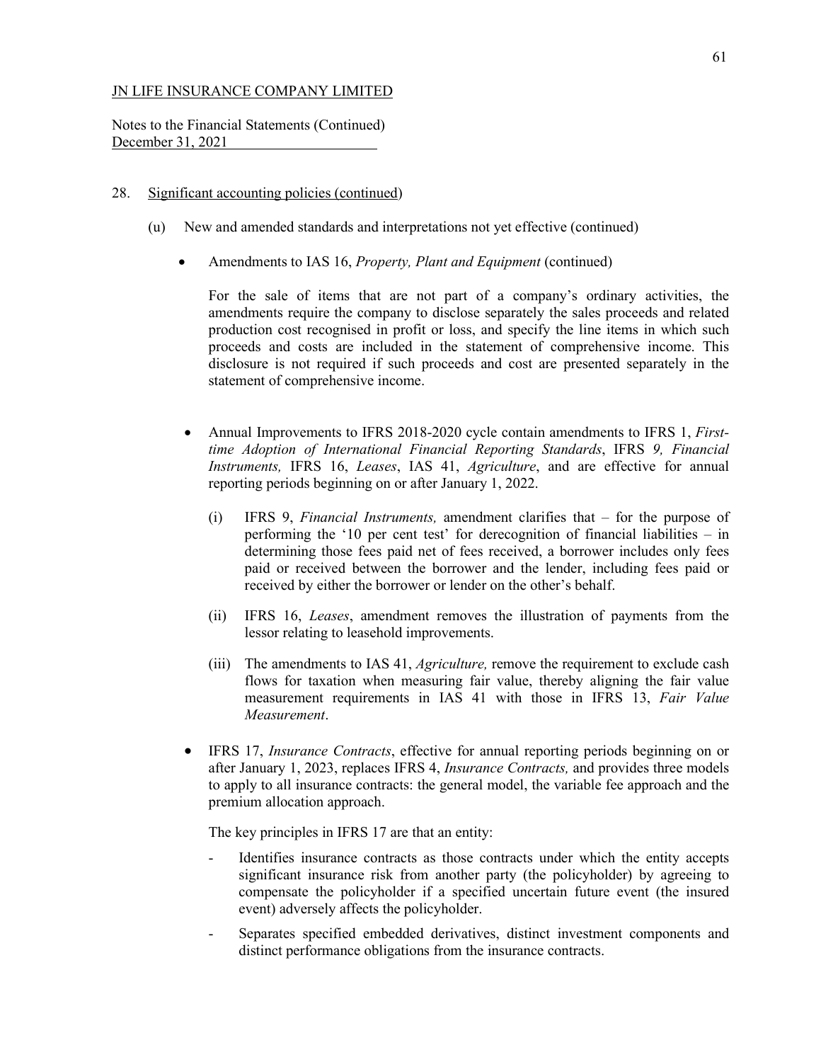Notes to the Financial Statements (Continued) December 31, 2021

# 28. Significant accounting policies (continued)

- (u) New and amended standards and interpretations not yet effective (continued)
	- Amendments to IAS 16, *Property, Plant and Equipment* (continued)

For the sale of items that are not part of a company's ordinary activities, the amendments require the company to disclose separately the sales proceeds and related production cost recognised in profit or loss, and specify the line items in which such proceeds and costs are included in the statement of comprehensive income. This disclosure is not required if such proceeds and cost are presented separately in the statement of comprehensive income.

- Annual Improvements to IFRS 2018-2020 cycle contain amendments to IFRS 1, *Firsttime Adoption of International Financial Reporting Standards*, IFRS *9, Financial Instruments,* IFRS 16, *Leases*, IAS 41, *Agriculture*, and are effective for annual reporting periods beginning on or after January 1, 2022.
	- (i) IFRS 9, *Financial Instruments,* amendment clarifies that for the purpose of performing the '10 per cent test' for derecognition of financial liabilities – in determining those fees paid net of fees received, a borrower includes only fees paid or received between the borrower and the lender, including fees paid or received by either the borrower or lender on the other's behalf.
	- (ii) IFRS 16, *Leases*, amendment removes the illustration of payments from the lessor relating to leasehold improvements.
	- (iii) The amendments to IAS 41, *Agriculture,* remove the requirement to exclude cash flows for taxation when measuring fair value, thereby aligning the fair value measurement requirements in IAS 41 with those in IFRS 13, *Fair Value Measurement*.
- IFRS 17, *Insurance Contracts*, effective for annual reporting periods beginning on or after January 1, 2023, replaces IFRS 4, *Insurance Contracts,* and provides three models to apply to all insurance contracts: the general model, the variable fee approach and the premium allocation approach.

The key principles in IFRS 17 are that an entity:

- Identifies insurance contracts as those contracts under which the entity accepts significant insurance risk from another party (the policyholder) by agreeing to compensate the policyholder if a specified uncertain future event (the insured event) adversely affects the policyholder.
- Separates specified embedded derivatives, distinct investment components and distinct performance obligations from the insurance contracts.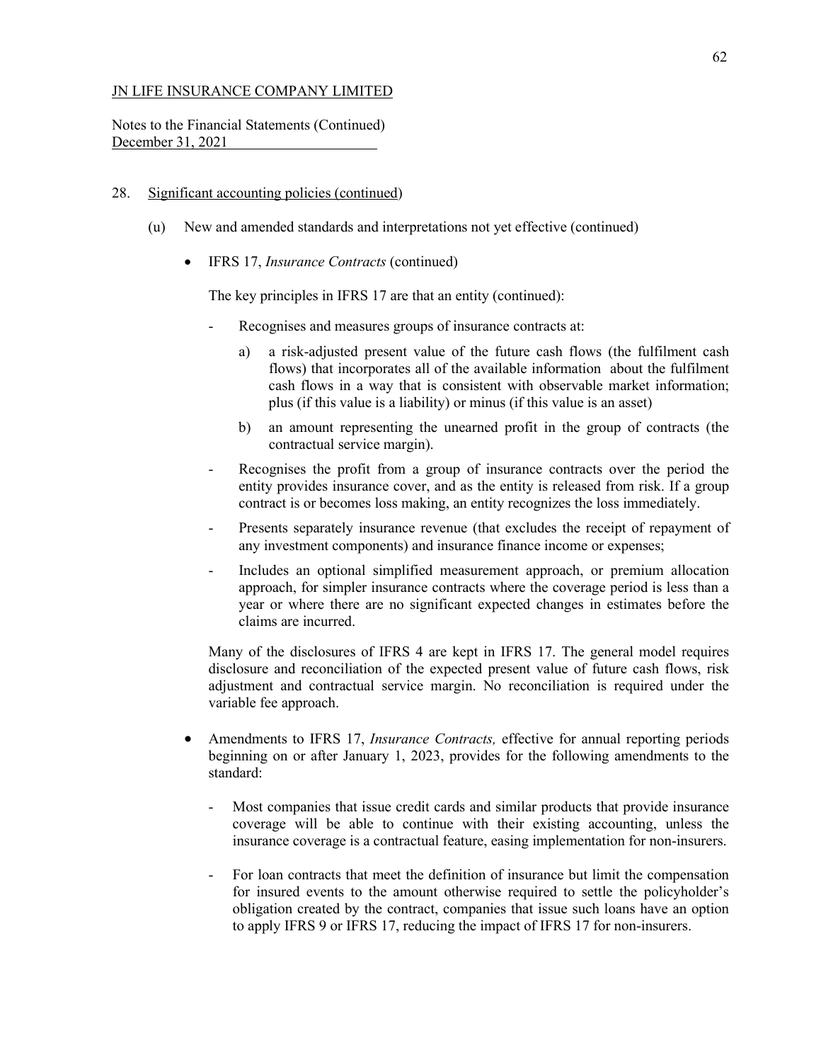Notes to the Financial Statements (Continued) December 31, 2021

# 28. Significant accounting policies (continued)

- (u) New and amended standards and interpretations not yet effective (continued)
	- IFRS 17, *Insurance Contracts* (continued)

The key principles in IFRS 17 are that an entity (continued):

- Recognises and measures groups of insurance contracts at:
	- a) a risk-adjusted present value of the future cash flows (the fulfilment cash flows) that incorporates all of the available information about the fulfilment cash flows in a way that is consistent with observable market information; plus (if this value is a liability) or minus (if this value is an asset)
	- b) an amount representing the unearned profit in the group of contracts (the contractual service margin).
- Recognises the profit from a group of insurance contracts over the period the entity provides insurance cover, and as the entity is released from risk. If a group contract is or becomes loss making, an entity recognizes the loss immediately.
- Presents separately insurance revenue (that excludes the receipt of repayment of any investment components) and insurance finance income or expenses;
- Includes an optional simplified measurement approach, or premium allocation approach, for simpler insurance contracts where the coverage period is less than a year or where there are no significant expected changes in estimates before the claims are incurred.

Many of the disclosures of IFRS 4 are kept in IFRS 17. The general model requires disclosure and reconciliation of the expected present value of future cash flows, risk adjustment and contractual service margin. No reconciliation is required under the variable fee approach.

- Amendments to IFRS 17, *Insurance Contracts,* effective for annual reporting periods beginning on or after January 1, 2023, provides for the following amendments to the standard:
	- Most companies that issue credit cards and similar products that provide insurance coverage will be able to continue with their existing accounting, unless the insurance coverage is a contractual feature, easing implementation for non-insurers.
	- For loan contracts that meet the definition of insurance but limit the compensation for insured events to the amount otherwise required to settle the policyholder's obligation created by the contract, companies that issue such loans have an option to apply IFRS 9 or IFRS 17, reducing the impact of IFRS 17 for non-insurers.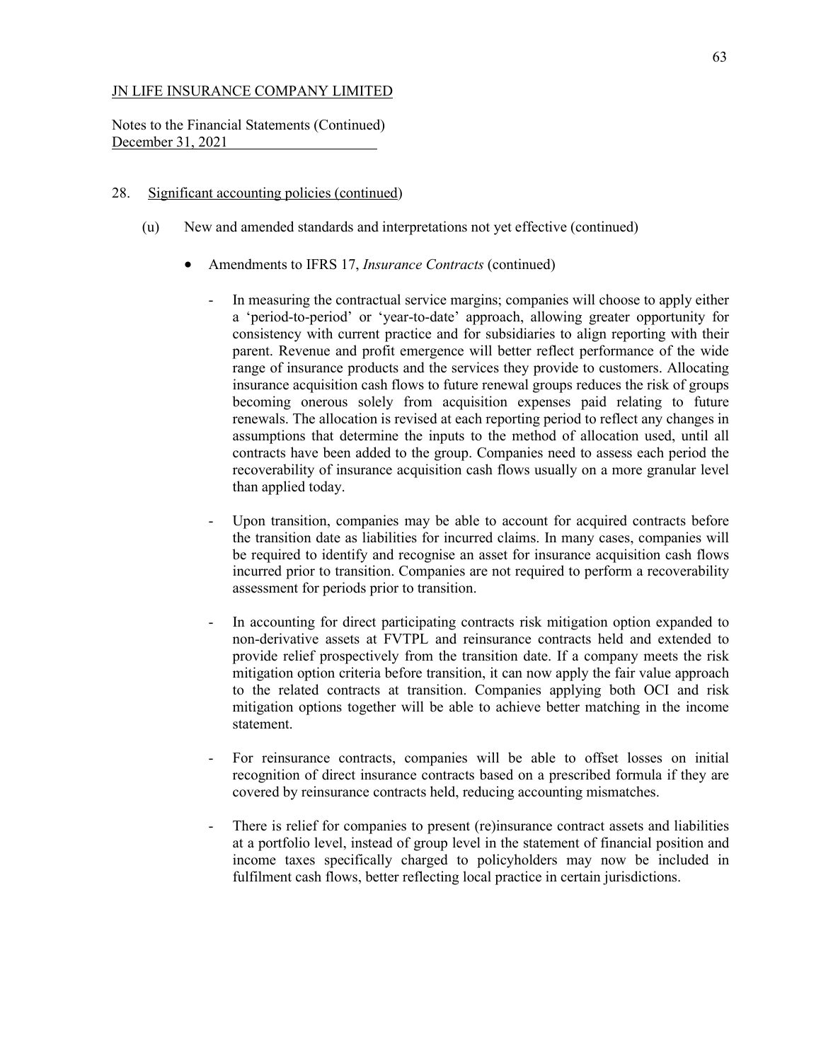Notes to the Financial Statements (Continued) December 31, 2021

# 28. Significant accounting policies (continued)

- (u) New and amended standards and interpretations not yet effective (continued)
	- Amendments to IFRS 17, *Insurance Contracts* (continued)
		- In measuring the contractual service margins; companies will choose to apply either a 'period-to-period' or 'year-to-date' approach, allowing greater opportunity for consistency with current practice and for subsidiaries to align reporting with their parent. Revenue and profit emergence will better reflect performance of the wide range of insurance products and the services they provide to customers. Allocating insurance acquisition cash flows to future renewal groups reduces the risk of groups becoming onerous solely from acquisition expenses paid relating to future renewals. The allocation is revised at each reporting period to reflect any changes in assumptions that determine the inputs to the method of allocation used, until all contracts have been added to the group. Companies need to assess each period the recoverability of insurance acquisition cash flows usually on a more granular level than applied today.
		- Upon transition, companies may be able to account for acquired contracts before the transition date as liabilities for incurred claims. In many cases, companies will be required to identify and recognise an asset for insurance acquisition cash flows incurred prior to transition. Companies are not required to perform a recoverability assessment for periods prior to transition.
		- In accounting for direct participating contracts risk mitigation option expanded to non-derivative assets at FVTPL and reinsurance contracts held and extended to provide relief prospectively from the transition date. If a company meets the risk mitigation option criteria before transition, it can now apply the fair value approach to the related contracts at transition. Companies applying both OCI and risk mitigation options together will be able to achieve better matching in the income statement.
		- For reinsurance contracts, companies will be able to offset losses on initial recognition of direct insurance contracts based on a prescribed formula if they are covered by reinsurance contracts held, reducing accounting mismatches.
		- There is relief for companies to present (re)insurance contract assets and liabilities at a portfolio level, instead of group level in the statement of financial position and income taxes specifically charged to policyholders may now be included in fulfilment cash flows, better reflecting local practice in certain jurisdictions.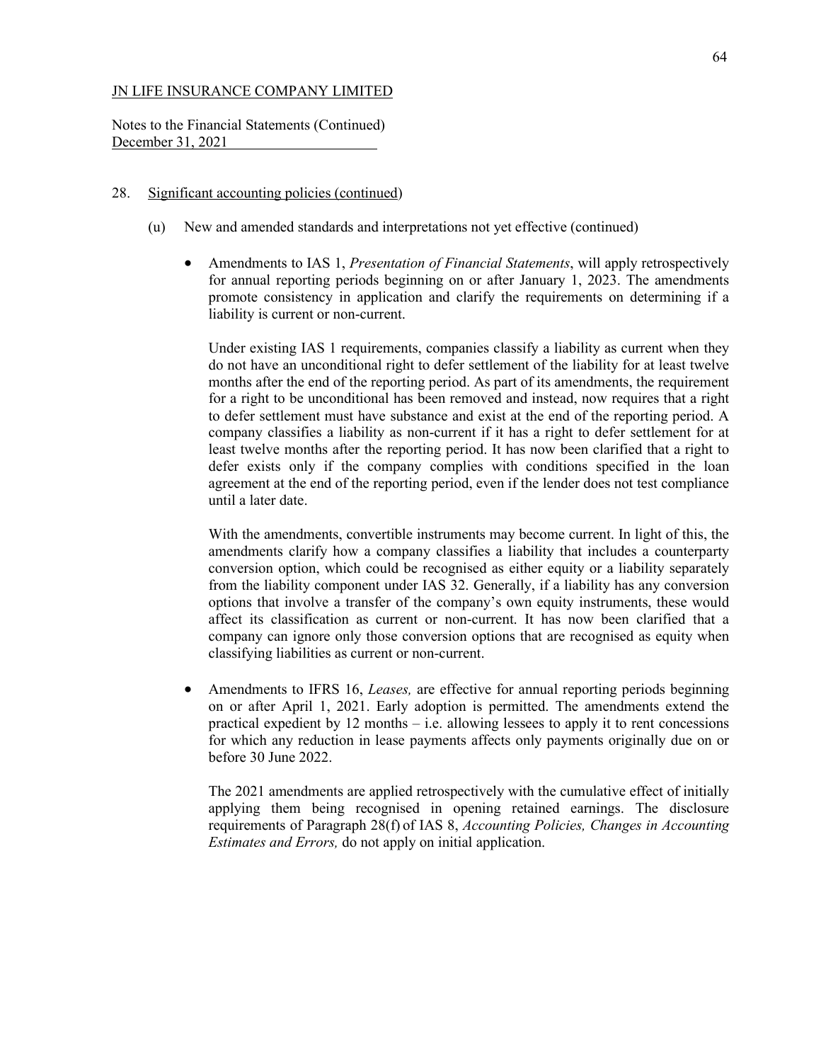Notes to the Financial Statements (Continued) December 31, 2021

# 28. Significant accounting policies (continued)

- (u) New and amended standards and interpretations not yet effective (continued)
	- Amendments to IAS 1, *Presentation of Financial Statements*, will apply retrospectively for annual reporting periods beginning on or after January 1, 2023. The amendments promote consistency in application and clarify the requirements on determining if a liability is current or non-current.

Under existing IAS 1 requirements, companies classify a liability as current when they do not have an unconditional right to defer settlement of the liability for at least twelve months after the end of the reporting period. As part of its amendments, the requirement for a right to be unconditional has been removed and instead, now requires that a right to defer settlement must have substance and exist at the end of the reporting period. A company classifies a liability as non-current if it has a right to defer settlement for at least twelve months after the reporting period. It has now been clarified that a right to defer exists only if the company complies with conditions specified in the loan agreement at the end of the reporting period, even if the lender does not test compliance until a later date.

With the amendments, convertible instruments may become current. In light of this, the amendments clarify how a company classifies a liability that includes a counterparty conversion option, which could be recognised as either equity or a liability separately from the liability component under IAS 32. Generally, if a liability has any conversion options that involve a transfer of the company's own equity instruments, these would affect its classification as current or non-current. It has now been clarified that a company can ignore only those conversion options that are recognised as equity when classifying liabilities as current or non-current.

• Amendments to IFRS 16, *Leases,* are effective for annual reporting periods beginning on or after April 1, 2021. Early adoption is permitted. The amendments extend the practical expedient by 12 months – i.e. allowing lessees to apply it to rent concessions for which any reduction in lease payments affects only payments originally due on or before 30 June 2022.

The 2021 amendments are applied retrospectively with the cumulative effect of initially applying them being recognised in opening retained earnings. The disclosure requirements of Paragraph 28(f) of IAS 8, *Accounting Policies, Changes in Accounting Estimates and Errors,* do not apply on initial application.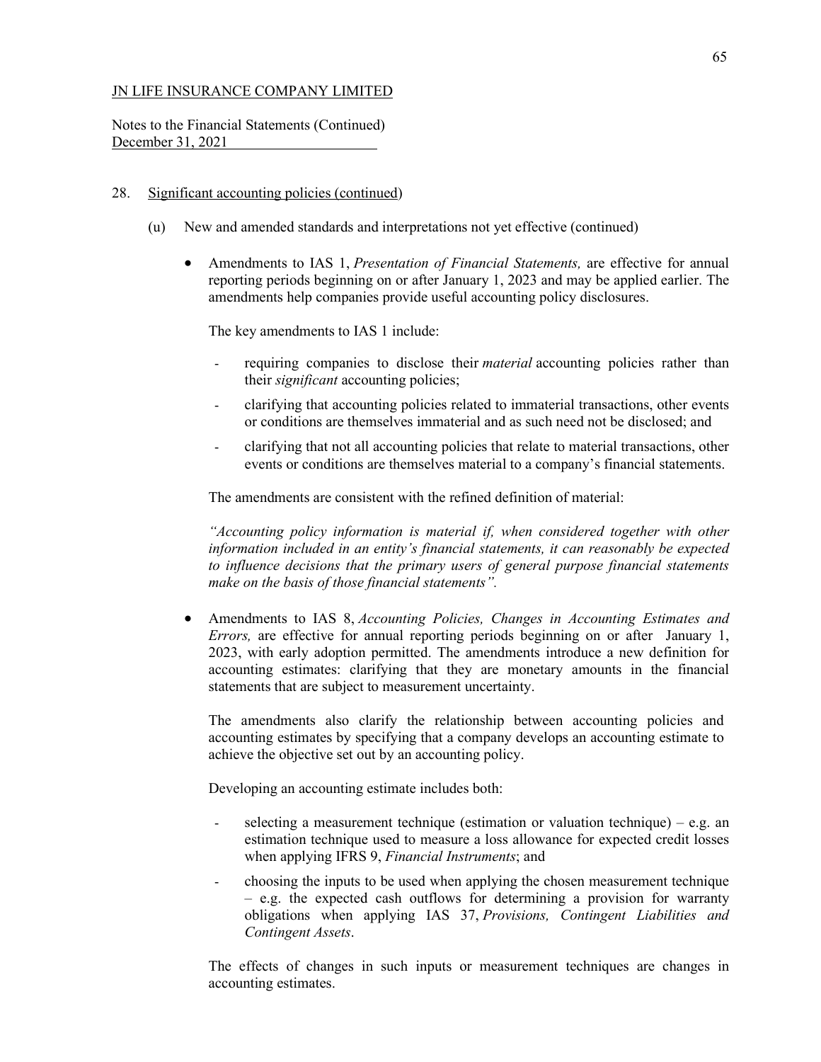Notes to the Financial Statements (Continued) December 31, 2021

# 28. Significant accounting policies (continued)

- (u) New and amended standards and interpretations not yet effective (continued)
	- Amendments to IAS 1, *Presentation of Financial Statements,* are effective for annual reporting periods beginning on or after January 1, 2023 and may be applied earlier. The amendments help companies provide useful accounting policy disclosures.

The key amendments to IAS 1 include:

- requiring companies to disclose their *material* accounting policies rather than their *significant* accounting policies;
- clarifying that accounting policies related to immaterial transactions, other events or conditions are themselves immaterial and as such need not be disclosed; and
- clarifying that not all accounting policies that relate to material transactions, other events or conditions are themselves material to a company's financial statements.

The amendments are consistent with the refined definition of material:

*"Accounting policy information is material if, when considered together with other information included in an entity's financial statements, it can reasonably be expected to influence decisions that the primary users of general purpose financial statements make on the basis of those financial statements".*

• Amendments to IAS 8, *Accounting Policies, Changes in Accounting Estimates and Errors,* are effective for annual reporting periods beginning on or after January 1, 2023, with early adoption permitted. The amendments introduce a new definition for accounting estimates: clarifying that they are monetary amounts in the financial statements that are subject to measurement uncertainty.

The amendments also clarify the relationship between accounting policies and accounting estimates by specifying that a company develops an accounting estimate to achieve the objective set out by an accounting policy.

Developing an accounting estimate includes both:

- selecting a measurement technique (estimation or valuation technique) e.g. an estimation technique used to measure a loss allowance for expected credit losses when applying IFRS 9, *Financial Instruments*; and
- choosing the inputs to be used when applying the chosen measurement technique – e.g. the expected cash outflows for determining a provision for warranty obligations when applying IAS 37, *Provisions, Contingent Liabilities and Contingent Assets*.

The effects of changes in such inputs or measurement techniques are changes in accounting estimates.